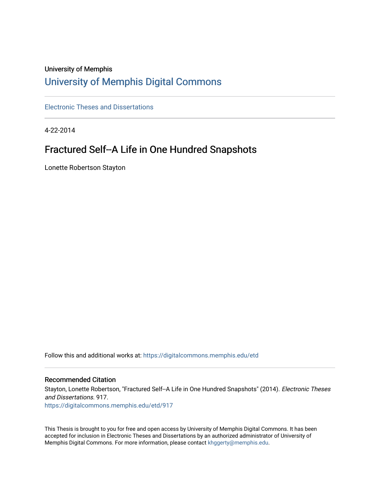# University of Memphis

# [University of Memphis Digital Commons](https://digitalcommons.memphis.edu/)

[Electronic Theses and Dissertations](https://digitalcommons.memphis.edu/etd)

4-22-2014

# Fractured Self--A Life in One Hundred Snapshots

Lonette Robertson Stayton

Follow this and additional works at: [https://digitalcommons.memphis.edu/etd](https://digitalcommons.memphis.edu/etd?utm_source=digitalcommons.memphis.edu%2Fetd%2F917&utm_medium=PDF&utm_campaign=PDFCoverPages) 

#### Recommended Citation

Stayton, Lonette Robertson, "Fractured Self--A Life in One Hundred Snapshots" (2014). Electronic Theses and Dissertations. 917. [https://digitalcommons.memphis.edu/etd/917](https://digitalcommons.memphis.edu/etd/917?utm_source=digitalcommons.memphis.edu%2Fetd%2F917&utm_medium=PDF&utm_campaign=PDFCoverPages) 

This Thesis is brought to you for free and open access by University of Memphis Digital Commons. It has been accepted for inclusion in Electronic Theses and Dissertations by an authorized administrator of University of Memphis Digital Commons. For more information, please contact [khggerty@memphis.edu.](mailto:khggerty@memphis.edu)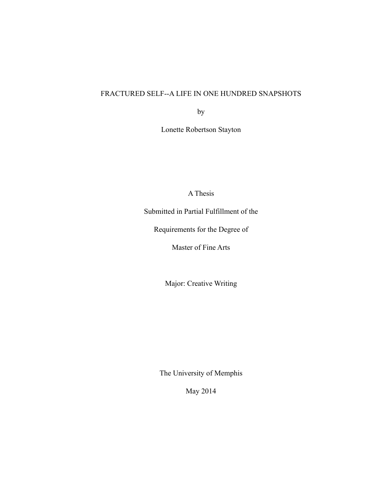# FRACTURED SELF--A LIFE IN ONE HUNDRED SNAPSHOTS

by

Lonette Robertson Stayton

A Thesis

Submitted in Partial Fulfillment of the

Requirements for the Degree of

Master of Fine Arts

Major: Creative Writing

The University of Memphis

May 2014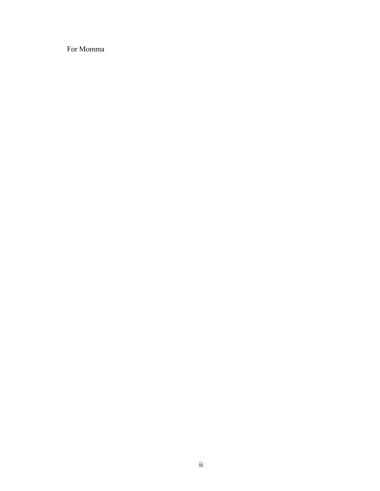For Momma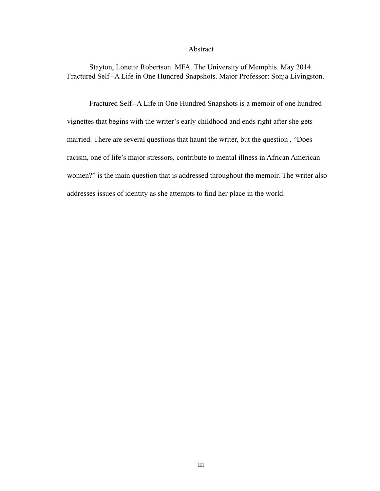#### Abstract

 Stayton, Lonette Robertson. MFA. The University of Memphis. May 2014. Fractured Self--A Life in One Hundred Snapshots. Major Professor: Sonja Livingston.

 Fractured Self--A Life in One Hundred Snapshots is a memoir of one hundred vignettes that begins with the writer's early childhood and ends right after she gets married. There are several questions that haunt the writer, but the question , "Does racism, one of life's major stressors, contribute to mental illness in African American women?" is the main question that is addressed throughout the memoir. The writer also addresses issues of identity as she attempts to find her place in the world.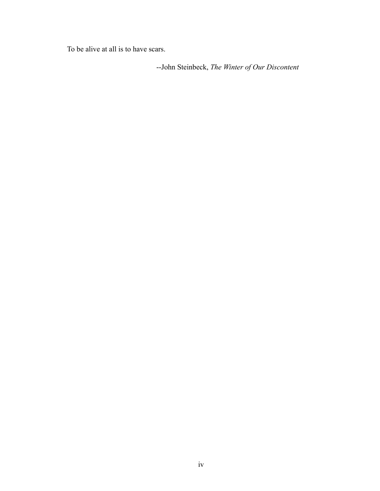To be alive at all is to have scars.

--John Steinbeck, *The Winter of Our Discontent*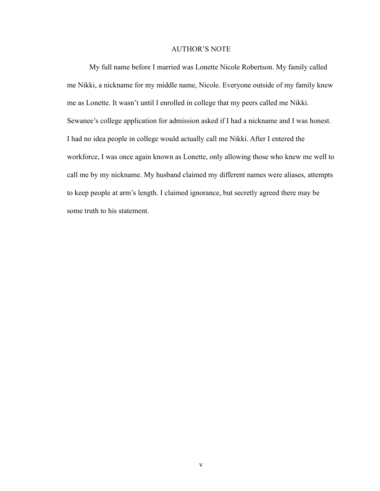#### AUTHOR'S NOTE

 My full name before I married was Lonette Nicole Robertson. My family called me Nikki, a nickname for my middle name, Nicole. Everyone outside of my family knew me as Lonette. It wasn't until I enrolled in college that my peers called me Nikki. Sewanee's college application for admission asked if I had a nickname and I was honest. I had no idea people in college would actually call me Nikki. After I entered the workforce, I was once again known as Lonette, only allowing those who knew me well to call me by my nickname. My husband claimed my different names were aliases, attempts to keep people at arm's length. I claimed ignorance, but secretly agreed there may be some truth to his statement.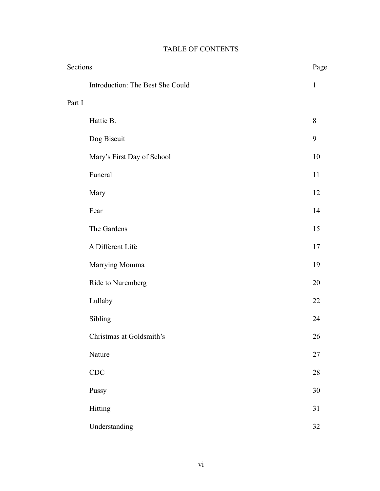| Sections |                                  | Page         |
|----------|----------------------------------|--------------|
|          | Introduction: The Best She Could | $\mathbf{1}$ |
| Part I   |                                  |              |
|          | Hattie B.                        | $8\,$        |
|          | Dog Biscuit                      | 9            |
|          | Mary's First Day of School       | 10           |
|          | Funeral                          | 11           |
|          | Mary                             | 12           |
|          | Fear                             | 14           |
|          | The Gardens                      | 15           |
|          | A Different Life                 | 17           |
|          | Marrying Momma                   | 19           |
|          | Ride to Nuremberg                | 20           |
|          | Lullaby                          | 22           |
|          | Sibling                          | 24           |
|          | Christmas at Goldsmith's         | 26           |
|          | Nature                           | $27\,$       |
|          | CDC                              | $28\,$       |
|          | Pussy                            | $30\,$       |
|          | Hitting                          | 31           |
|          | Understanding                    | 32           |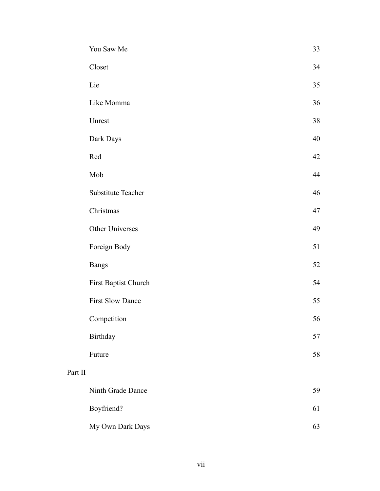|         | You Saw Me              | 33 |
|---------|-------------------------|----|
|         | Closet                  | 34 |
|         | Lie                     | 35 |
|         | Like Momma              | 36 |
|         | Unrest                  | 38 |
|         | Dark Days               | 40 |
|         | Red                     | 42 |
|         | Mob                     | 44 |
|         | Substitute Teacher      | 46 |
|         | Christmas               | 47 |
|         | Other Universes         | 49 |
|         | Foreign Body            | 51 |
|         | <b>Bangs</b>            | 52 |
|         | First Baptist Church    | 54 |
|         | <b>First Slow Dance</b> | 55 |
|         | Competition             | 56 |
|         | Birthday                | 57 |
|         | Future                  | 58 |
| Part II |                         |    |
|         | Ninth Grade Dance       | 59 |
|         | Boyfriend?              | 61 |
|         | My Own Dark Days        | 63 |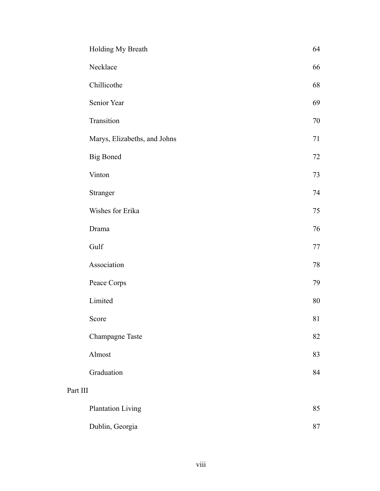|          | Holding My Breath            | 64 |
|----------|------------------------------|----|
|          | Necklace                     | 66 |
|          | Chillicothe                  | 68 |
|          | Senior Year                  | 69 |
|          | Transition                   | 70 |
|          | Marys, Elizabeths, and Johns | 71 |
|          | <b>Big Boned</b>             | 72 |
|          | Vinton                       | 73 |
|          | Stranger                     | 74 |
|          | Wishes for Erika             | 75 |
|          | Drama                        | 76 |
|          | Gulf                         | 77 |
|          | Association                  | 78 |
|          | Peace Corps                  | 79 |
|          | Limited                      | 80 |
|          | Score                        | 81 |
|          | Champagne Taste              | 82 |
|          | Almost                       | 83 |
|          | Graduation                   | 84 |
| Part III |                              |    |
|          | <b>Plantation Living</b>     | 85 |
|          | Dublin, Georgia              | 87 |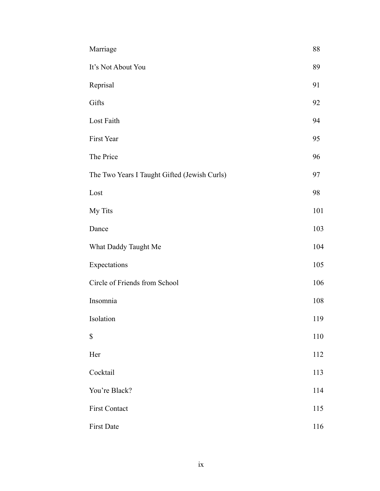| Marriage                                     | 88  |
|----------------------------------------------|-----|
| It's Not About You                           | 89  |
| Reprisal                                     | 91  |
| Gifts                                        | 92  |
| Lost Faith                                   | 94  |
| First Year                                   | 95  |
| The Price                                    | 96  |
| The Two Years I Taught Gifted (Jewish Curls) | 97  |
| Lost                                         | 98  |
| My Tits                                      | 101 |
| Dance                                        | 103 |
| What Daddy Taught Me                         | 104 |
| Expectations                                 | 105 |
| Circle of Friends from School                | 106 |
| Insomnia                                     | 108 |
| Isolation                                    | 119 |
| \$                                           | 110 |
| Her                                          | 112 |
| Cocktail                                     | 113 |
| You're Black?                                | 114 |
| First Contact                                | 115 |
| First Date                                   | 116 |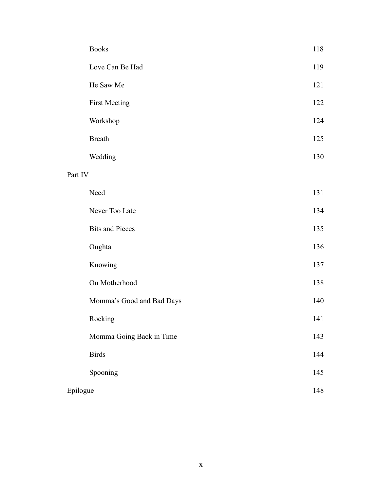|          | <b>Books</b>              | 118 |
|----------|---------------------------|-----|
|          | Love Can Be Had           | 119 |
|          | He Saw Me                 | 121 |
|          | <b>First Meeting</b>      | 122 |
|          | Workshop                  | 124 |
|          | <b>Breath</b>             | 125 |
|          | Wedding                   | 130 |
| Part IV  |                           |     |
|          | Need                      | 131 |
|          | Never Too Late            | 134 |
|          | <b>Bits and Pieces</b>    | 135 |
|          | Oughta                    | 136 |
|          | Knowing                   | 137 |
|          | On Motherhood             | 138 |
|          | Momma's Good and Bad Days | 140 |
|          | Rocking                   | 141 |
|          | Momma Going Back in Time  | 143 |
|          | <b>Birds</b>              | 144 |
|          | Spooning                  | 145 |
| Epilogue |                           | 148 |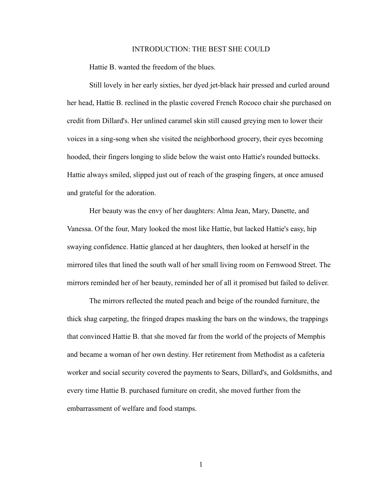#### INTRODUCTION: THE BEST SHE COULD

Hattie B. wanted the freedom of the blues.

Still lovely in her early sixties, her dyed jet-black hair pressed and curled around her head, Hattie B. reclined in the plastic covered French Rococo chair she purchased on credit from Dillard's. Her unlined caramel skin still caused greying men to lower their voices in a sing-song when she visited the neighborhood grocery, their eyes becoming hooded, their fingers longing to slide below the waist onto Hattie's rounded buttocks. Hattie always smiled, slipped just out of reach of the grasping fingers, at once amused and grateful for the adoration.

 Her beauty was the envy of her daughters: Alma Jean, Mary, Danette, and Vanessa. Of the four, Mary looked the most like Hattie, but lacked Hattie's easy, hip swaying confidence. Hattie glanced at her daughters, then looked at herself in the mirrored tiles that lined the south wall of her small living room on Fernwood Street. The mirrors reminded her of her beauty, reminded her of all it promised but failed to deliver.

 The mirrors reflected the muted peach and beige of the rounded furniture, the thick shag carpeting, the fringed drapes masking the bars on the windows, the trappings that convinced Hattie B. that she moved far from the world of the projects of Memphis and became a woman of her own destiny. Her retirement from Methodist as a cafeteria worker and social security covered the payments to Sears, Dillard's, and Goldsmiths, and every time Hattie B. purchased furniture on credit, she moved further from the embarrassment of welfare and food stamps.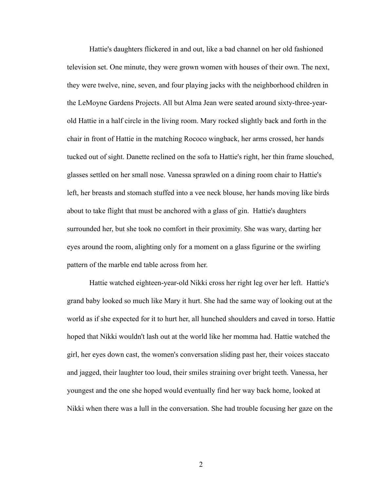Hattie's daughters flickered in and out, like a bad channel on her old fashioned television set. One minute, they were grown women with houses of their own. The next, they were twelve, nine, seven, and four playing jacks with the neighborhood children in the LeMoyne Gardens Projects. All but Alma Jean were seated around sixty-three-yearold Hattie in a half circle in the living room. Mary rocked slightly back and forth in the chair in front of Hattie in the matching Rococo wingback, her arms crossed, her hands tucked out of sight. Danette reclined on the sofa to Hattie's right, her thin frame slouched, glasses settled on her small nose. Vanessa sprawled on a dining room chair to Hattie's left, her breasts and stomach stuffed into a vee neck blouse, her hands moving like birds about to take flight that must be anchored with a glass of gin. Hattie's daughters surrounded her, but she took no comfort in their proximity. She was wary, darting her eyes around the room, alighting only for a moment on a glass figurine or the swirling pattern of the marble end table across from her.

 Hattie watched eighteen-year-old Nikki cross her right leg over her left. Hattie's grand baby looked so much like Mary it hurt. She had the same way of looking out at the world as if she expected for it to hurt her, all hunched shoulders and caved in torso. Hattie hoped that Nikki wouldn't lash out at the world like her momma had. Hattie watched the girl, her eyes down cast, the women's conversation sliding past her, their voices staccato and jagged, their laughter too loud, their smiles straining over bright teeth. Vanessa, her youngest and the one she hoped would eventually find her way back home, looked at Nikki when there was a lull in the conversation. She had trouble focusing her gaze on the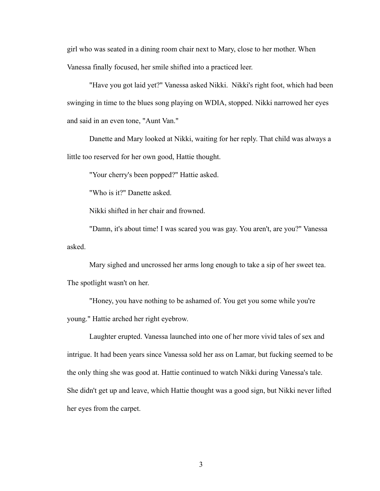girl who was seated in a dining room chair next to Mary, close to her mother. When Vanessa finally focused, her smile shifted into a practiced leer.

 "Have you got laid yet?" Vanessa asked Nikki. Nikki's right foot, which had been swinging in time to the blues song playing on WDIA, stopped. Nikki narrowed her eyes and said in an even tone, "Aunt Van."

 Danette and Mary looked at Nikki, waiting for her reply. That child was always a little too reserved for her own good, Hattie thought.

"Your cherry's been popped?" Hattie asked.

"Who is it?" Danette asked.

Nikki shifted in her chair and frowned.

 "Damn, it's about time! I was scared you was gay. You aren't, are you?" Vanessa asked.

 Mary sighed and uncrossed her arms long enough to take a sip of her sweet tea. The spotlight wasn't on her.

 "Honey, you have nothing to be ashamed of. You get you some while you're young." Hattie arched her right eyebrow.

 Laughter erupted. Vanessa launched into one of her more vivid tales of sex and intrigue. It had been years since Vanessa sold her ass on Lamar, but fucking seemed to be the only thing she was good at. Hattie continued to watch Nikki during Vanessa's tale. She didn't get up and leave, which Hattie thought was a good sign, but Nikki never lifted her eyes from the carpet.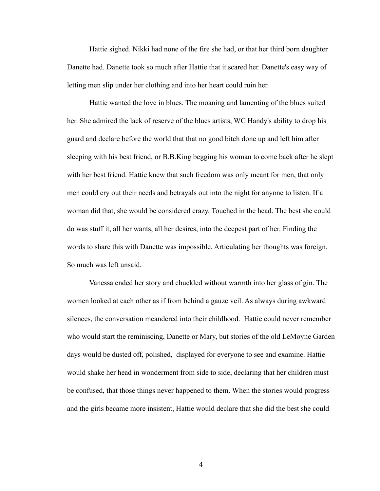Hattie sighed. Nikki had none of the fire she had, or that her third born daughter Danette had. Danette took so much after Hattie that it scared her. Danette's easy way of letting men slip under her clothing and into her heart could ruin her.

 Hattie wanted the love in blues. The moaning and lamenting of the blues suited her. She admired the lack of reserve of the blues artists, WC Handy's ability to drop his guard and declare before the world that that no good bitch done up and left him after sleeping with his best friend, or B.B.King begging his woman to come back after he slept with her best friend. Hattie knew that such freedom was only meant for men, that only men could cry out their needs and betrayals out into the night for anyone to listen. If a woman did that, she would be considered crazy. Touched in the head. The best she could do was stuff it, all her wants, all her desires, into the deepest part of her. Finding the words to share this with Danette was impossible. Articulating her thoughts was foreign. So much was left unsaid.

 Vanessa ended her story and chuckled without warmth into her glass of gin. The women looked at each other as if from behind a gauze veil. As always during awkward silences, the conversation meandered into their childhood. Hattie could never remember who would start the reminiscing, Danette or Mary, but stories of the old LeMoyne Garden days would be dusted off, polished, displayed for everyone to see and examine. Hattie would shake her head in wonderment from side to side, declaring that her children must be confused, that those things never happened to them. When the stories would progress and the girls became more insistent, Hattie would declare that she did the best she could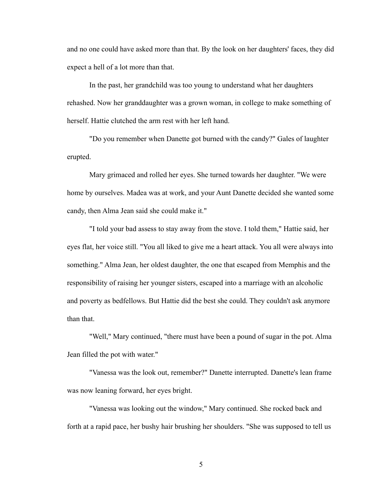and no one could have asked more than that. By the look on her daughters' faces, they did expect a hell of a lot more than that.

 In the past, her grandchild was too young to understand what her daughters rehashed. Now her granddaughter was a grown woman, in college to make something of herself. Hattie clutched the arm rest with her left hand.

 "Do you remember when Danette got burned with the candy?" Gales of laughter erupted.

 Mary grimaced and rolled her eyes. She turned towards her daughter. "We were home by ourselves. Madea was at work, and your Aunt Danette decided she wanted some candy, then Alma Jean said she could make it."

 "I told your bad assess to stay away from the stove. I told them," Hattie said, her eyes flat, her voice still. "You all liked to give me a heart attack. You all were always into something." Alma Jean, her oldest daughter, the one that escaped from Memphis and the responsibility of raising her younger sisters, escaped into a marriage with an alcoholic and poverty as bedfellows. But Hattie did the best she could. They couldn't ask anymore than that.

 "Well," Mary continued, "there must have been a pound of sugar in the pot. Alma Jean filled the pot with water."

 "Vanessa was the look out, remember?" Danette interrupted. Danette's lean frame was now leaning forward, her eyes bright.

 "Vanessa was looking out the window," Mary continued. She rocked back and forth at a rapid pace, her bushy hair brushing her shoulders. "She was supposed to tell us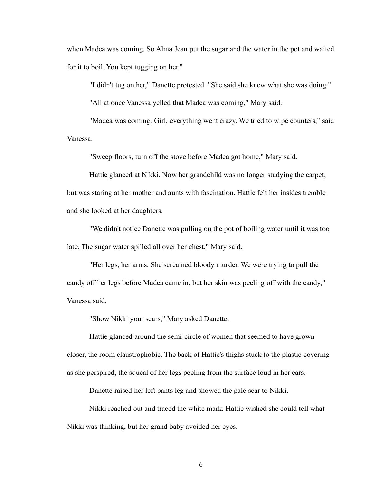when Madea was coming. So Alma Jean put the sugar and the water in the pot and waited for it to boil. You kept tugging on her."

"I didn't tug on her," Danette protested. "She said she knew what she was doing."

"All at once Vanessa yelled that Madea was coming," Mary said.

 "Madea was coming. Girl, everything went crazy. We tried to wipe counters," said Vanessa.

"Sweep floors, turn off the stove before Madea got home," Mary said.

 Hattie glanced at Nikki. Now her grandchild was no longer studying the carpet, but was staring at her mother and aunts with fascination. Hattie felt her insides tremble and she looked at her daughters.

 "We didn't notice Danette was pulling on the pot of boiling water until it was too late. The sugar water spilled all over her chest," Mary said.

 "Her legs, her arms. She screamed bloody murder. We were trying to pull the candy off her legs before Madea came in, but her skin was peeling off with the candy," Vanessa said.

"Show Nikki your scars," Mary asked Danette.

 Hattie glanced around the semi-circle of women that seemed to have grown closer, the room claustrophobic. The back of Hattie's thighs stuck to the plastic covering as she perspired, the squeal of her legs peeling from the surface loud in her ears.

Danette raised her left pants leg and showed the pale scar to Nikki.

 Nikki reached out and traced the white mark. Hattie wished she could tell what Nikki was thinking, but her grand baby avoided her eyes.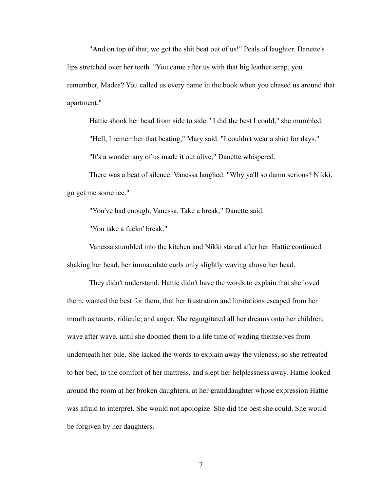"And on top of that, we got the shit beat out of us!" Peals of laughter. Danette's lips stretched over her teeth. "You came after us with that big leather strap, you remember, Madea? You called us every name in the book when you chased us around that apartment."

 Hattie shook her head from side to side. "I did the best I could," she mumbled. "Hell, I remember that beating," Mary said. "I couldn't wear a shirt for days." "It's a wonder any of us made it out alive," Danette whispered.

 There was a beat of silence. Vanessa laughed. "Why ya'll so damn serious? Nikki, go get me some ice."

"You've had enough, Vanessa. Take a break," Danette said.

"You take a fuckn' break."

 Vanessa stumbled into the kitchen and Nikki stared after her. Hattie continued shaking her head, her immaculate curls only slightly waving above her head.

 They didn't understand. Hattie didn't have the words to explain that she loved them, wanted the best for them, that her frustration and limitations escaped from her mouth as taunts, ridicule, and anger. She regurgitated all her dreams onto her children, wave after wave, until she doomed them to a life time of wading themselves from underneath her bile. She lacked the words to explain away the vileness, so she retreated to her bed, to the comfort of her mattress, and slept her helplessness away. Hattie looked around the room at her broken daughters, at her granddaughter whose expression Hattie was afraid to interpret. She would not apologize. She did the best she could. She would be forgiven by her daughters.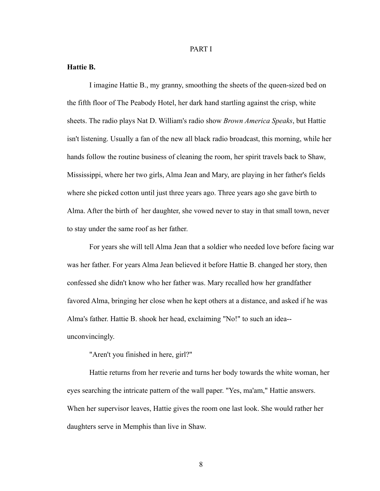#### PART I

### **Hattie B.**

I imagine Hattie B., my granny, smoothing the sheets of the queen-sized bed on the fifth floor of The Peabody Hotel, her dark hand startling against the crisp, white sheets. The radio plays Nat D. William's radio show *Brown America Speaks*, but Hattie isn't listening. Usually a fan of the new all black radio broadcast, this morning, while her hands follow the routine business of cleaning the room, her spirit travels back to Shaw, Mississippi, where her two girls, Alma Jean and Mary, are playing in her father's fields where she picked cotton until just three years ago. Three years ago she gave birth to Alma. After the birth of her daughter, she vowed never to stay in that small town, never to stay under the same roof as her father.

 For years she will tell Alma Jean that a soldier who needed love before facing war was her father. For years Alma Jean believed it before Hattie B. changed her story, then confessed she didn't know who her father was. Mary recalled how her grandfather favored Alma, bringing her close when he kept others at a distance, and asked if he was Alma's father. Hattie B. shook her head, exclaiming "No!" to such an idea- unconvincingly.

"Aren't you finished in here, girl?"

 Hattie returns from her reverie and turns her body towards the white woman, her eyes searching the intricate pattern of the wall paper. "Yes, ma'am," Hattie answers. When her supervisor leaves, Hattie gives the room one last look. She would rather her daughters serve in Memphis than live in Shaw.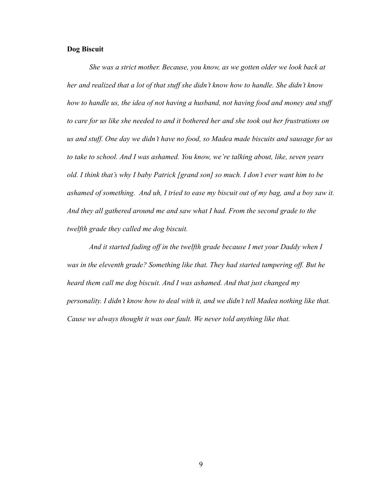#### **Dog Biscuit**

*She was a strict mother. Because, you know, as we gotten older we look back at her and realized that a lot of that stuff she didn't know how to handle. She didn't know how to handle us, the idea of not having a husband, not having food and money and stuff to care for us like she needed to and it bothered her and she took out her frustrations on us and stuff. One day we didn't have no food, so Madea made biscuits and sausage for us to take to school. And I was ashamed. You know, we're talking about, like, seven years old. I think that's why I baby Patrick [grand son] so much. I don't ever want him to be ashamed of something. And uh, I tried to ease my biscuit out of my bag, and a boy saw it. And they all gathered around me and saw what I had. From the second grade to the twelfth grade they called me dog biscuit.*

 *And it started fading off in the twelfth grade because I met your Daddy when I was in the eleventh grade? Something like that. They had started tampering off. But he heard them call me dog biscuit. And I was ashamed. And that just changed my personality. I didn't know how to deal with it, and we didn't tell Madea nothing like that. Cause we always thought it was our fault. We never told anything like that.*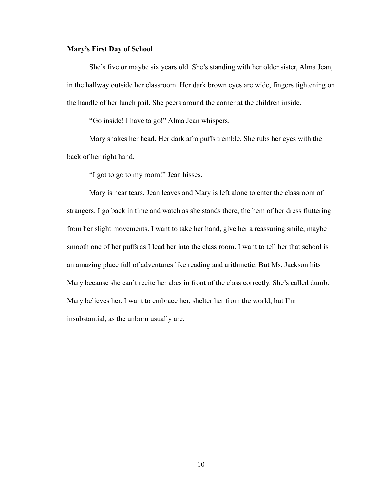#### **Mary's First Day of School**

 She's five or maybe six years old. She's standing with her older sister, Alma Jean, in the hallway outside her classroom. Her dark brown eyes are wide, fingers tightening on the handle of her lunch pail. She peers around the corner at the children inside.

"Go inside! I have ta go!" Alma Jean whispers.

 Mary shakes her head. Her dark afro puffs tremble. She rubs her eyes with the back of her right hand.

"I got to go to my room!" Jean hisses.

 Mary is near tears. Jean leaves and Mary is left alone to enter the classroom of strangers. I go back in time and watch as she stands there, the hem of her dress fluttering from her slight movements. I want to take her hand, give her a reassuring smile, maybe smooth one of her puffs as I lead her into the class room. I want to tell her that school is an amazing place full of adventures like reading and arithmetic. But Ms. Jackson hits Mary because she can't recite her abcs in front of the class correctly. She's called dumb. Mary believes her. I want to embrace her, shelter her from the world, but I'm insubstantial, as the unborn usually are.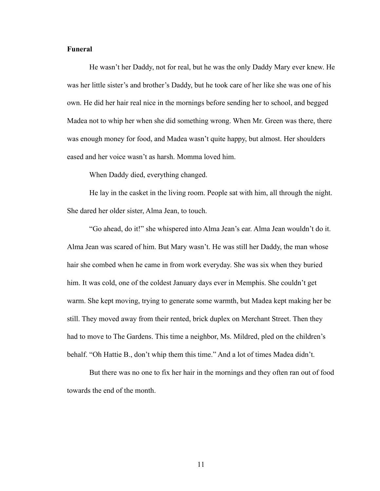#### **Funeral**

He wasn't her Daddy, not for real, but he was the only Daddy Mary ever knew. He was her little sister's and brother's Daddy, but he took care of her like she was one of his own. He did her hair real nice in the mornings before sending her to school, and begged Madea not to whip her when she did something wrong. When Mr. Green was there, there was enough money for food, and Madea wasn't quite happy, but almost. Her shoulders eased and her voice wasn't as harsh. Momma loved him.

When Daddy died, everything changed.

 He lay in the casket in the living room. People sat with him, all through the night. She dared her older sister, Alma Jean, to touch.

 "Go ahead, do it!" she whispered into Alma Jean's ear. Alma Jean wouldn't do it. Alma Jean was scared of him. But Mary wasn't. He was still her Daddy, the man whose hair she combed when he came in from work everyday. She was six when they buried him. It was cold, one of the coldest January days ever in Memphis. She couldn't get warm. She kept moving, trying to generate some warmth, but Madea kept making her be still. They moved away from their rented, brick duplex on Merchant Street. Then they had to move to The Gardens. This time a neighbor, Ms. Mildred, pled on the children's behalf. "Oh Hattie B., don't whip them this time." And a lot of times Madea didn't.

 But there was no one to fix her hair in the mornings and they often ran out of food towards the end of the month.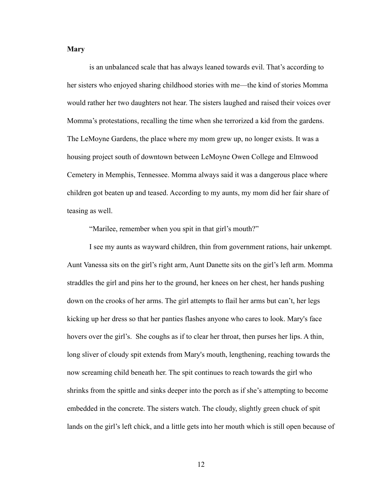## **Mary**

is an unbalanced scale that has always leaned towards evil. That's according to her sisters who enjoyed sharing childhood stories with me—the kind of stories Momma would rather her two daughters not hear. The sisters laughed and raised their voices over Momma's protestations, recalling the time when she terrorized a kid from the gardens. The LeMoyne Gardens, the place where my mom grew up, no longer exists. It was a housing project south of downtown between LeMoyne Owen College and Elmwood Cemetery in Memphis, Tennessee. Momma always said it was a dangerous place where children got beaten up and teased. According to my aunts, my mom did her fair share of teasing as well.

"Marilee, remember when you spit in that girl's mouth?"

 I see my aunts as wayward children, thin from government rations, hair unkempt. Aunt Vanessa sits on the girl's right arm, Aunt Danette sits on the girl's left arm. Momma straddles the girl and pins her to the ground, her knees on her chest, her hands pushing down on the crooks of her arms. The girl attempts to flail her arms but can't, her legs kicking up her dress so that her panties flashes anyone who cares to look. Mary's face hovers over the girl's. She coughs as if to clear her throat, then purses her lips. A thin, long sliver of cloudy spit extends from Mary's mouth, lengthening, reaching towards the now screaming child beneath her. The spit continues to reach towards the girl who shrinks from the spittle and sinks deeper into the porch as if she's attempting to become embedded in the concrete. The sisters watch. The cloudy, slightly green chuck of spit lands on the girl's left chick, and a little gets into her mouth which is still open because of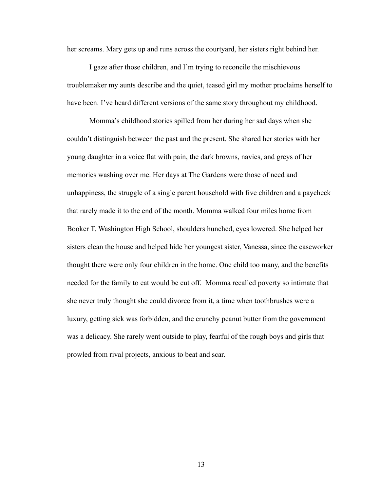her screams. Mary gets up and runs across the courtyard, her sisters right behind her.

 I gaze after those children, and I'm trying to reconcile the mischievous troublemaker my aunts describe and the quiet, teased girl my mother proclaims herself to have been. I've heard different versions of the same story throughout my childhood.

 Momma's childhood stories spilled from her during her sad days when she couldn't distinguish between the past and the present. She shared her stories with her young daughter in a voice flat with pain, the dark browns, navies, and greys of her memories washing over me. Her days at The Gardens were those of need and unhappiness, the struggle of a single parent household with five children and a paycheck that rarely made it to the end of the month. Momma walked four miles home from Booker T. Washington High School, shoulders hunched, eyes lowered. She helped her sisters clean the house and helped hide her youngest sister, Vanessa, since the caseworker thought there were only four children in the home. One child too many, and the benefits needed for the family to eat would be cut off. Momma recalled poverty so intimate that she never truly thought she could divorce from it, a time when toothbrushes were a luxury, getting sick was forbidden, and the crunchy peanut butter from the government was a delicacy. She rarely went outside to play, fearful of the rough boys and girls that prowled from rival projects, anxious to beat and scar.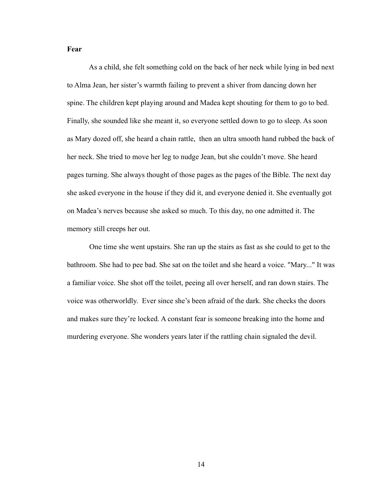### **Fear**

As a child, she felt something cold on the back of her neck while lying in bed next to Alma Jean, her sister's warmth failing to prevent a shiver from dancing down her spine. The children kept playing around and Madea kept shouting for them to go to bed. Finally, she sounded like she meant it, so everyone settled down to go to sleep. As soon as Mary dozed off, she heard a chain rattle, then an ultra smooth hand rubbed the back of her neck. She tried to move her leg to nudge Jean, but she couldn't move. She heard pages turning. She always thought of those pages as the pages of the Bible. The next day she asked everyone in the house if they did it, and everyone denied it. She eventually got on Madea's nerves because she asked so much. To this day, no one admitted it. The memory still creeps her out.

 One time she went upstairs. She ran up the stairs as fast as she could to get to the bathroom. She had to pee bad. She sat on the toilet and she heard a voice. "Mary..." It was a familiar voice. She shot off the toilet, peeing all over herself, and ran down stairs. The voice was otherworldly. Ever since she's been afraid of the dark. She checks the doors and makes sure they're locked. A constant fear is someone breaking into the home and murdering everyone. She wonders years later if the rattling chain signaled the devil.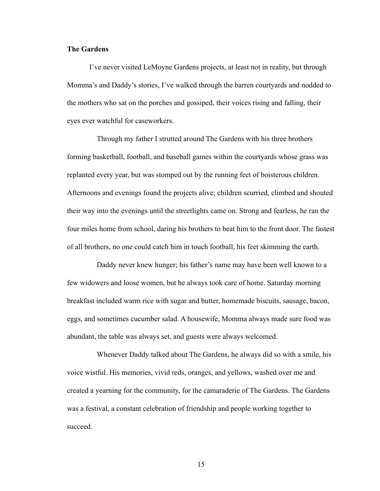#### **The Gardens**

 I've never visited LeMoyne Gardens projects, at least not in reality, but through Momma's and Daddy's stories, I've walked through the barren courtyards and nodded to the mothers who sat on the porches and gossiped, their voices rising and falling, their eyes ever watchful for caseworkers.

Through my father I strutted around The Gardens with his three brothers forming basketball, football, and baseball games within the courtyards whose grass was replanted every year, but was stomped out by the running feet of boisterous children. Afternoons and evenings found the projects alive; children scurried, climbed and shouted their way into the evenings until the streetlights came on. Strong and fearless, he ran the four miles home from school, daring his brothers to beat him to the front door. The fastest of all brothers, no one could catch him in touch football, his feet skimming the earth.

Daddy never knew hunger; his father's name may have been well known to a few widowers and loose women, but he always took care of home. Saturday morning breakfast included warm rice with sugar and butter, homemade biscuits, sausage, bacon, eggs, and sometimes cucumber salad. A housewife, Momma always made sure food was abundant, the table was always set, and guests were always welcomed.

Whenever Daddy talked about The Gardens, he always did so with a smile, his voice wistful. His memories, vivid reds, oranges, and yellows, washed over me and created a yearning for the community, for the camaraderie of The Gardens. The Gardens was a festival, a constant celebration of friendship and people working together to succeed.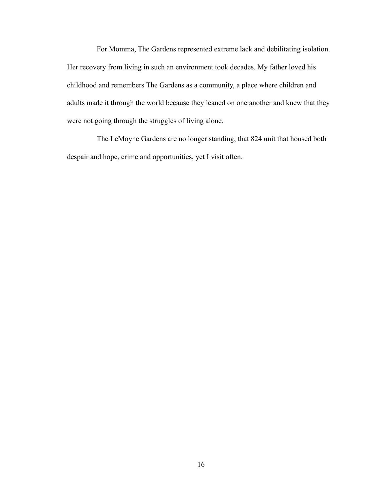For Momma, The Gardens represented extreme lack and debilitating isolation. Her recovery from living in such an environment took decades. My father loved his childhood and remembers The Gardens as a community, a place where children and adults made it through the world because they leaned on one another and knew that they were not going through the struggles of living alone.

The LeMoyne Gardens are no longer standing, that 824 unit that housed both despair and hope, crime and opportunities, yet I visit often.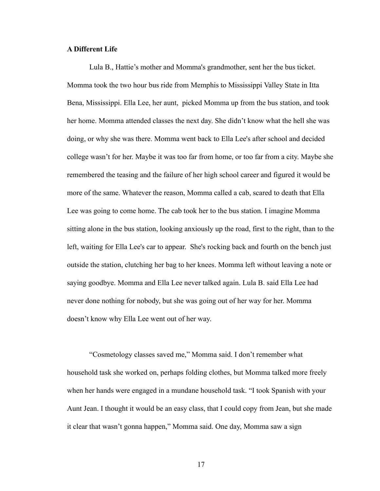#### **A Different Life**

Lula B., Hattie's mother and Momma's grandmother, sent her the bus ticket. Momma took the two hour bus ride from Memphis to Mississippi Valley State in Itta Bena, Mississippi. Ella Lee, her aunt, picked Momma up from the bus station, and took her home. Momma attended classes the next day. She didn't know what the hell she was doing, or why she was there. Momma went back to Ella Lee's after school and decided college wasn't for her. Maybe it was too far from home, or too far from a city. Maybe she remembered the teasing and the failure of her high school career and figured it would be more of the same. Whatever the reason, Momma called a cab, scared to death that Ella Lee was going to come home. The cab took her to the bus station. I imagine Momma sitting alone in the bus station, looking anxiously up the road, first to the right, than to the left, waiting for Ella Lee's car to appear. She's rocking back and fourth on the bench just outside the station, clutching her bag to her knees. Momma left without leaving a note or saying goodbye. Momma and Ella Lee never talked again. Lula B. said Ella Lee had never done nothing for nobody, but she was going out of her way for her. Momma doesn't know why Ella Lee went out of her way.

 "Cosmetology classes saved me," Momma said. I don't remember what household task she worked on, perhaps folding clothes, but Momma talked more freely when her hands were engaged in a mundane household task. "I took Spanish with your Aunt Jean. I thought it would be an easy class, that I could copy from Jean, but she made it clear that wasn't gonna happen," Momma said. One day, Momma saw a sign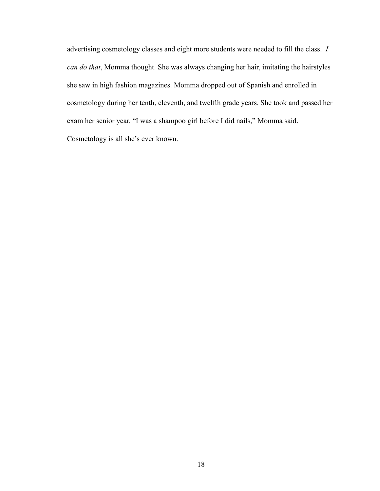advertising cosmetology classes and eight more students were needed to fill the class. *I can do that*, Momma thought. She was always changing her hair, imitating the hairstyles she saw in high fashion magazines. Momma dropped out of Spanish and enrolled in cosmetology during her tenth, eleventh, and twelfth grade years. She took and passed her exam her senior year. "I was a shampoo girl before I did nails," Momma said. Cosmetology is all she's ever known.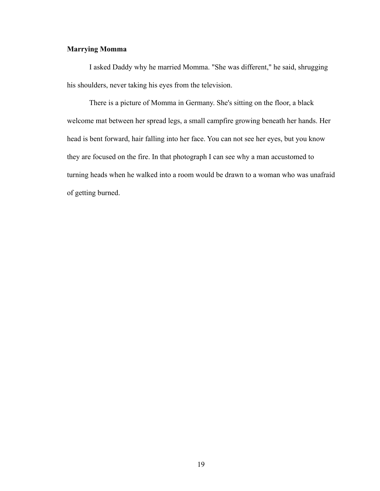## **Marrying Momma**

I asked Daddy why he married Momma. "She was different," he said, shrugging his shoulders, never taking his eyes from the television.

 There is a picture of Momma in Germany. She's sitting on the floor, a black welcome mat between her spread legs, a small campfire growing beneath her hands. Her head is bent forward, hair falling into her face. You can not see her eyes, but you know they are focused on the fire. In that photograph I can see why a man accustomed to turning heads when he walked into a room would be drawn to a woman who was unafraid of getting burned.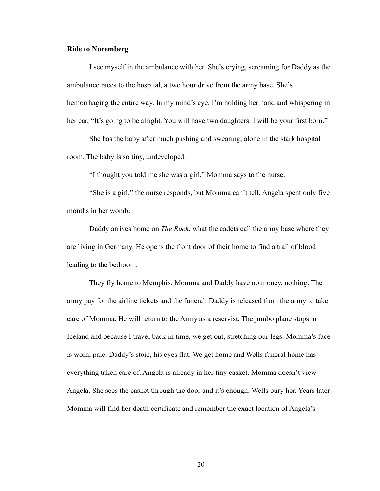#### **Ride to Nuremberg**

 I see myself in the ambulance with her. She's crying, screaming for Daddy as the ambulance races to the hospital, a two hour drive from the army base. She's hemorrhaging the entire way. In my mind's eye, I'm holding her hand and whispering in her ear, "It's going to be alright. You will have two daughters. I will be your first born."

 She has the baby after much pushing and swearing, alone in the stark hospital room. The baby is so tiny, undeveloped.

"I thought you told me she was a girl," Momma says to the nurse.

 "She is a girl," the nurse responds, but Momma can't tell. Angela spent only five months in her womb.

 Daddy arrives home on *The Rock*, what the cadets call the army base where they are living in Germany. He opens the front door of their home to find a trail of blood leading to the bedroom.

 They fly home to Memphis. Momma and Daddy have no money, nothing. The army pay for the airline tickets and the funeral. Daddy is released from the army to take care of Momma. He will return to the Army as a reservist. The jumbo plane stops in Iceland and because I travel back in time, we get out, stretching our legs. Momma's face is worn, pale. Daddy's stoic, his eyes flat. We get home and Wells funeral home has everything taken care of. Angela is already in her tiny casket. Momma doesn't view Angela. She sees the casket through the door and it's enough. Wells bury her. Years later Momma will find her death certificate and remember the exact location of Angela's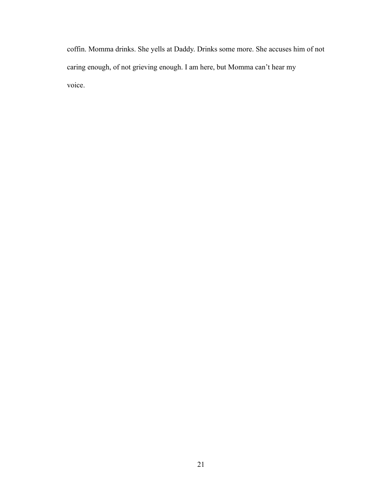coffin. Momma drinks. She yells at Daddy. Drinks some more. She accuses him of not caring enough, of not grieving enough. I am here, but Momma can't hear my voice.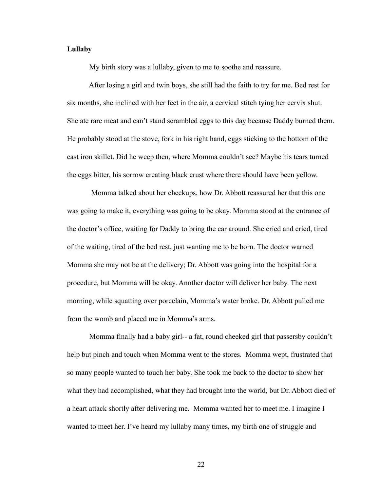#### **Lullaby**

My birth story was a lullaby, given to me to soothe and reassure.

 After losing a girl and twin boys, she still had the faith to try for me. Bed rest for six months, she inclined with her feet in the air, a cervical stitch tying her cervix shut. She ate rare meat and can't stand scrambled eggs to this day because Daddy burned them. He probably stood at the stove, fork in his right hand, eggs sticking to the bottom of the cast iron skillet. Did he weep then, where Momma couldn't see? Maybe his tears turned the eggs bitter, his sorrow creating black crust where there should have been yellow.

 Momma talked about her checkups, how Dr. Abbott reassured her that this one was going to make it, everything was going to be okay. Momma stood at the entrance of the doctor's office, waiting for Daddy to bring the car around. She cried and cried, tired of the waiting, tired of the bed rest, just wanting me to be born. The doctor warned Momma she may not be at the delivery; Dr. Abbott was going into the hospital for a procedure, but Momma will be okay. Another doctor will deliver her baby. The next morning, while squatting over porcelain, Momma's water broke. Dr. Abbott pulled me from the womb and placed me in Momma's arms.

 Momma finally had a baby girl-- a fat, round cheeked girl that passersby couldn't help but pinch and touch when Momma went to the stores. Momma wept, frustrated that so many people wanted to touch her baby. She took me back to the doctor to show her what they had accomplished, what they had brought into the world, but Dr. Abbott died of a heart attack shortly after delivering me. Momma wanted her to meet me. I imagine I wanted to meet her. I've heard my lullaby many times, my birth one of struggle and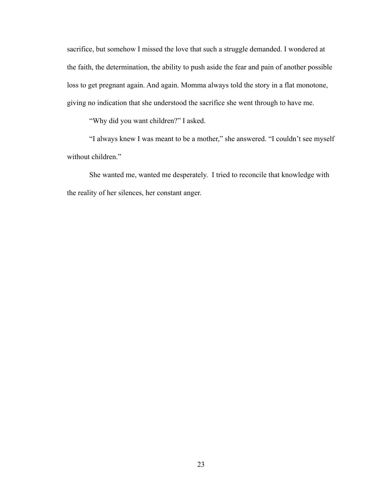sacrifice, but somehow I missed the love that such a struggle demanded. I wondered at the faith, the determination, the ability to push aside the fear and pain of another possible loss to get pregnant again. And again. Momma always told the story in a flat monotone, giving no indication that she understood the sacrifice she went through to have me.

"Why did you want children?" I asked.

 "I always knew I was meant to be a mother," she answered. "I couldn't see myself without children."

 She wanted me, wanted me desperately. I tried to reconcile that knowledge with the reality of her silences, her constant anger.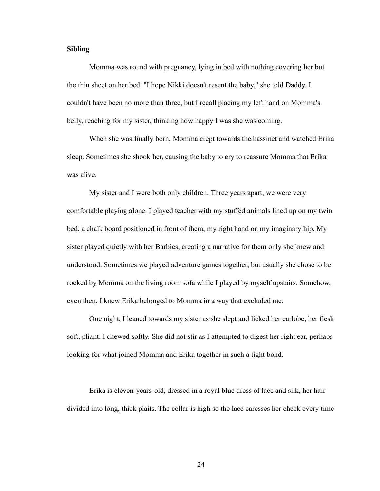#### **Sibling**

Momma was round with pregnancy, lying in bed with nothing covering her but the thin sheet on her bed. "I hope Nikki doesn't resent the baby," she told Daddy. I couldn't have been no more than three, but I recall placing my left hand on Momma's belly, reaching for my sister, thinking how happy I was she was coming.

When she was finally born, Momma crept towards the bassinet and watched Erika sleep. Sometimes she shook her, causing the baby to cry to reassure Momma that Erika was alive.

My sister and I were both only children. Three years apart, we were very comfortable playing alone. I played teacher with my stuffed animals lined up on my twin bed, a chalk board positioned in front of them, my right hand on my imaginary hip. My sister played quietly with her Barbies, creating a narrative for them only she knew and understood. Sometimes we played adventure games together, but usually she chose to be rocked by Momma on the living room sofa while I played by myself upstairs. Somehow, even then, I knew Erika belonged to Momma in a way that excluded me.

 One night, I leaned towards my sister as she slept and licked her earlobe, her flesh soft, pliant. I chewed softly. She did not stir as I attempted to digest her right ear, perhaps looking for what joined Momma and Erika together in such a tight bond.

 Erika is eleven-years-old, dressed in a royal blue dress of lace and silk, her hair divided into long, thick plaits. The collar is high so the lace caresses her cheek every time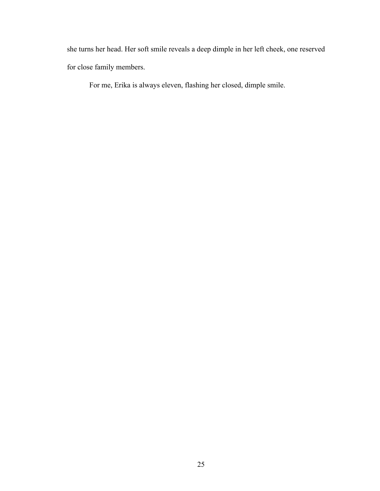she turns her head. Her soft smile reveals a deep dimple in her left cheek, one reserved for close family members.

For me, Erika is always eleven, flashing her closed, dimple smile.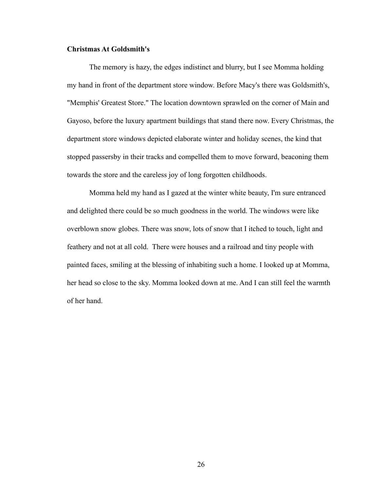#### **Christmas At Goldsmith's**

The memory is hazy, the edges indistinct and blurry, but I see Momma holding my hand in front of the department store window. Before Macy's there was Goldsmith's, "Memphis' Greatest Store." The location downtown sprawled on the corner of Main and Gayoso, before the luxury apartment buildings that stand there now. Every Christmas, the department store windows depicted elaborate winter and holiday scenes, the kind that stopped passersby in their tracks and compelled them to move forward, beaconing them towards the store and the careless joy of long forgotten childhoods.

 Momma held my hand as I gazed at the winter white beauty, I'm sure entranced and delighted there could be so much goodness in the world. The windows were like overblown snow globes. There was snow, lots of snow that I itched to touch, light and feathery and not at all cold. There were houses and a railroad and tiny people with painted faces, smiling at the blessing of inhabiting such a home. I looked up at Momma, her head so close to the sky. Momma looked down at me. And I can still feel the warmth of her hand.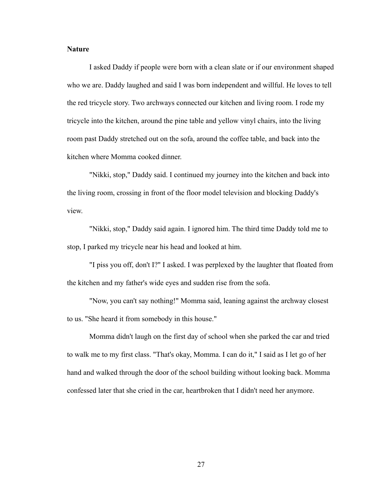#### **Nature**

I asked Daddy if people were born with a clean slate or if our environment shaped who we are. Daddy laughed and said I was born independent and willful. He loves to tell the red tricycle story. Two archways connected our kitchen and living room. I rode my tricycle into the kitchen, around the pine table and yellow vinyl chairs, into the living room past Daddy stretched out on the sofa, around the coffee table, and back into the kitchen where Momma cooked dinner.

 "Nikki, stop," Daddy said. I continued my journey into the kitchen and back into the living room, crossing in front of the floor model television and blocking Daddy's view.

 "Nikki, stop," Daddy said again. I ignored him. The third time Daddy told me to stop, I parked my tricycle near his head and looked at him.

 "I piss you off, don't I?" I asked. I was perplexed by the laughter that floated from the kitchen and my father's wide eyes and sudden rise from the sofa.

 "Now, you can't say nothing!" Momma said, leaning against the archway closest to us. "She heard it from somebody in this house."

 Momma didn't laugh on the first day of school when she parked the car and tried to walk me to my first class. "That's okay, Momma. I can do it," I said as I let go of her hand and walked through the door of the school building without looking back. Momma confessed later that she cried in the car, heartbroken that I didn't need her anymore.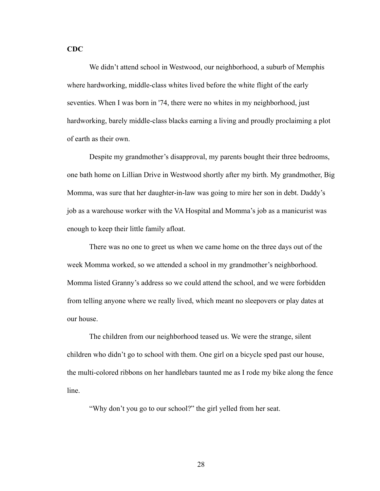## **CDC**

We didn't attend school in Westwood, our neighborhood, a suburb of Memphis where hardworking, middle-class whites lived before the white flight of the early seventies. When I was born in '74, there were no whites in my neighborhood, just hardworking, barely middle-class blacks earning a living and proudly proclaiming a plot of earth as their own.

 Despite my grandmother's disapproval, my parents bought their three bedrooms, one bath home on Lillian Drive in Westwood shortly after my birth. My grandmother, Big Momma, was sure that her daughter-in-law was going to mire her son in debt. Daddy's job as a warehouse worker with the VA Hospital and Momma's job as a manicurist was enough to keep their little family afloat.

 There was no one to greet us when we came home on the three days out of the week Momma worked, so we attended a school in my grandmother's neighborhood. Momma listed Granny's address so we could attend the school, and we were forbidden from telling anyone where we really lived, which meant no sleepovers or play dates at our house.

 The children from our neighborhood teased us. We were the strange, silent children who didn't go to school with them. One girl on a bicycle sped past our house, the multi-colored ribbons on her handlebars taunted me as I rode my bike along the fence line.

"Why don't you go to our school?" the girl yelled from her seat.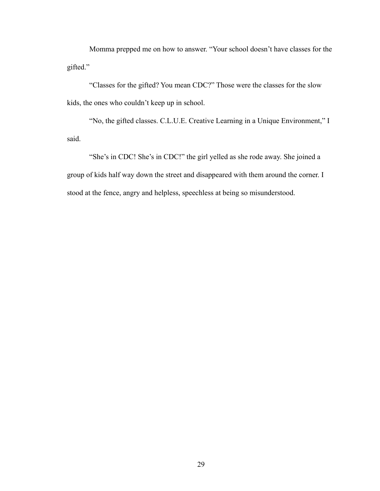Momma prepped me on how to answer. "Your school doesn't have classes for the gifted."

 "Classes for the gifted? You mean CDC?" Those were the classes for the slow kids, the ones who couldn't keep up in school.

 "No, the gifted classes. C.L.U.E. Creative Learning in a Unique Environment," I said.

"She's in CDC! She's in CDC!" the girl yelled as she rode away. She joined a group of kids half way down the street and disappeared with them around the corner. I stood at the fence, angry and helpless, speechless at being so misunderstood.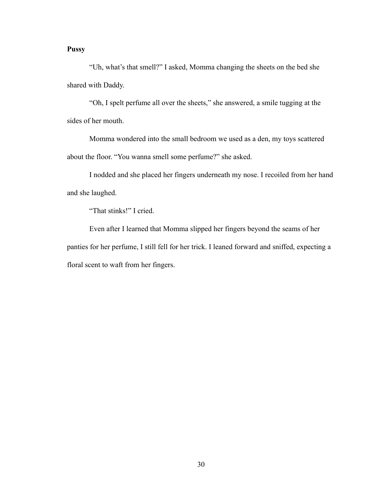# **Pussy**

 "Uh, what's that smell?" I asked, Momma changing the sheets on the bed she shared with Daddy.

 "Oh, I spelt perfume all over the sheets," she answered, a smile tugging at the sides of her mouth.

 Momma wondered into the small bedroom we used as a den, my toys scattered about the floor. "You wanna smell some perfume?" she asked.

 I nodded and she placed her fingers underneath my nose. I recoiled from her hand and she laughed.

"That stinks!" I cried.

 Even after I learned that Momma slipped her fingers beyond the seams of her panties for her perfume, I still fell for her trick. I leaned forward and sniffed, expecting a floral scent to waft from her fingers.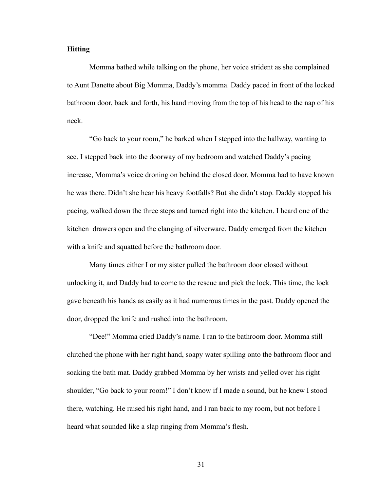### **Hitting**

Momma bathed while talking on the phone, her voice strident as she complained to Aunt Danette about Big Momma, Daddy's momma. Daddy paced in front of the locked bathroom door, back and forth, his hand moving from the top of his head to the nap of his neck.

 "Go back to your room," he barked when I stepped into the hallway, wanting to see. I stepped back into the doorway of my bedroom and watched Daddy's pacing increase, Momma's voice droning on behind the closed door. Momma had to have known he was there. Didn't she hear his heavy footfalls? But she didn't stop. Daddy stopped his pacing, walked down the three steps and turned right into the kitchen. I heard one of the kitchen drawers open and the clanging of silverware. Daddy emerged from the kitchen with a knife and squatted before the bathroom door.

 Many times either I or my sister pulled the bathroom door closed without unlocking it, and Daddy had to come to the rescue and pick the lock. This time, the lock gave beneath his hands as easily as it had numerous times in the past. Daddy opened the door, dropped the knife and rushed into the bathroom.

 "Dee!" Momma cried Daddy's name. I ran to the bathroom door. Momma still clutched the phone with her right hand, soapy water spilling onto the bathroom floor and soaking the bath mat. Daddy grabbed Momma by her wrists and yelled over his right shoulder, "Go back to your room!" I don't know if I made a sound, but he knew I stood there, watching. He raised his right hand, and I ran back to my room, but not before I heard what sounded like a slap ringing from Momma's flesh.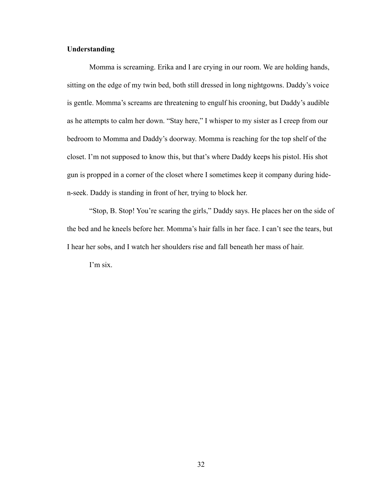# **Understanding**

Momma is screaming. Erika and I are crying in our room. We are holding hands, sitting on the edge of my twin bed, both still dressed in long nightgowns. Daddy's voice is gentle. Momma's screams are threatening to engulf his crooning, but Daddy's audible as he attempts to calm her down. "Stay here," I whisper to my sister as I creep from our bedroom to Momma and Daddy's doorway. Momma is reaching for the top shelf of the closet. I'm not supposed to know this, but that's where Daddy keeps his pistol. His shot gun is propped in a corner of the closet where I sometimes keep it company during hiden-seek. Daddy is standing in front of her, trying to block her.

 "Stop, B. Stop! You're scaring the girls," Daddy says. He places her on the side of the bed and he kneels before her. Momma's hair falls in her face. I can't see the tears, but I hear her sobs, and I watch her shoulders rise and fall beneath her mass of hair.

I'm six.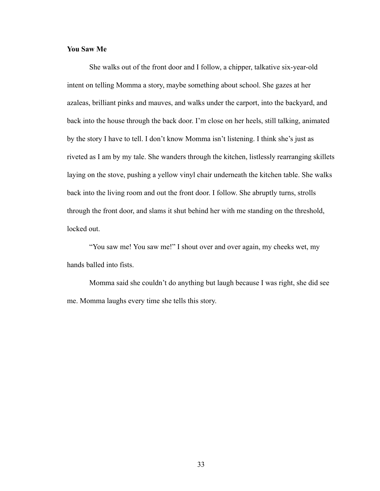## **You Saw Me**

She walks out of the front door and I follow, a chipper, talkative six-year-old intent on telling Momma a story, maybe something about school. She gazes at her azaleas, brilliant pinks and mauves, and walks under the carport, into the backyard, and back into the house through the back door. I'm close on her heels, still talking, animated by the story I have to tell. I don't know Momma isn't listening. I think she's just as riveted as I am by my tale. She wanders through the kitchen, listlessly rearranging skillets laying on the stove, pushing a yellow vinyl chair underneath the kitchen table. She walks back into the living room and out the front door. I follow. She abruptly turns, strolls through the front door, and slams it shut behind her with me standing on the threshold, locked out.

 "You saw me! You saw me!" I shout over and over again, my cheeks wet, my hands balled into fists.

 Momma said she couldn't do anything but laugh because I was right, she did see me. Momma laughs every time she tells this story.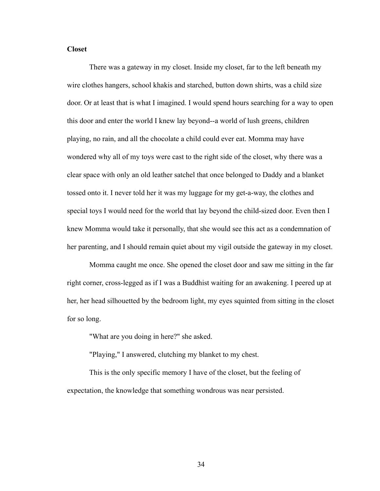## **Closet**

There was a gateway in my closet. Inside my closet, far to the left beneath my wire clothes hangers, school khakis and starched, button down shirts, was a child size door. Or at least that is what I imagined. I would spend hours searching for a way to open this door and enter the world I knew lay beyond--a world of lush greens, children playing, no rain, and all the chocolate a child could ever eat. Momma may have wondered why all of my toys were cast to the right side of the closet, why there was a clear space with only an old leather satchel that once belonged to Daddy and a blanket tossed onto it. I never told her it was my luggage for my get-a-way, the clothes and special toys I would need for the world that lay beyond the child-sized door. Even then I knew Momma would take it personally, that she would see this act as a condemnation of her parenting, and I should remain quiet about my vigil outside the gateway in my closet.

 Momma caught me once. She opened the closet door and saw me sitting in the far right corner, cross-legged as if I was a Buddhist waiting for an awakening. I peered up at her, her head silhouetted by the bedroom light, my eyes squinted from sitting in the closet for so long.

"What are you doing in here?" she asked.

"Playing," I answered, clutching my blanket to my chest.

 This is the only specific memory I have of the closet, but the feeling of expectation, the knowledge that something wondrous was near persisted.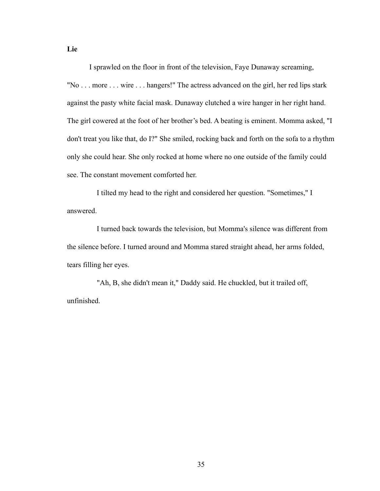I sprawled on the floor in front of the television, Faye Dunaway screaming, "No . . . more . . . wire . . . hangers!" The actress advanced on the girl, her red lips stark against the pasty white facial mask. Dunaway clutched a wire hanger in her right hand. The girl cowered at the foot of her brother's bed. A beating is eminent. Momma asked, "I don't treat you like that, do I?" She smiled, rocking back and forth on the sofa to a rhythm only she could hear. She only rocked at home where no one outside of the family could see. The constant movement comforted her.

I tilted my head to the right and considered her question. "Sometimes," I answered.

I turned back towards the television, but Momma's silence was different from the silence before. I turned around and Momma stared straight ahead, her arms folded, tears filling her eyes.

"Ah, B, she didn't mean it," Daddy said. He chuckled, but it trailed off, unfinished.

**Lie**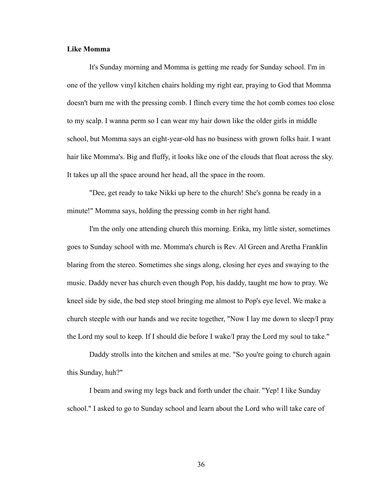#### **Like Momma**

It's Sunday morning and Momma is getting me ready for Sunday school. I'm in one of the yellow vinyl kitchen chairs holding my right ear, praying to God that Momma doesn't burn me with the pressing comb. I flinch every time the hot comb comes too close to my scalp. I wanna perm so I can wear my hair down like the older girls in middle school, but Momma says an eight-year-old has no business with grown folks hair. I want hair like Momma's. Big and fluffy, it looks like one of the clouds that float across the sky. It takes up all the space around her head, all the space in the room.

 "Dee, get ready to take Nikki up here to the church! She's gonna be ready in a minute!" Momma says, holding the pressing comb in her right hand.

 I'm the only one attending church this morning. Erika, my little sister, sometimes goes to Sunday school with me. Momma's church is Rev. Al Green and Aretha Franklin blaring from the stereo. Sometimes she sings along, closing her eyes and swaying to the music. Daddy never has church even though Pop, his daddy, taught me how to pray. We kneel side by side, the bed step stool bringing me almost to Pop's eye level. We make a church steeple with our hands and we recite together, "Now I lay me down to sleep/I pray the Lord my soul to keep. If I should die before I wake/I pray the Lord my soul to take."

 Daddy strolls into the kitchen and smiles at me. "So you're going to church again this Sunday, huh?"

 I beam and swing my legs back and forth under the chair. "Yep! I like Sunday school." I asked to go to Sunday school and learn about the Lord who will take care of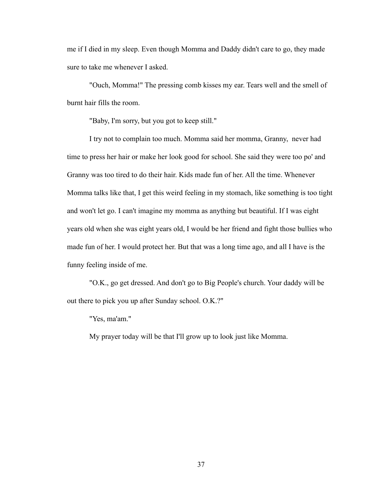me if I died in my sleep. Even though Momma and Daddy didn't care to go, they made sure to take me whenever I asked.

 "Ouch, Momma!" The pressing comb kisses my ear. Tears well and the smell of burnt hair fills the room.

"Baby, I'm sorry, but you got to keep still."

 I try not to complain too much. Momma said her momma, Granny, never had time to press her hair or make her look good for school. She said they were too po' and Granny was too tired to do their hair. Kids made fun of her. All the time. Whenever Momma talks like that, I get this weird feeling in my stomach, like something is too tight and won't let go. I can't imagine my momma as anything but beautiful. If I was eight years old when she was eight years old, I would be her friend and fight those bullies who made fun of her. I would protect her. But that was a long time ago, and all I have is the funny feeling inside of me.

 "O.K., go get dressed. And don't go to Big People's church. Your daddy will be out there to pick you up after Sunday school. O.K.?"

"Yes, ma'am."

My prayer today will be that I'll grow up to look just like Momma.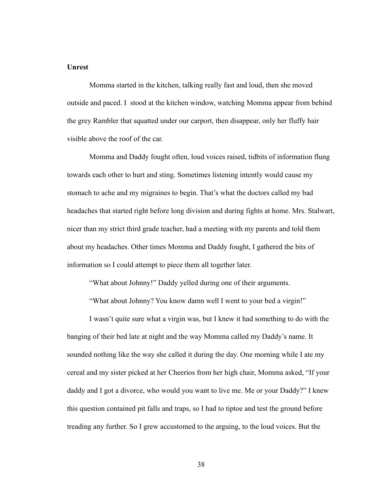## **Unrest**

Momma started in the kitchen, talking really fast and loud, then she moved outside and paced. I stood at the kitchen window, watching Momma appear from behind the grey Rambler that squatted under our carport, then disappear, only her fluffy hair visible above the roof of the car.

 Momma and Daddy fought often, loud voices raised, tidbits of information flung towards each other to hurt and sting. Sometimes listening intently would cause my stomach to ache and my migraines to begin. That's what the doctors called my bad headaches that started right before long division and during fights at home. Mrs. Stalwart, nicer than my strict third grade teacher, had a meeting with my parents and told them about my headaches. Other times Momma and Daddy fought, I gathered the bits of information so I could attempt to piece them all together later.

"What about Johnny!" Daddy yelled during one of their arguments.

"What about Johnny? You know damn well I went to your bed a virgin!"

I wasn't quite sure what a virgin was, but I knew it had something to do with the banging of their bed late at night and the way Momma called my Daddy's name. It sounded nothing like the way she called it during the day. One morning while I ate my cereal and my sister picked at her Cheerios from her high chair, Momma asked, "If your daddy and I got a divorce, who would you want to live me. Me or your Daddy?" I knew this question contained pit falls and traps, so I had to tiptoe and test the ground before treading any further. So I grew accustomed to the arguing, to the loud voices. But the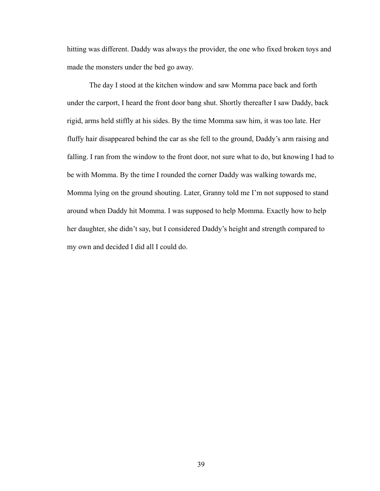hitting was different. Daddy was always the provider, the one who fixed broken toys and made the monsters under the bed go away.

 The day I stood at the kitchen window and saw Momma pace back and forth under the carport, I heard the front door bang shut. Shortly thereafter I saw Daddy, back rigid, arms held stiffly at his sides. By the time Momma saw him, it was too late. Her fluffy hair disappeared behind the car as she fell to the ground, Daddy's arm raising and falling. I ran from the window to the front door, not sure what to do, but knowing I had to be with Momma. By the time I rounded the corner Daddy was walking towards me, Momma lying on the ground shouting. Later, Granny told me I'm not supposed to stand around when Daddy hit Momma. I was supposed to help Momma. Exactly how to help her daughter, she didn't say, but I considered Daddy's height and strength compared to my own and decided I did all I could do.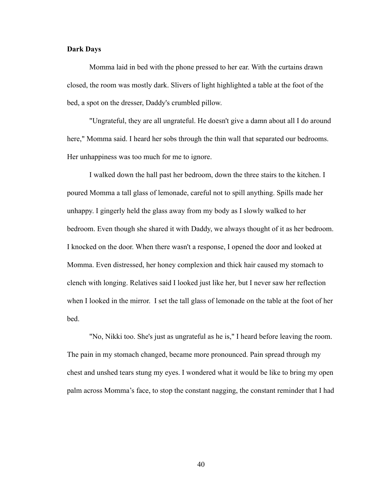### **Dark Days**

Momma laid in bed with the phone pressed to her ear. With the curtains drawn closed, the room was mostly dark. Slivers of light highlighted a table at the foot of the bed, a spot on the dresser, Daddy's crumbled pillow.

 "Ungrateful, they are all ungrateful. He doesn't give a damn about all I do around here," Momma said. I heard her sobs through the thin wall that separated our bedrooms. Her unhappiness was too much for me to ignore.

 I walked down the hall past her bedroom, down the three stairs to the kitchen. I poured Momma a tall glass of lemonade, careful not to spill anything. Spills made her unhappy. I gingerly held the glass away from my body as I slowly walked to her bedroom. Even though she shared it with Daddy, we always thought of it as her bedroom. I knocked on the door. When there wasn't a response, I opened the door and looked at Momma. Even distressed, her honey complexion and thick hair caused my stomach to clench with longing. Relatives said I looked just like her, but I never saw her reflection when I looked in the mirror. I set the tall glass of lemonade on the table at the foot of her bed.

 "No, Nikki too. She's just as ungrateful as he is," I heard before leaving the room. The pain in my stomach changed, became more pronounced. Pain spread through my chest and unshed tears stung my eyes. I wondered what it would be like to bring my open palm across Momma's face, to stop the constant nagging, the constant reminder that I had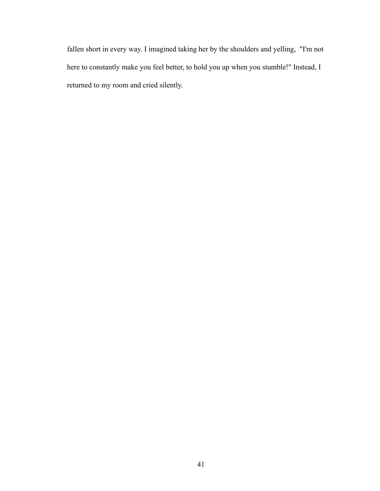fallen short in every way. I imagined taking her by the shoulders and yelling, "I'm not here to constantly make you feel better, to hold you up when you stumble!" Instead, I returned to my room and cried silently.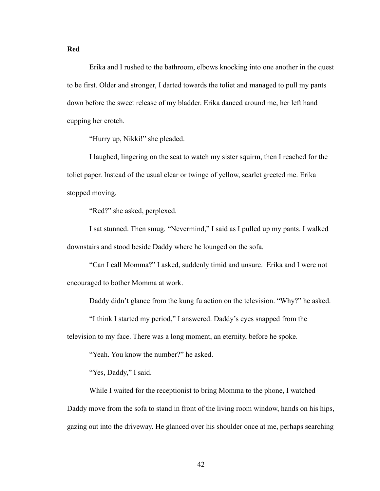**Red**

 Erika and I rushed to the bathroom, elbows knocking into one another in the quest to be first. Older and stronger, I darted towards the toliet and managed to pull my pants down before the sweet release of my bladder. Erika danced around me, her left hand cupping her crotch.

"Hurry up, Nikki!" she pleaded.

 I laughed, lingering on the seat to watch my sister squirm, then I reached for the toliet paper. Instead of the usual clear or twinge of yellow, scarlet greeted me. Erika stopped moving.

"Red?" she asked, perplexed.

 I sat stunned. Then smug. "Nevermind," I said as I pulled up my pants. I walked downstairs and stood beside Daddy where he lounged on the sofa.

 "Can I call Momma?" I asked, suddenly timid and unsure. Erika and I were not encouraged to bother Momma at work.

Daddy didn't glance from the kung fu action on the television. "Why?" he asked.

"I think I started my period," I answered. Daddy's eyes snapped from the

television to my face. There was a long moment, an eternity, before he spoke.

"Yeah. You know the number?" he asked.

"Yes, Daddy," I said.

While I waited for the receptionist to bring Momma to the phone, I watched

Daddy move from the sofa to stand in front of the living room window, hands on his hips, gazing out into the driveway. He glanced over his shoulder once at me, perhaps searching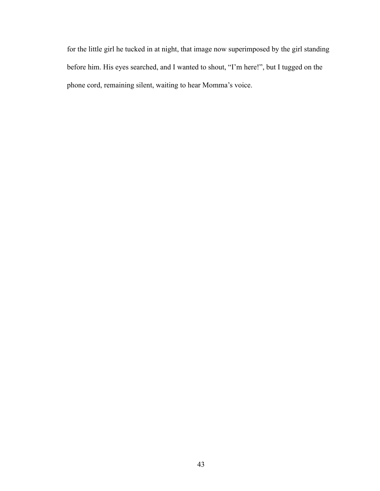for the little girl he tucked in at night, that image now superimposed by the girl standing before him. His eyes searched, and I wanted to shout, "I'm here!", but I tugged on the phone cord, remaining silent, waiting to hear Momma's voice.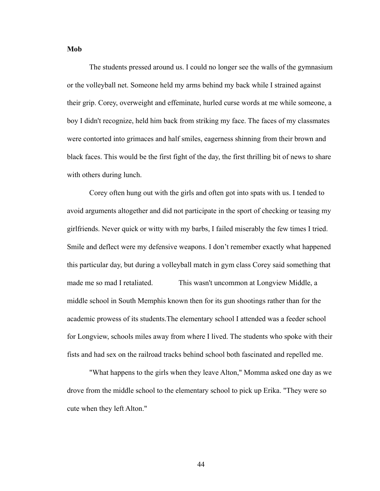### **Mob**

The students pressed around us. I could no longer see the walls of the gymnasium or the volleyball net. Someone held my arms behind my back while I strained against their grip. Corey, overweight and effeminate, hurled curse words at me while someone, a boy I didn't recognize, held him back from striking my face. The faces of my classmates were contorted into grimaces and half smiles, eagerness shinning from their brown and black faces. This would be the first fight of the day, the first thrilling bit of news to share with others during lunch.

 Corey often hung out with the girls and often got into spats with us. I tended to avoid arguments altogether and did not participate in the sport of checking or teasing my girlfriends. Never quick or witty with my barbs, I failed miserably the few times I tried. Smile and deflect were my defensive weapons. I don't remember exactly what happened this particular day, but during a volleyball match in gym class Corey said something that made me so mad I retaliated. This wasn't uncommon at Longview Middle, a middle school in South Memphis known then for its gun shootings rather than for the academic prowess of its students.The elementary school I attended was a feeder school for Longview, schools miles away from where I lived. The students who spoke with their fists and had sex on the railroad tracks behind school both fascinated and repelled me.

 "What happens to the girls when they leave Alton," Momma asked one day as we drove from the middle school to the elementary school to pick up Erika. "They were so cute when they left Alton."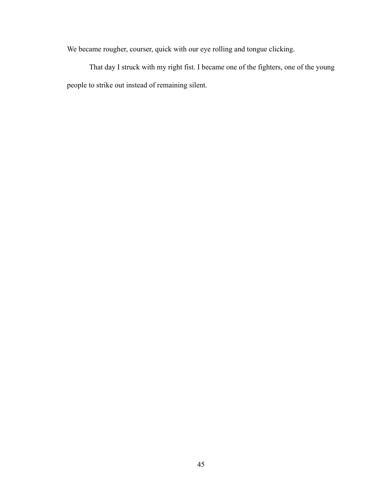We became rougher, courser, quick with our eye rolling and tongue clicking.

That day I struck with my right fist. I became one of the fighters, one of the young people to strike out instead of remaining silent.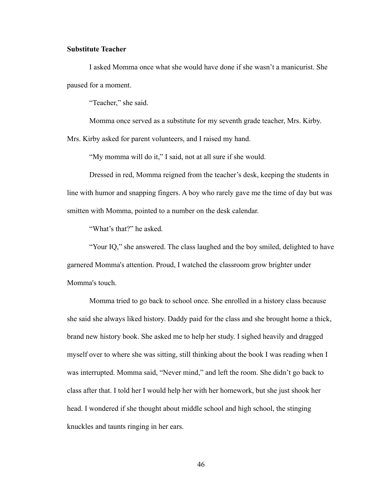### **Substitute Teacher**

I asked Momma once what she would have done if she wasn't a manicurist. She paused for a moment.

"Teacher," she said.

 Momma once served as a substitute for my seventh grade teacher, Mrs. Kirby. Mrs. Kirby asked for parent volunteers, and I raised my hand.

"My momma will do it," I said, not at all sure if she would.

 Dressed in red, Momma reigned from the teacher's desk, keeping the students in line with humor and snapping fingers. A boy who rarely gave me the time of day but was smitten with Momma, pointed to a number on the desk calendar.

"What's that?" he asked.

 "Your IQ," she answered. The class laughed and the boy smiled, delighted to have garnered Momma's attention. Proud, I watched the classroom grow brighter under Momma's touch.

 Momma tried to go back to school once. She enrolled in a history class because she said she always liked history. Daddy paid for the class and she brought home a thick, brand new history book. She asked me to help her study. I sighed heavily and dragged myself over to where she was sitting, still thinking about the book I was reading when I was interrupted. Momma said, "Never mind," and left the room. She didn't go back to class after that. I told her I would help her with her homework, but she just shook her head. I wondered if she thought about middle school and high school, the stinging knuckles and taunts ringing in her ears.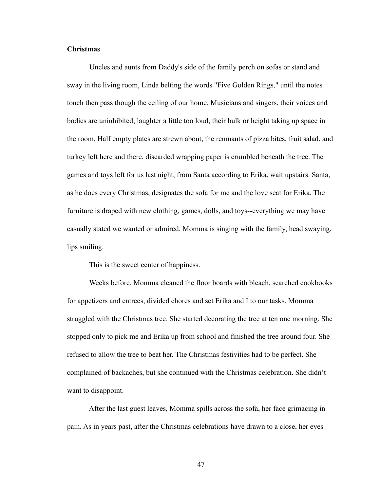### **Christmas**

Uncles and aunts from Daddy's side of the family perch on sofas or stand and sway in the living room, Linda belting the words "Five Golden Rings," until the notes touch then pass though the ceiling of our home. Musicians and singers, their voices and bodies are uninhibited, laughter a little too loud, their bulk or height taking up space in the room. Half empty plates are strewn about, the remnants of pizza bites, fruit salad, and turkey left here and there, discarded wrapping paper is crumbled beneath the tree. The games and toys left for us last night, from Santa according to Erika, wait upstairs. Santa, as he does every Christmas, designates the sofa for me and the love seat for Erika. The furniture is draped with new clothing, games, dolls, and toys--everything we may have casually stated we wanted or admired. Momma is singing with the family, head swaying, lips smiling.

This is the sweet center of happiness.

 Weeks before, Momma cleaned the floor boards with bleach, searched cookbooks for appetizers and entrees, divided chores and set Erika and I to our tasks. Momma struggled with the Christmas tree. She started decorating the tree at ten one morning. She stopped only to pick me and Erika up from school and finished the tree around four. She refused to allow the tree to beat her. The Christmas festivities had to be perfect. She complained of backaches, but she continued with the Christmas celebration. She didn't want to disappoint.

 After the last guest leaves, Momma spills across the sofa, her face grimacing in pain. As in years past, after the Christmas celebrations have drawn to a close, her eyes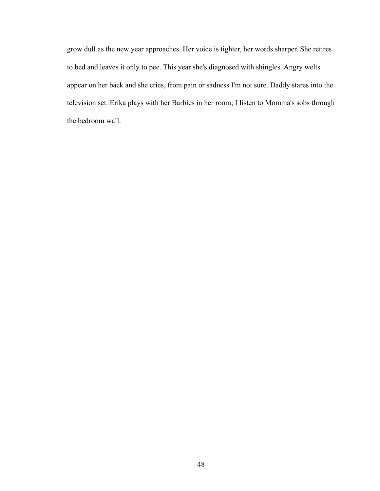grow dull as the new year approaches. Her voice is tighter, her words sharper. She retires to bed and leaves it only to pee. This year she's diagnosed with shingles. Angry welts appear on her back and she cries, from pain or sadness I'm not sure. Daddy stares into the television set. Erika plays with her Barbies in her room; I listen to Momma's sobs through the bedroom wall.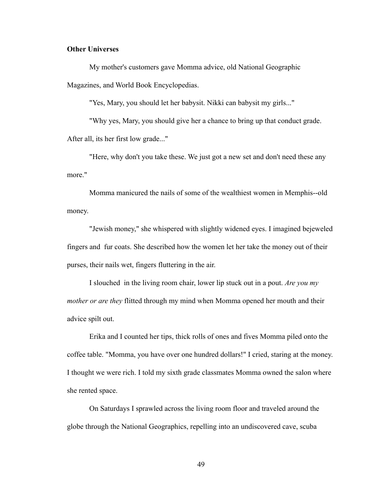### **Other Universes**

My mother's customers gave Momma advice, old National Geographic Magazines, and World Book Encyclopedias.

"Yes, Mary, you should let her babysit. Nikki can babysit my girls..."

 "Why yes, Mary, you should give her a chance to bring up that conduct grade. After all, its her first low grade..."

 "Here, why don't you take these. We just got a new set and don't need these any more."

 Momma manicured the nails of some of the wealthiest women in Memphis--old money.

 "Jewish money," she whispered with slightly widened eyes. I imagined bejeweled fingers and fur coats. She described how the women let her take the money out of their purses, their nails wet, fingers fluttering in the air.

 I slouched in the living room chair, lower lip stuck out in a pout. *Are you my mother or are they* flitted through my mind when Momma opened her mouth and their advice spilt out.

 Erika and I counted her tips, thick rolls of ones and fives Momma piled onto the coffee table. "Momma, you have over one hundred dollars!" I cried, staring at the money. I thought we were rich. I told my sixth grade classmates Momma owned the salon where she rented space.

 On Saturdays I sprawled across the living room floor and traveled around the globe through the National Geographics, repelling into an undiscovered cave, scuba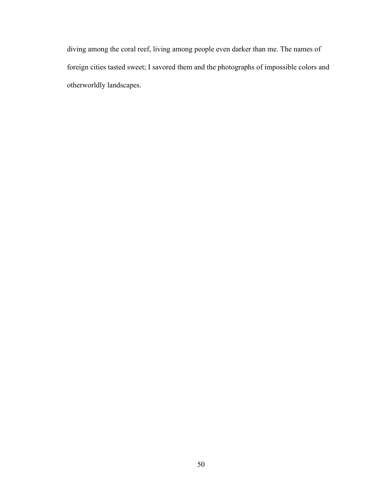diving among the coral reef, living among people even darker than me. The names of foreign cities tasted sweet; I savored them and the photographs of impossible colors and otherworldly landscapes.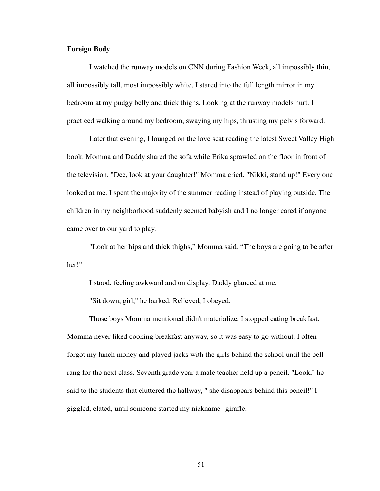### **Foreign Body**

I watched the runway models on CNN during Fashion Week, all impossibly thin, all impossibly tall, most impossibly white. I stared into the full length mirror in my bedroom at my pudgy belly and thick thighs. Looking at the runway models hurt. I practiced walking around my bedroom, swaying my hips, thrusting my pelvis forward.

 Later that evening, I lounged on the love seat reading the latest Sweet Valley High book. Momma and Daddy shared the sofa while Erika sprawled on the floor in front of the television. "Dee, look at your daughter!" Momma cried. "Nikki, stand up!" Every one looked at me. I spent the majority of the summer reading instead of playing outside. The children in my neighborhood suddenly seemed babyish and I no longer cared if anyone came over to our yard to play.

 "Look at her hips and thick thighs," Momma said. "The boys are going to be after her!"

I stood, feeling awkward and on display. Daddy glanced at me.

"Sit down, girl," he barked. Relieved, I obeyed.

 Those boys Momma mentioned didn't materialize. I stopped eating breakfast. Momma never liked cooking breakfast anyway, so it was easy to go without. I often forgot my lunch money and played jacks with the girls behind the school until the bell rang for the next class. Seventh grade year a male teacher held up a pencil. "Look," he said to the students that cluttered the hallway, " she disappears behind this pencil!" I giggled, elated, until someone started my nickname--giraffe.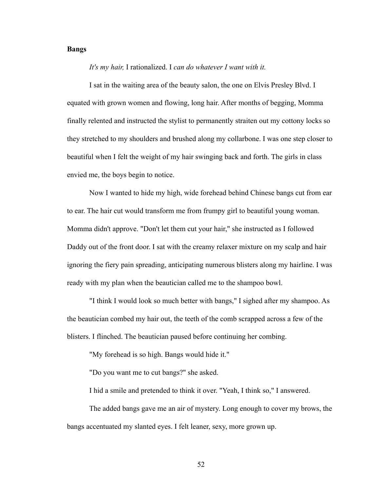### **Bangs**

*It's my hair,* I rationalized. I *can do whatever I want with it.*

 I sat in the waiting area of the beauty salon, the one on Elvis Presley Blvd. I equated with grown women and flowing, long hair. After months of begging, Momma finally relented and instructed the stylist to permanently straiten out my cottony locks so they stretched to my shoulders and brushed along my collarbone. I was one step closer to beautiful when I felt the weight of my hair swinging back and forth. The girls in class envied me, the boys begin to notice.

 Now I wanted to hide my high, wide forehead behind Chinese bangs cut from ear to ear. The hair cut would transform me from frumpy girl to beautiful young woman. Momma didn't approve. "Don't let them cut your hair," she instructed as I followed Daddy out of the front door. I sat with the creamy relaxer mixture on my scalp and hair ignoring the fiery pain spreading, anticipating numerous blisters along my hairline. I was ready with my plan when the beautician called me to the shampoo bowl.

 "I think I would look so much better with bangs," I sighed after my shampoo. As the beautician combed my hair out, the teeth of the comb scrapped across a few of the blisters. I flinched. The beautician paused before continuing her combing.

"My forehead is so high. Bangs would hide it."

"Do you want me to cut bangs?" she asked.

I hid a smile and pretended to think it over. "Yeah, I think so," I answered.

 The added bangs gave me an air of mystery. Long enough to cover my brows, the bangs accentuated my slanted eyes. I felt leaner, sexy, more grown up.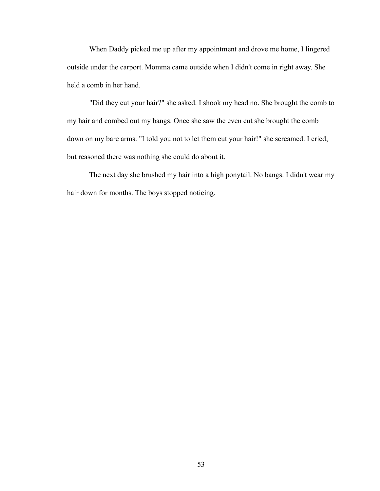When Daddy picked me up after my appointment and drove me home, I lingered outside under the carport. Momma came outside when I didn't come in right away. She held a comb in her hand.

 "Did they cut your hair?" she asked. I shook my head no. She brought the comb to my hair and combed out my bangs. Once she saw the even cut she brought the comb down on my bare arms. "I told you not to let them cut your hair!" she screamed. I cried, but reasoned there was nothing she could do about it.

 The next day she brushed my hair into a high ponytail. No bangs. I didn't wear my hair down for months. The boys stopped noticing.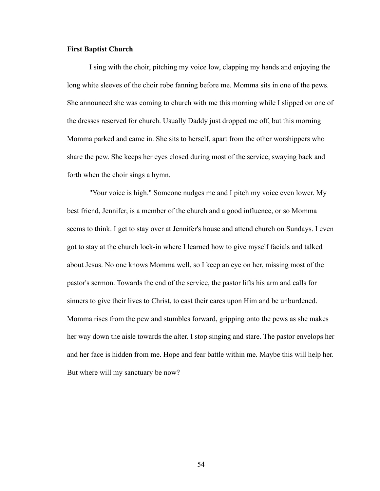### **First Baptist Church**

I sing with the choir, pitching my voice low, clapping my hands and enjoying the long white sleeves of the choir robe fanning before me. Momma sits in one of the pews. She announced she was coming to church with me this morning while I slipped on one of the dresses reserved for church. Usually Daddy just dropped me off, but this morning Momma parked and came in. She sits to herself, apart from the other worshippers who share the pew. She keeps her eyes closed during most of the service, swaying back and forth when the choir sings a hymn.

 "Your voice is high." Someone nudges me and I pitch my voice even lower. My best friend, Jennifer, is a member of the church and a good influence, or so Momma seems to think. I get to stay over at Jennifer's house and attend church on Sundays. I even got to stay at the church lock-in where I learned how to give myself facials and talked about Jesus. No one knows Momma well, so I keep an eye on her, missing most of the pastor's sermon. Towards the end of the service, the pastor lifts his arm and calls for sinners to give their lives to Christ, to cast their cares upon Him and be unburdened. Momma rises from the pew and stumbles forward, gripping onto the pews as she makes her way down the aisle towards the alter. I stop singing and stare. The pastor envelops her and her face is hidden from me. Hope and fear battle within me. Maybe this will help her. But where will my sanctuary be now?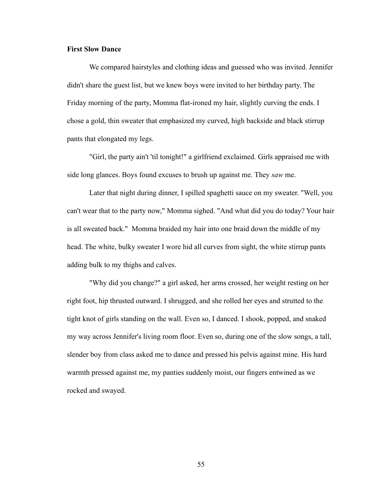#### **First Slow Dance**

We compared hairstyles and clothing ideas and guessed who was invited. Jennifer didn't share the guest list, but we knew boys were invited to her birthday party. The Friday morning of the party, Momma flat-ironed my hair, slightly curving the ends. I chose a gold, thin sweater that emphasized my curved, high backside and black stirrup pants that elongated my legs.

 "Girl, the party ain't 'til tonight!" a girlfriend exclaimed. Girls appraised me with side long glances. Boys found excuses to brush up against me. They *saw* me.

 Later that night during dinner, I spilled spaghetti sauce on my sweater. "Well, you can't wear that to the party now," Momma sighed. "And what did you do today? Your hair is all sweated back." Momma braided my hair into one braid down the middle of my head. The white, bulky sweater I wore hid all curves from sight, the white stirrup pants adding bulk to my thighs and calves.

 "Why did you change?" a girl asked, her arms crossed, her weight resting on her right foot, hip thrusted outward. I shrugged, and she rolled her eyes and strutted to the tight knot of girls standing on the wall. Even so, I danced. I shook, popped, and snaked my way across Jennifer's living room floor. Even so, during one of the slow songs, a tall, slender boy from class asked me to dance and pressed his pelvis against mine. His hard warmth pressed against me, my panties suddenly moist, our fingers entwined as we rocked and swayed.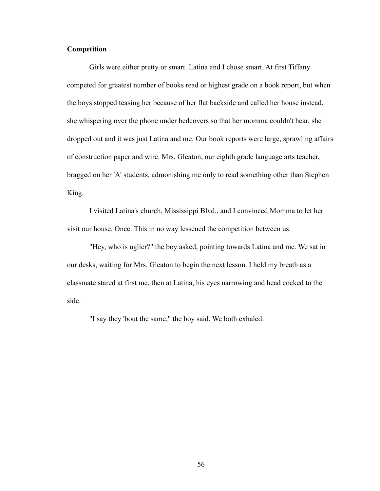# **Competition**

Girls were either pretty or smart. Latina and I chose smart. At first Tiffany competed for greatest number of books read or highest grade on a book report, but when the boys stopped teasing her because of her flat backside and called her house instead, she whispering over the phone under bedcovers so that her momma couldn't hear, she dropped out and it was just Latina and me. Our book reports were large, sprawling affairs of construction paper and wire. Mrs. Gleaton, our eighth grade language arts teacher, bragged on her 'A' students, admonishing me only to read something other than Stephen King.

 I visited Latina's church, Mississippi Blvd., and I convinced Momma to let her visit our house. Once. This in no way lessened the competition between us.

 "Hey, who is uglier?" the boy asked, pointing towards Latina and me. We sat in our desks, waiting for Mrs. Gleaton to begin the next lesson. I held my breath as a classmate stared at first me, then at Latina, his eyes narrowing and head cocked to the side.

"I say they 'bout the same," the boy said. We both exhaled.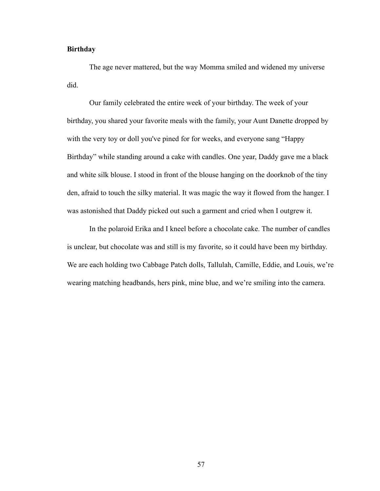## **Birthday**

The age never mattered, but the way Momma smiled and widened my universe did.

 Our family celebrated the entire week of your birthday. The week of your birthday, you shared your favorite meals with the family, your Aunt Danette dropped by with the very toy or doll you've pined for for weeks, and everyone sang "Happy Birthday" while standing around a cake with candles. One year, Daddy gave me a black and white silk blouse. I stood in front of the blouse hanging on the doorknob of the tiny den, afraid to touch the silky material. It was magic the way it flowed from the hanger. I was astonished that Daddy picked out such a garment and cried when I outgrew it.

 In the polaroid Erika and I kneel before a chocolate cake. The number of candles is unclear, but chocolate was and still is my favorite, so it could have been my birthday. We are each holding two Cabbage Patch dolls, Tallulah, Camille, Eddie, and Louis, we're wearing matching headbands, hers pink, mine blue, and we're smiling into the camera.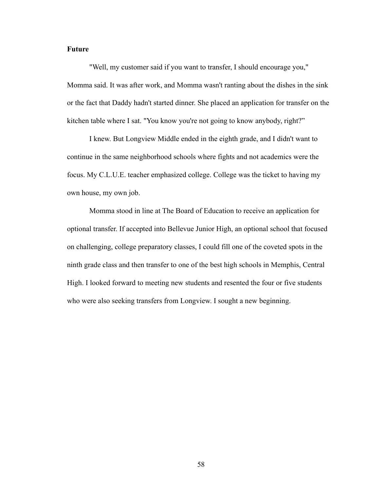## **Future**

"Well, my customer said if you want to transfer, I should encourage you," Momma said. It was after work, and Momma wasn't ranting about the dishes in the sink or the fact that Daddy hadn't started dinner. She placed an application for transfer on the kitchen table where I sat. "You know you're not going to know anybody, right?"

 I knew. But Longview Middle ended in the eighth grade, and I didn't want to continue in the same neighborhood schools where fights and not academics were the focus. My C.L.U.E. teacher emphasized college. College was the ticket to having my own house, my own job.

 Momma stood in line at The Board of Education to receive an application for optional transfer. If accepted into Bellevue Junior High, an optional school that focused on challenging, college preparatory classes, I could fill one of the coveted spots in the ninth grade class and then transfer to one of the best high schools in Memphis, Central High. I looked forward to meeting new students and resented the four or five students who were also seeking transfers from Longview. I sought a new beginning.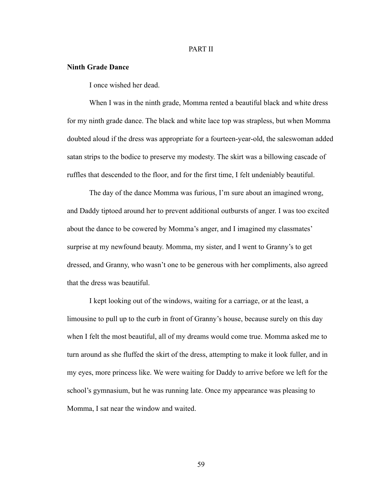### PART II

#### **Ninth Grade Dance**

I once wished her dead.

 When I was in the ninth grade, Momma rented a beautiful black and white dress for my ninth grade dance. The black and white lace top was strapless, but when Momma doubted aloud if the dress was appropriate for a fourteen-year-old, the saleswoman added satan strips to the bodice to preserve my modesty. The skirt was a billowing cascade of ruffles that descended to the floor, and for the first time, I felt undeniably beautiful.

 The day of the dance Momma was furious, I'm sure about an imagined wrong, and Daddy tiptoed around her to prevent additional outbursts of anger. I was too excited about the dance to be cowered by Momma's anger, and I imagined my classmates' surprise at my newfound beauty. Momma, my sister, and I went to Granny's to get dressed, and Granny, who wasn't one to be generous with her compliments, also agreed that the dress was beautiful.

 I kept looking out of the windows, waiting for a carriage, or at the least, a limousine to pull up to the curb in front of Granny's house, because surely on this day when I felt the most beautiful, all of my dreams would come true. Momma asked me to turn around as she fluffed the skirt of the dress, attempting to make it look fuller, and in my eyes, more princess like. We were waiting for Daddy to arrive before we left for the school's gymnasium, but he was running late. Once my appearance was pleasing to Momma, I sat near the window and waited.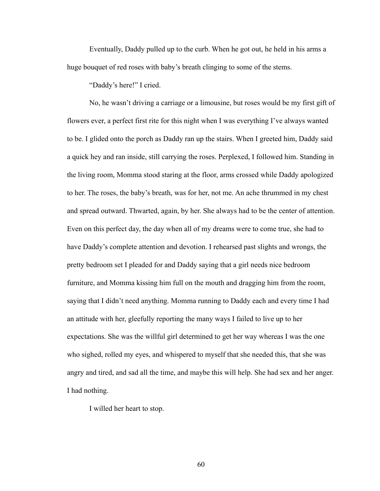Eventually, Daddy pulled up to the curb. When he got out, he held in his arms a huge bouquet of red roses with baby's breath clinging to some of the stems.

"Daddy's here!" I cried.

 No, he wasn't driving a carriage or a limousine, but roses would be my first gift of flowers ever, a perfect first rite for this night when I was everything I've always wanted to be. I glided onto the porch as Daddy ran up the stairs. When I greeted him, Daddy said a quick hey and ran inside, still carrying the roses. Perplexed, I followed him. Standing in the living room, Momma stood staring at the floor, arms crossed while Daddy apologized to her. The roses, the baby's breath, was for her, not me. An ache thrummed in my chest and spread outward. Thwarted, again, by her. She always had to be the center of attention. Even on this perfect day, the day when all of my dreams were to come true, she had to have Daddy's complete attention and devotion. I rehearsed past slights and wrongs, the pretty bedroom set I pleaded for and Daddy saying that a girl needs nice bedroom furniture, and Momma kissing him full on the mouth and dragging him from the room, saying that I didn't need anything. Momma running to Daddy each and every time I had an attitude with her, gleefully reporting the many ways I failed to live up to her expectations. She was the willful girl determined to get her way whereas I was the one who sighed, rolled my eyes, and whispered to myself that she needed this, that she was angry and tired, and sad all the time, and maybe this will help. She had sex and her anger. I had nothing.

I willed her heart to stop.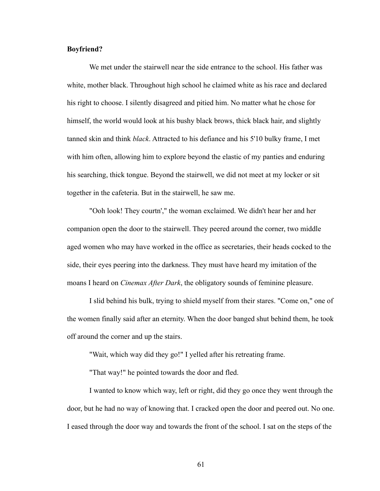### **Boyfriend?**

We met under the stairwell near the side entrance to the school. His father was white, mother black. Throughout high school he claimed white as his race and declared his right to choose. I silently disagreed and pitied him. No matter what he chose for himself, the world would look at his bushy black brows, thick black hair, and slightly tanned skin and think *black*. Attracted to his defiance and his 5'10 bulky frame, I met with him often, allowing him to explore beyond the elastic of my panties and enduring his searching, thick tongue. Beyond the stairwell, we did not meet at my locker or sit together in the cafeteria. But in the stairwell, he saw me.

 "Ooh look! They courtn'," the woman exclaimed. We didn't hear her and her companion open the door to the stairwell. They peered around the corner, two middle aged women who may have worked in the office as secretaries, their heads cocked to the side, their eyes peering into the darkness. They must have heard my imitation of the moans I heard on *Cinemax After Dark*, the obligatory sounds of feminine pleasure.

 I slid behind his bulk, trying to shield myself from their stares. "Come on," one of the women finally said after an eternity. When the door banged shut behind them, he took off around the corner and up the stairs.

"Wait, which way did they go!" I yelled after his retreating frame.

"That way!" he pointed towards the door and fled.

 I wanted to know which way, left or right, did they go once they went through the door, but he had no way of knowing that. I cracked open the door and peered out. No one. I eased through the door way and towards the front of the school. I sat on the steps of the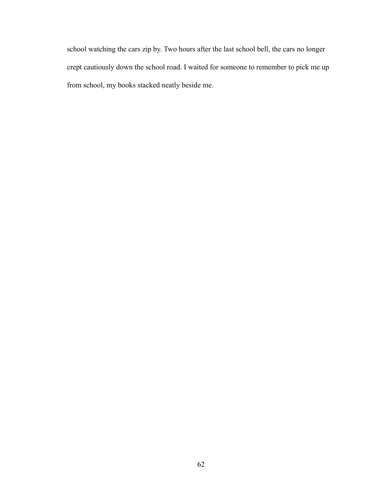school watching the cars zip by. Two hours after the last school bell, the cars no longer crept cautiously down the school road. I waited for someone to remember to pick me up from school, my books stacked neatly beside me.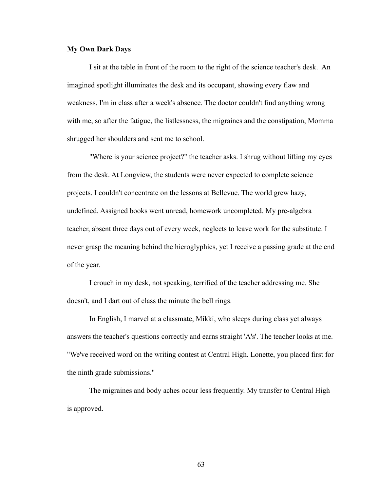## **My Own Dark Days**

I sit at the table in front of the room to the right of the science teacher's desk. An imagined spotlight illuminates the desk and its occupant, showing every flaw and weakness. I'm in class after a week's absence. The doctor couldn't find anything wrong with me, so after the fatigue, the listlessness, the migraines and the constipation, Momma shrugged her shoulders and sent me to school.

 "Where is your science project?" the teacher asks. I shrug without lifting my eyes from the desk. At Longview, the students were never expected to complete science projects. I couldn't concentrate on the lessons at Bellevue. The world grew hazy, undefined. Assigned books went unread, homework uncompleted. My pre-algebra teacher, absent three days out of every week, neglects to leave work for the substitute. I never grasp the meaning behind the hieroglyphics, yet I receive a passing grade at the end of the year.

 I crouch in my desk, not speaking, terrified of the teacher addressing me. She doesn't, and I dart out of class the minute the bell rings.

 In English, I marvel at a classmate, Mikki, who sleeps during class yet always answers the teacher's questions correctly and earns straight 'A's'. The teacher looks at me. "We've received word on the writing contest at Central High. Lonette, you placed first for the ninth grade submissions."

 The migraines and body aches occur less frequently. My transfer to Central High is approved.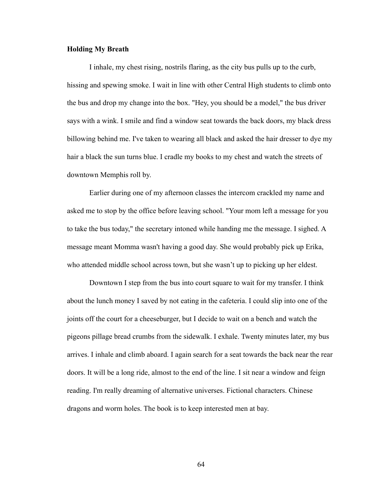## **Holding My Breath**

I inhale, my chest rising, nostrils flaring, as the city bus pulls up to the curb, hissing and spewing smoke. I wait in line with other Central High students to climb onto the bus and drop my change into the box. "Hey, you should be a model," the bus driver says with a wink. I smile and find a window seat towards the back doors, my black dress billowing behind me. I've taken to wearing all black and asked the hair dresser to dye my hair a black the sun turns blue. I cradle my books to my chest and watch the streets of downtown Memphis roll by.

 Earlier during one of my afternoon classes the intercom crackled my name and asked me to stop by the office before leaving school. "Your mom left a message for you to take the bus today," the secretary intoned while handing me the message. I sighed. A message meant Momma wasn't having a good day. She would probably pick up Erika, who attended middle school across town, but she wasn't up to picking up her eldest.

 Downtown I step from the bus into court square to wait for my transfer. I think about the lunch money I saved by not eating in the cafeteria. I could slip into one of the joints off the court for a cheeseburger, but I decide to wait on a bench and watch the pigeons pillage bread crumbs from the sidewalk. I exhale. Twenty minutes later, my bus arrives. I inhale and climb aboard. I again search for a seat towards the back near the rear doors. It will be a long ride, almost to the end of the line. I sit near a window and feign reading. I'm really dreaming of alternative universes. Fictional characters. Chinese dragons and worm holes. The book is to keep interested men at bay.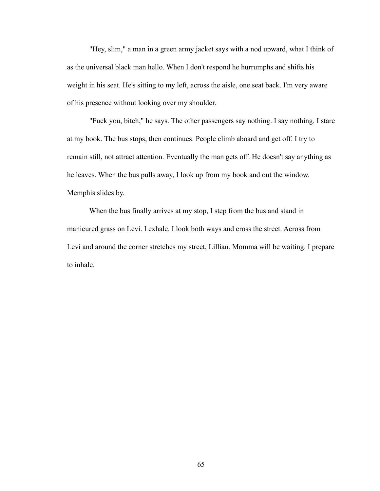"Hey, slim," a man in a green army jacket says with a nod upward, what I think of as the universal black man hello. When I don't respond he hurrumphs and shifts his weight in his seat. He's sitting to my left, across the aisle, one seat back. I'm very aware of his presence without looking over my shoulder.

 "Fuck you, bitch," he says. The other passengers say nothing. I say nothing. I stare at my book. The bus stops, then continues. People climb aboard and get off. I try to remain still, not attract attention. Eventually the man gets off. He doesn't say anything as he leaves. When the bus pulls away, I look up from my book and out the window. Memphis slides by.

 When the bus finally arrives at my stop, I step from the bus and stand in manicured grass on Levi. I exhale. I look both ways and cross the street. Across from Levi and around the corner stretches my street, Lillian. Momma will be waiting. I prepare to inhale.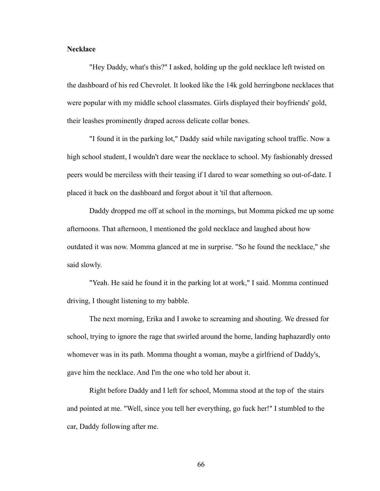## **Necklace**

"Hey Daddy, what's this?" I asked, holding up the gold necklace left twisted on the dashboard of his red Chevrolet. It looked like the 14k gold herringbone necklaces that were popular with my middle school classmates. Girls displayed their boyfriends' gold, their leashes prominently draped across delicate collar bones.

 "I found it in the parking lot," Daddy said while navigating school traffic. Now a high school student, I wouldn't dare wear the necklace to school. My fashionably dressed peers would be merciless with their teasing if I dared to wear something so out-of-date. I placed it back on the dashboard and forgot about it 'til that afternoon.

 Daddy dropped me off at school in the mornings, but Momma picked me up some afternoons. That afternoon, I mentioned the gold necklace and laughed about how outdated it was now. Momma glanced at me in surprise. "So he found the necklace," she said slowly.

 "Yeah. He said he found it in the parking lot at work," I said. Momma continued driving, I thought listening to my babble.

 The next morning, Erika and I awoke to screaming and shouting. We dressed for school, trying to ignore the rage that swirled around the home, landing haphazardly onto whomever was in its path. Momma thought a woman, maybe a girlfriend of Daddy's, gave him the necklace. And I'm the one who told her about it.

 Right before Daddy and I left for school, Momma stood at the top of the stairs and pointed at me. "Well, since you tell her everything, go fuck her!" I stumbled to the car, Daddy following after me.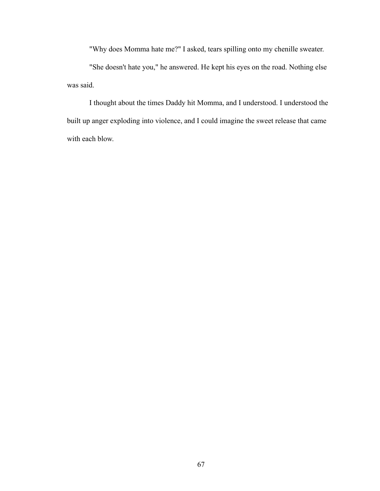"Why does Momma hate me?" I asked, tears spilling onto my chenille sweater.

 "She doesn't hate you," he answered. He kept his eyes on the road. Nothing else was said.

 I thought about the times Daddy hit Momma, and I understood. I understood the built up anger exploding into violence, and I could imagine the sweet release that came with each blow.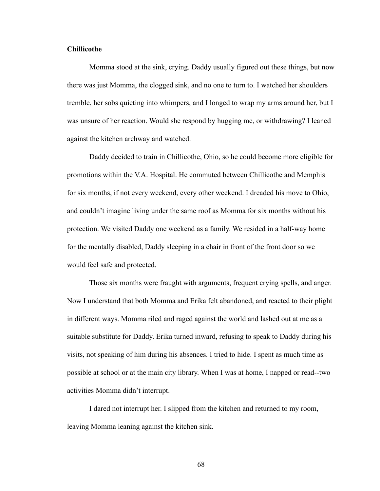## **Chillicothe**

Momma stood at the sink, crying. Daddy usually figured out these things, but now there was just Momma, the clogged sink, and no one to turn to. I watched her shoulders tremble, her sobs quieting into whimpers, and I longed to wrap my arms around her, but I was unsure of her reaction. Would she respond by hugging me, or withdrawing? I leaned against the kitchen archway and watched.

 Daddy decided to train in Chillicothe, Ohio, so he could become more eligible for promotions within the V.A. Hospital. He commuted between Chillicothe and Memphis for six months, if not every weekend, every other weekend. I dreaded his move to Ohio, and couldn't imagine living under the same roof as Momma for six months without his protection. We visited Daddy one weekend as a family. We resided in a half-way home for the mentally disabled, Daddy sleeping in a chair in front of the front door so we would feel safe and protected.

 Those six months were fraught with arguments, frequent crying spells, and anger. Now I understand that both Momma and Erika felt abandoned, and reacted to their plight in different ways. Momma riled and raged against the world and lashed out at me as a suitable substitute for Daddy. Erika turned inward, refusing to speak to Daddy during his visits, not speaking of him during his absences. I tried to hide. I spent as much time as possible at school or at the main city library. When I was at home, I napped or read--two activities Momma didn't interrupt.

 I dared not interrupt her. I slipped from the kitchen and returned to my room, leaving Momma leaning against the kitchen sink.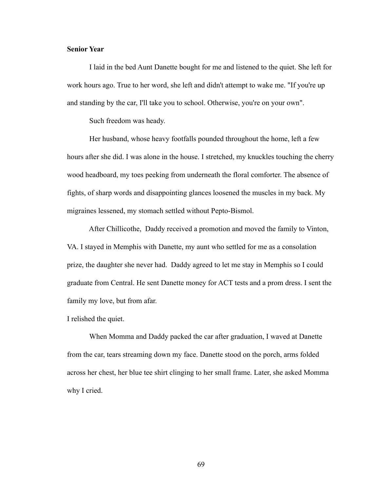# **Senior Year**

I laid in the bed Aunt Danette bought for me and listened to the quiet. She left for work hours ago. True to her word, she left and didn't attempt to wake me. "If you're up and standing by the car, I'll take you to school. Otherwise, you're on your own".

Such freedom was heady.

 Her husband, whose heavy footfalls pounded throughout the home, left a few hours after she did. I was alone in the house. I stretched, my knuckles touching the cherry wood headboard, my toes peeking from underneath the floral comforter. The absence of fights, of sharp words and disappointing glances loosened the muscles in my back. My migraines lessened, my stomach settled without Pepto-Bismol.

 After Chillicothe, Daddy received a promotion and moved the family to Vinton, VA. I stayed in Memphis with Danette, my aunt who settled for me as a consolation prize, the daughter she never had. Daddy agreed to let me stay in Memphis so I could graduate from Central. He sent Danette money for ACT tests and a prom dress. I sent the family my love, but from afar.

I relished the quiet.

 When Momma and Daddy packed the car after graduation, I waved at Danette from the car, tears streaming down my face. Danette stood on the porch, arms folded across her chest, her blue tee shirt clinging to her small frame. Later, she asked Momma why I cried.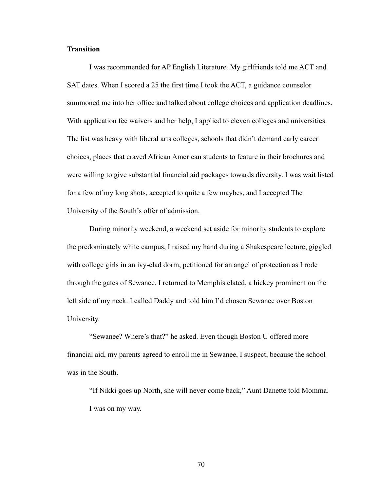## **Transition**

I was recommended for AP English Literature. My girlfriends told me ACT and SAT dates. When I scored a 25 the first time I took the ACT, a guidance counselor summoned me into her office and talked about college choices and application deadlines. With application fee waivers and her help, I applied to eleven colleges and universities. The list was heavy with liberal arts colleges, schools that didn't demand early career choices, places that craved African American students to feature in their brochures and were willing to give substantial financial aid packages towards diversity. I was wait listed for a few of my long shots, accepted to quite a few maybes, and I accepted The University of the South's offer of admission.

 During minority weekend, a weekend set aside for minority students to explore the predominately white campus, I raised my hand during a Shakespeare lecture, giggled with college girls in an ivy-clad dorm, petitioned for an angel of protection as I rode through the gates of Sewanee. I returned to Memphis elated, a hickey prominent on the left side of my neck. I called Daddy and told him I'd chosen Sewanee over Boston University.

 "Sewanee? Where's that?" he asked. Even though Boston U offered more financial aid, my parents agreed to enroll me in Sewanee, I suspect, because the school was in the South.

 "If Nikki goes up North, she will never come back," Aunt Danette told Momma. I was on my way.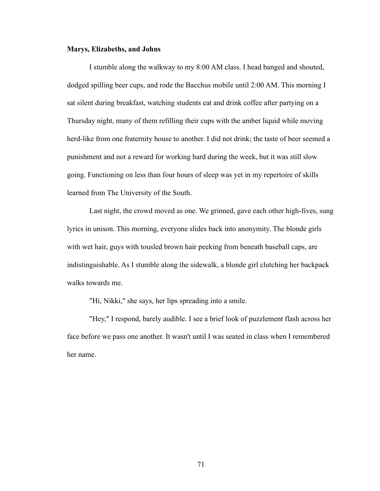## **Marys, Elizabeths, and Johns**

I stumble along the walkway to my 8:00 AM class. I head banged and shouted, dodged spilling beer cups, and rode the Bacchus mobile until 2:00 AM. This morning I sat silent during breakfast, watching students eat and drink coffee after partying on a Thursday night, many of them refilling their cups with the amber liquid while moving herd-like from one fraternity house to another. I did not drink; the taste of beer seemed a punishment and not a reward for working hard during the week, but it was still slow going. Functioning on less than four hours of sleep was yet in my repertoire of skills learned from The University of the South.

 Last night, the crowd moved as one. We grinned, gave each other high-fives, sung lyrics in unison. This morning, everyone slides back into anonymity. The blonde girls with wet hair, guys with tousled brown hair peeking from beneath baseball caps, are indistinguishable. As I stumble along the sidewalk, a blonde girl clutching her backpack walks towards me.

"Hi, Nikki," she says, her lips spreading into a smile.

 "Hey," I respond, barely audible. I see a brief look of puzzlement flash across her face before we pass one another. It wasn't until I was seated in class when I remembered her name.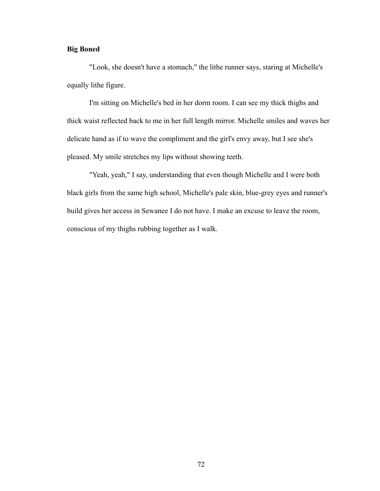# **Big Boned**

"Look, she doesn't have a stomach," the lithe runner says, staring at Michelle's equally lithe figure.

 I'm sitting on Michelle's bed in her dorm room. I can see my thick thighs and thick waist reflected back to me in her full length mirror. Michelle smiles and waves her delicate hand as if to wave the compliment and the girl's envy away, but I see she's pleased. My smile stretches my lips without showing teeth.

 "Yeah, yeah," I say, understanding that even though Michelle and I were both black girls from the same high school, Michelle's pale skin, blue-grey eyes and runner's build gives her access in Sewanee I do not have. I make an excuse to leave the room, conscious of my thighs rubbing together as I walk.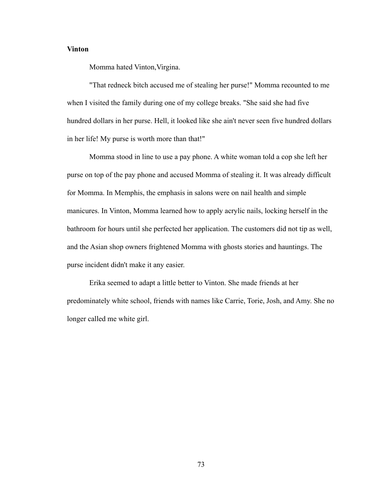# **Vinton**

Momma hated Vinton,Virgina.

 "That redneck bitch accused me of stealing her purse!" Momma recounted to me when I visited the family during one of my college breaks. "She said she had five hundred dollars in her purse. Hell, it looked like she ain't never seen five hundred dollars in her life! My purse is worth more than that!"

 Momma stood in line to use a pay phone. A white woman told a cop she left her purse on top of the pay phone and accused Momma of stealing it. It was already difficult for Momma. In Memphis, the emphasis in salons were on nail health and simple manicures. In Vinton, Momma learned how to apply acrylic nails, locking herself in the bathroom for hours until she perfected her application. The customers did not tip as well, and the Asian shop owners frightened Momma with ghosts stories and hauntings. The purse incident didn't make it any easier.

 Erika seemed to adapt a little better to Vinton. She made friends at her predominately white school, friends with names like Carrie, Torie, Josh, and Amy. She no longer called me white girl.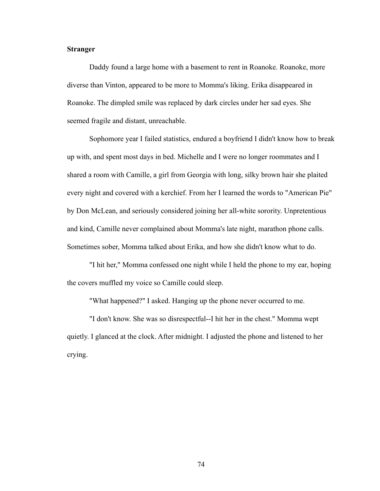## **Stranger**

Daddy found a large home with a basement to rent in Roanoke. Roanoke, more diverse than Vinton, appeared to be more to Momma's liking. Erika disappeared in Roanoke. The dimpled smile was replaced by dark circles under her sad eyes. She seemed fragile and distant, unreachable.

 Sophomore year I failed statistics, endured a boyfriend I didn't know how to break up with, and spent most days in bed. Michelle and I were no longer roommates and I shared a room with Camille, a girl from Georgia with long, silky brown hair she plaited every night and covered with a kerchief. From her I learned the words to "American Pie" by Don McLean, and seriously considered joining her all-white sorority. Unpretentious and kind, Camille never complained about Momma's late night, marathon phone calls. Sometimes sober, Momma talked about Erika, and how she didn't know what to do.

 "I hit her," Momma confessed one night while I held the phone to my ear, hoping the covers muffled my voice so Camille could sleep.

"What happened?" I asked. Hanging up the phone never occurred to me.

 "I don't know. She was so disrespectful--I hit her in the chest." Momma wept quietly. I glanced at the clock. After midnight. I adjusted the phone and listened to her crying.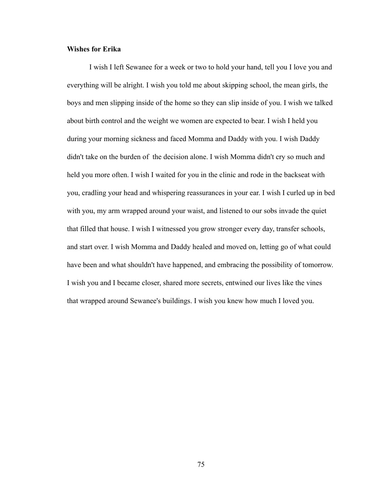## **Wishes for Erika**

I wish I left Sewanee for a week or two to hold your hand, tell you I love you and everything will be alright. I wish you told me about skipping school, the mean girls, the boys and men slipping inside of the home so they can slip inside of you. I wish we talked about birth control and the weight we women are expected to bear. I wish I held you during your morning sickness and faced Momma and Daddy with you. I wish Daddy didn't take on the burden of the decision alone. I wish Momma didn't cry so much and held you more often. I wish I waited for you in the clinic and rode in the backseat with you, cradling your head and whispering reassurances in your ear. I wish I curled up in bed with you, my arm wrapped around your waist, and listened to our sobs invade the quiet that filled that house. I wish I witnessed you grow stronger every day, transfer schools, and start over. I wish Momma and Daddy healed and moved on, letting go of what could have been and what shouldn't have happened, and embracing the possibility of tomorrow. I wish you and I became closer, shared more secrets, entwined our lives like the vines that wrapped around Sewanee's buildings. I wish you knew how much I loved you.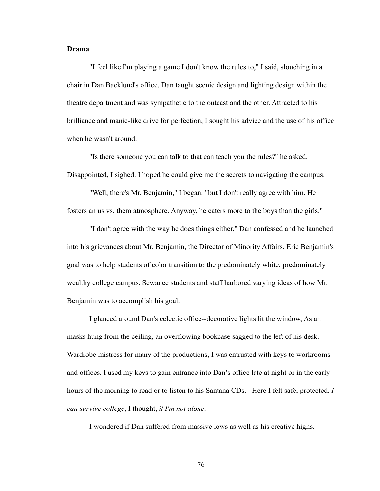## **Drama**

"I feel like I'm playing a game I don't know the rules to," I said, slouching in a chair in Dan Backlund's office. Dan taught scenic design and lighting design within the theatre department and was sympathetic to the outcast and the other. Attracted to his brilliance and manic-like drive for perfection, I sought his advice and the use of his office when he wasn't around.

 "Is there someone you can talk to that can teach you the rules?" he asked. Disappointed, I sighed. I hoped he could give me the secrets to navigating the campus.

 "Well, there's Mr. Benjamin," I began. "but I don't really agree with him. He fosters an us vs. them atmosphere. Anyway, he caters more to the boys than the girls."

 "I don't agree with the way he does things either," Dan confessed and he launched into his grievances about Mr. Benjamin, the Director of Minority Affairs. Eric Benjamin's goal was to help students of color transition to the predominately white, predominately wealthy college campus. Sewanee students and staff harbored varying ideas of how Mr. Benjamin was to accomplish his goal.

 I glanced around Dan's eclectic office--decorative lights lit the window, Asian masks hung from the ceiling, an overflowing bookcase sagged to the left of his desk. Wardrobe mistress for many of the productions, I was entrusted with keys to workrooms and offices. I used my keys to gain entrance into Dan's office late at night or in the early hours of the morning to read or to listen to his Santana CDs. Here I felt safe, protected. *I can survive college*, I thought, *if I'm not alone*.

I wondered if Dan suffered from massive lows as well as his creative highs.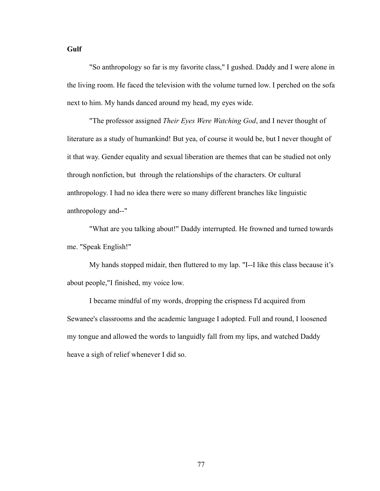## **Gulf**

"So anthropology so far is my favorite class," I gushed. Daddy and I were alone in the living room. He faced the television with the volume turned low. I perched on the sofa next to him. My hands danced around my head, my eyes wide.

 "The professor assigned *Their Eyes Were Watching God*, and I never thought of literature as a study of humankind! But yea, of course it would be, but I never thought of it that way. Gender equality and sexual liberation are themes that can be studied not only through nonfiction, but through the relationships of the characters. Or cultural anthropology. I had no idea there were so many different branches like linguistic anthropology and--"

 "What are you talking about!" Daddy interrupted. He frowned and turned towards me. "Speak English!"

 My hands stopped midair, then fluttered to my lap. "I--I like this class because it's about people,"I finished, my voice low.

 I became mindful of my words, dropping the crispness I'd acquired from Sewanee's classrooms and the academic language I adopted. Full and round, I loosened my tongue and allowed the words to languidly fall from my lips, and watched Daddy heave a sigh of relief whenever I did so.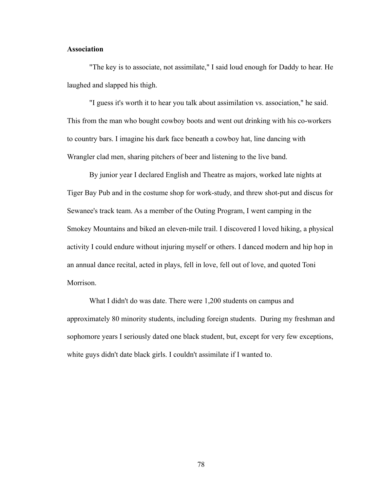## **Association**

"The key is to associate, not assimilate," I said loud enough for Daddy to hear. He laughed and slapped his thigh.

 "I guess it's worth it to hear you talk about assimilation vs. association," he said. This from the man who bought cowboy boots and went out drinking with his co-workers to country bars. I imagine his dark face beneath a cowboy hat, line dancing with Wrangler clad men, sharing pitchers of beer and listening to the live band.

 By junior year I declared English and Theatre as majors, worked late nights at Tiger Bay Pub and in the costume shop for work-study, and threw shot-put and discus for Sewanee's track team. As a member of the Outing Program, I went camping in the Smokey Mountains and biked an eleven-mile trail. I discovered I loved hiking, a physical activity I could endure without injuring myself or others. I danced modern and hip hop in an annual dance recital, acted in plays, fell in love, fell out of love, and quoted Toni Morrison.

 What I didn't do was date. There were 1,200 students on campus and approximately 80 minority students, including foreign students. During my freshman and sophomore years I seriously dated one black student, but, except for very few exceptions, white guys didn't date black girls. I couldn't assimilate if I wanted to.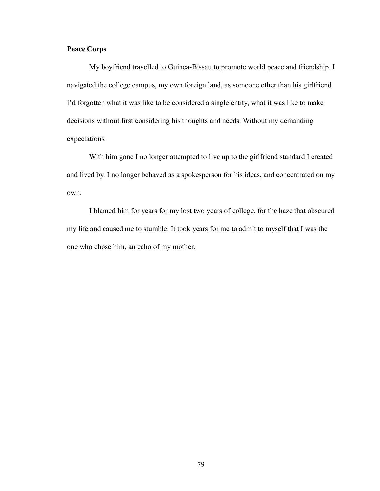# **Peace Corps**

 My boyfriend travelled to Guinea-Bissau to promote world peace and friendship. I navigated the college campus, my own foreign land, as someone other than his girlfriend. I'd forgotten what it was like to be considered a single entity, what it was like to make decisions without first considering his thoughts and needs. Without my demanding expectations.

 With him gone I no longer attempted to live up to the girlfriend standard I created and lived by. I no longer behaved as a spokesperson for his ideas, and concentrated on my own.

 I blamed him for years for my lost two years of college, for the haze that obscured my life and caused me to stumble. It took years for me to admit to myself that I was the one who chose him, an echo of my mother.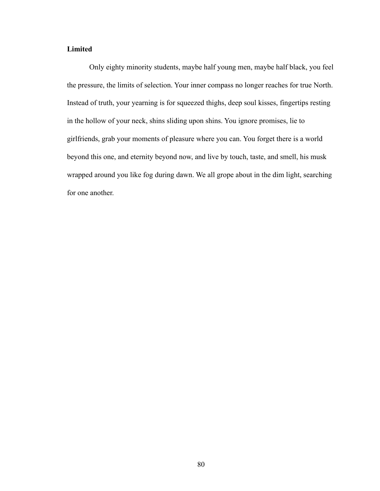# **Limited**

Only eighty minority students, maybe half young men, maybe half black, you feel the pressure, the limits of selection. Your inner compass no longer reaches for true North. Instead of truth, your yearning is for squeezed thighs, deep soul kisses, fingertips resting in the hollow of your neck, shins sliding upon shins. You ignore promises, lie to girlfriends, grab your moments of pleasure where you can. You forget there is a world beyond this one, and eternity beyond now, and live by touch, taste, and smell, his musk wrapped around you like fog during dawn. We all grope about in the dim light, searching for one another.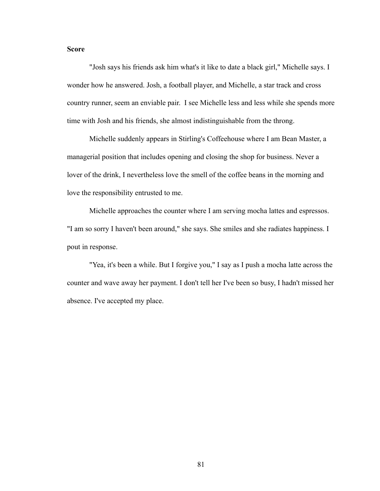# **Score**

"Josh says his friends ask him what's it like to date a black girl," Michelle says. I wonder how he answered. Josh, a football player, and Michelle, a star track and cross country runner, seem an enviable pair. I see Michelle less and less while she spends more time with Josh and his friends, she almost indistinguishable from the throng.

 Michelle suddenly appears in Stirling's Coffeehouse where I am Bean Master, a managerial position that includes opening and closing the shop for business. Never a lover of the drink, I nevertheless love the smell of the coffee beans in the morning and love the responsibility entrusted to me.

 Michelle approaches the counter where I am serving mocha lattes and espressos. "I am so sorry I haven't been around," she says. She smiles and she radiates happiness. I pout in response.

 "Yea, it's been a while. But I forgive you," I say as I push a mocha latte across the counter and wave away her payment. I don't tell her I've been so busy, I hadn't missed her absence. I've accepted my place.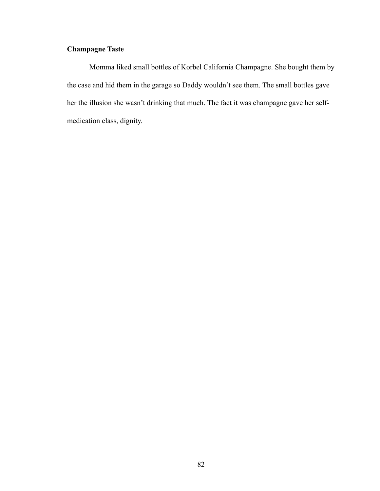# **Champagne Taste**

Momma liked small bottles of Korbel California Champagne. She bought them by the case and hid them in the garage so Daddy wouldn't see them. The small bottles gave her the illusion she wasn't drinking that much. The fact it was champagne gave her selfmedication class, dignity.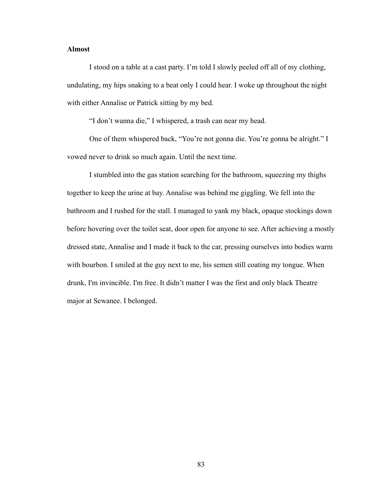# **Almost**

I stood on a table at a cast party. I'm told I slowly peeled off all of my clothing, undulating, my hips snaking to a beat only I could hear. I woke up throughout the night with either Annalise or Patrick sitting by my bed.

"I don't wanna die," I whispered, a trash can near my head.

 One of them whispered back, "You're not gonna die. You're gonna be alright." I vowed never to drink so much again. Until the next time.

 I stumbled into the gas station searching for the bathroom, squeezing my thighs together to keep the urine at bay. Annalise was behind me giggling. We fell into the bathroom and I rushed for the stall. I managed to yank my black, opaque stockings down before hovering over the toilet seat, door open for anyone to see. After achieving a mostly dressed state, Annalise and I made it back to the car, pressing ourselves into bodies warm with bourbon. I smiled at the guy next to me, his semen still coating my tongue. When drunk, I'm invincible. I'm free. It didn't matter I was the first and only black Theatre major at Sewanee. I belonged.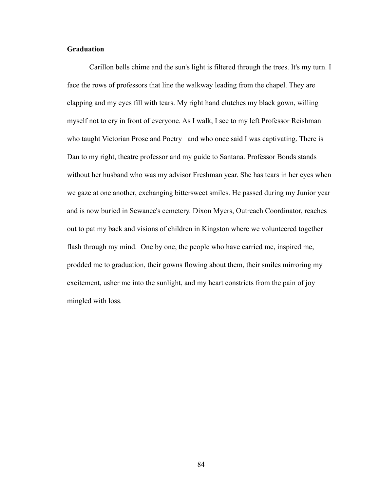# **Graduation**

Carillon bells chime and the sun's light is filtered through the trees. It's my turn. I face the rows of professors that line the walkway leading from the chapel. They are clapping and my eyes fill with tears. My right hand clutches my black gown, willing myself not to cry in front of everyone. As I walk, I see to my left Professor Reishman who taught Victorian Prose and Poetry and who once said I was captivating. There is Dan to my right, theatre professor and my guide to Santana. Professor Bonds stands without her husband who was my advisor Freshman year. She has tears in her eyes when we gaze at one another, exchanging bittersweet smiles. He passed during my Junior year and is now buried in Sewanee's cemetery. Dixon Myers, Outreach Coordinator, reaches out to pat my back and visions of children in Kingston where we volunteered together flash through my mind. One by one, the people who have carried me, inspired me, prodded me to graduation, their gowns flowing about them, their smiles mirroring my excitement, usher me into the sunlight, and my heart constricts from the pain of joy mingled with loss.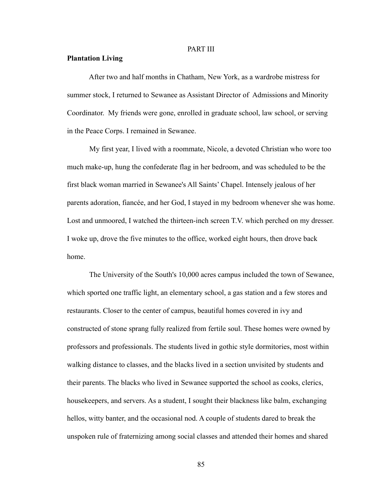## PART III

#### **Plantation Living**

After two and half months in Chatham, New York, as a wardrobe mistress for summer stock, I returned to Sewanee as Assistant Director of Admissions and Minority Coordinator. My friends were gone, enrolled in graduate school, law school, or serving in the Peace Corps. I remained in Sewanee.

 My first year, I lived with a roommate, Nicole, a devoted Christian who wore too much make-up, hung the confederate flag in her bedroom, and was scheduled to be the first black woman married in Sewanee's All Saints' Chapel. Intensely jealous of her parents adoration, fiancée, and her God, I stayed in my bedroom whenever she was home. Lost and unmoored, I watched the thirteen-inch screen T.V. which perched on my dresser. I woke up, drove the five minutes to the office, worked eight hours, then drove back home.

 The University of the South's 10,000 acres campus included the town of Sewanee, which sported one traffic light, an elementary school, a gas station and a few stores and restaurants. Closer to the center of campus, beautiful homes covered in ivy and constructed of stone sprang fully realized from fertile soul. These homes were owned by professors and professionals. The students lived in gothic style dormitories, most within walking distance to classes, and the blacks lived in a section unvisited by students and their parents. The blacks who lived in Sewanee supported the school as cooks, clerics, housekeepers, and servers. As a student, I sought their blackness like balm, exchanging hellos, witty banter, and the occasional nod. A couple of students dared to break the unspoken rule of fraternizing among social classes and attended their homes and shared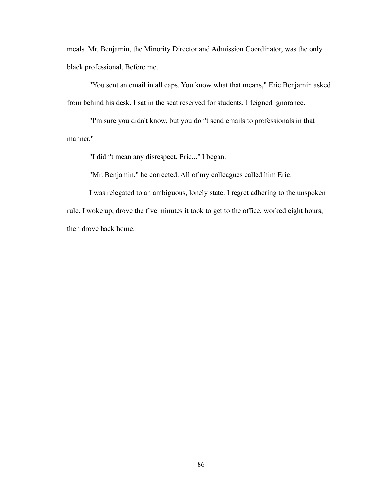meals. Mr. Benjamin, the Minority Director and Admission Coordinator, was the only black professional. Before me.

 "You sent an email in all caps. You know what that means," Eric Benjamin asked from behind his desk. I sat in the seat reserved for students. I feigned ignorance.

 "I'm sure you didn't know, but you don't send emails to professionals in that manner."

"I didn't mean any disrespect, Eric..." I began.

"Mr. Benjamin," he corrected. All of my colleagues called him Eric.

 I was relegated to an ambiguous, lonely state. I regret adhering to the unspoken rule. I woke up, drove the five minutes it took to get to the office, worked eight hours, then drove back home.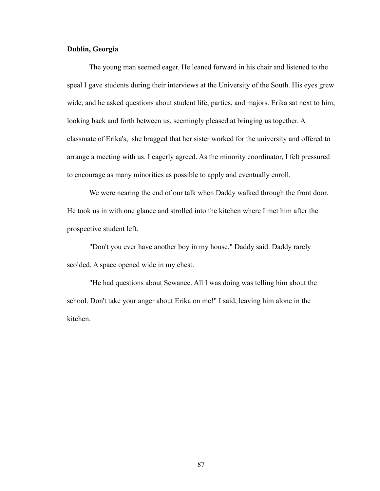## **Dublin, Georgia**

The young man seemed eager. He leaned forward in his chair and listened to the speal I gave students during their interviews at the University of the South. His eyes grew wide, and he asked questions about student life, parties, and majors. Erika sat next to him, looking back and forth between us, seemingly pleased at bringing us together. A classmate of Erika's, she bragged that her sister worked for the university and offered to arrange a meeting with us. I eagerly agreed. As the minority coordinator, I felt pressured to encourage as many minorities as possible to apply and eventually enroll.

 We were nearing the end of our talk when Daddy walked through the front door. He took us in with one glance and strolled into the kitchen where I met him after the prospective student left.

 "Don't you ever have another boy in my house," Daddy said. Daddy rarely scolded. A space opened wide in my chest.

 "He had questions about Sewanee. All I was doing was telling him about the school. Don't take your anger about Erika on me!" I said, leaving him alone in the kitchen.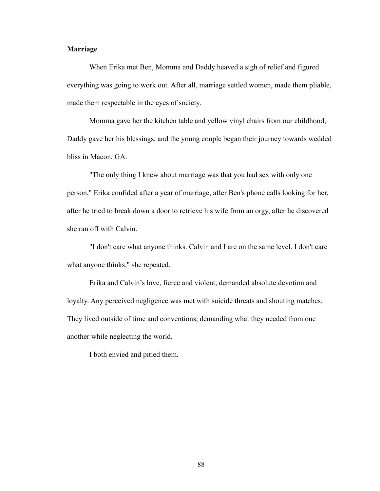## **Marriage**

When Erika met Ben, Momma and Daddy heaved a sigh of relief and figured everything was going to work out. After all, marriage settled women, made them pliable, made them respectable in the eyes of society.

 Momma gave her the kitchen table and yellow vinyl chairs from our childhood, Daddy gave her his blessings, and the young couple began their journey towards wedded bliss in Macon, GA.

 "The only thing I knew about marriage was that you had sex with only one person," Erika confided after a year of marriage, after Ben's phone calls looking for her, after he tried to break down a door to retrieve his wife from an orgy, after he discovered she ran off with Calvin.

 "I don't care what anyone thinks. Calvin and I are on the same level. I don't care what anyone thinks," she repeated.

 Erika and Calvin's love, fierce and violent, demanded absolute devotion and loyalty. Any perceived negligence was met with suicide threats and shouting matches. They lived outside of time and conventions, demanding what they needed from one another while neglecting the world.

I both envied and pitied them.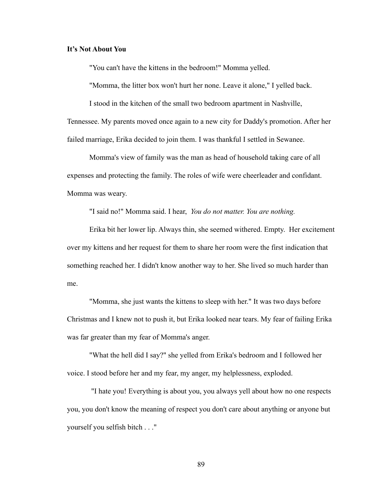## **It's Not About You**

"You can't have the kittens in the bedroom!" Momma yelled.

"Momma, the litter box won't hurt her none. Leave it alone," I yelled back.

I stood in the kitchen of the small two bedroom apartment in Nashville,

Tennessee. My parents moved once again to a new city for Daddy's promotion. After her failed marriage, Erika decided to join them. I was thankful I settled in Sewanee.

 Momma's view of family was the man as head of household taking care of all expenses and protecting the family. The roles of wife were cheerleader and confidant. Momma was weary.

"I said no!" Momma said. I hear, *You do not matter. You are nothing.*

 Erika bit her lower lip. Always thin, she seemed withered. Empty. Her excitement over my kittens and her request for them to share her room were the first indication that something reached her. I didn't know another way to her. She lived so much harder than me.

 "Momma, she just wants the kittens to sleep with her." It was two days before Christmas and I knew not to push it, but Erika looked near tears. My fear of failing Erika was far greater than my fear of Momma's anger.

 "What the hell did I say?" she yelled from Erika's bedroom and I followed her voice. I stood before her and my fear, my anger, my helplessness, exploded.

 "I hate you! Everything is about you, you always yell about how no one respects you, you don't know the meaning of respect you don't care about anything or anyone but yourself you selfish bitch . . ."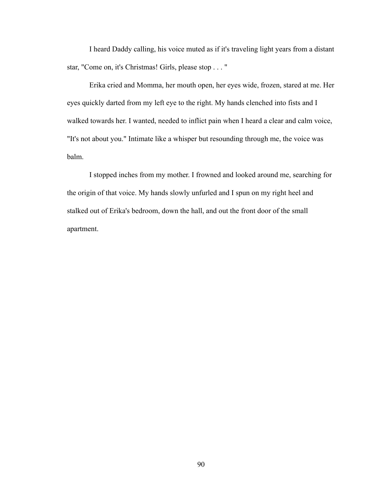I heard Daddy calling, his voice muted as if it's traveling light years from a distant star, "Come on, it's Christmas! Girls, please stop . . . "

 Erika cried and Momma, her mouth open, her eyes wide, frozen, stared at me. Her eyes quickly darted from my left eye to the right. My hands clenched into fists and I walked towards her. I wanted, needed to inflict pain when I heard a clear and calm voice, "It's not about you." Intimate like a whisper but resounding through me, the voice was balm.

 I stopped inches from my mother. I frowned and looked around me, searching for the origin of that voice. My hands slowly unfurled and I spun on my right heel and stalked out of Erika's bedroom, down the hall, and out the front door of the small apartment.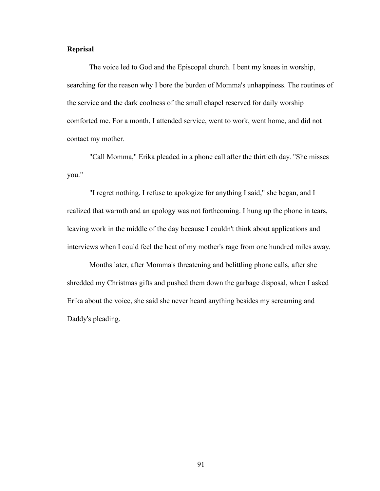# **Reprisal**

The voice led to God and the Episcopal church. I bent my knees in worship, searching for the reason why I bore the burden of Momma's unhappiness. The routines of the service and the dark coolness of the small chapel reserved for daily worship comforted me. For a month, I attended service, went to work, went home, and did not contact my mother.

 "Call Momma," Erika pleaded in a phone call after the thirtieth day. "She misses you."

 "I regret nothing. I refuse to apologize for anything I said," she began, and I realized that warmth and an apology was not forthcoming. I hung up the phone in tears, leaving work in the middle of the day because I couldn't think about applications and interviews when I could feel the heat of my mother's rage from one hundred miles away.

 Months later, after Momma's threatening and belittling phone calls, after she shredded my Christmas gifts and pushed them down the garbage disposal, when I asked Erika about the voice, she said she never heard anything besides my screaming and Daddy's pleading.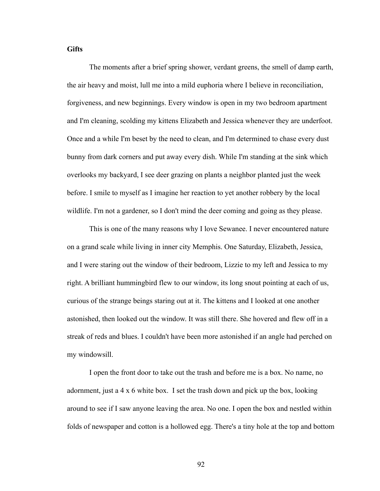# **Gifts**

The moments after a brief spring shower, verdant greens, the smell of damp earth, the air heavy and moist, lull me into a mild euphoria where I believe in reconciliation, forgiveness, and new beginnings. Every window is open in my two bedroom apartment and I'm cleaning, scolding my kittens Elizabeth and Jessica whenever they are underfoot. Once and a while I'm beset by the need to clean, and I'm determined to chase every dust bunny from dark corners and put away every dish. While I'm standing at the sink which overlooks my backyard, I see deer grazing on plants a neighbor planted just the week before. I smile to myself as I imagine her reaction to yet another robbery by the local wildlife. I'm not a gardener, so I don't mind the deer coming and going as they please.

 This is one of the many reasons why I love Sewanee. I never encountered nature on a grand scale while living in inner city Memphis. One Saturday, Elizabeth, Jessica, and I were staring out the window of their bedroom, Lizzie to my left and Jessica to my right. A brilliant hummingbird flew to our window, its long snout pointing at each of us, curious of the strange beings staring out at it. The kittens and I looked at one another astonished, then looked out the window. It was still there. She hovered and flew off in a streak of reds and blues. I couldn't have been more astonished if an angle had perched on my windowsill.

 I open the front door to take out the trash and before me is a box. No name, no adornment, just a 4 x 6 white box. I set the trash down and pick up the box, looking around to see if I saw anyone leaving the area. No one. I open the box and nestled within folds of newspaper and cotton is a hollowed egg. There's a tiny hole at the top and bottom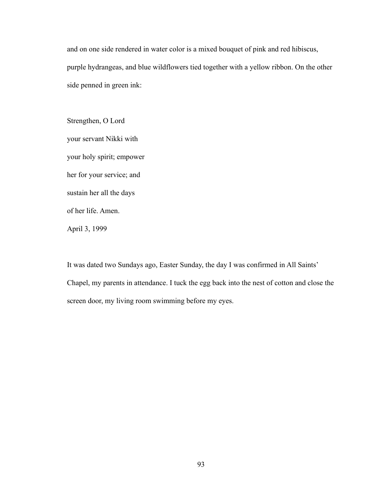and on one side rendered in water color is a mixed bouquet of pink and red hibiscus, purple hydrangeas, and blue wildflowers tied together with a yellow ribbon. On the other side penned in green ink:

Strengthen, O Lord your servant Nikki with your holy spirit; empower her for your service; and sustain her all the days of her life. Amen. April 3, 1999

It was dated two Sundays ago, Easter Sunday, the day I was confirmed in All Saints' Chapel, my parents in attendance. I tuck the egg back into the nest of cotton and close the screen door, my living room swimming before my eyes.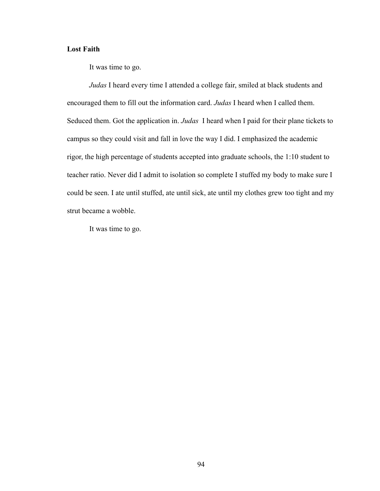# **Lost Faith**

It was time to go.

*Judas* I heard every time I attended a college fair, smiled at black students and encouraged them to fill out the information card. *Judas* I heard when I called them. Seduced them. Got the application in. *Judas* I heard when I paid for their plane tickets to campus so they could visit and fall in love the way I did. I emphasized the academic rigor, the high percentage of students accepted into graduate schools, the 1:10 student to teacher ratio. Never did I admit to isolation so complete I stuffed my body to make sure I could be seen. I ate until stuffed, ate until sick, ate until my clothes grew too tight and my strut became a wobble.

It was time to go.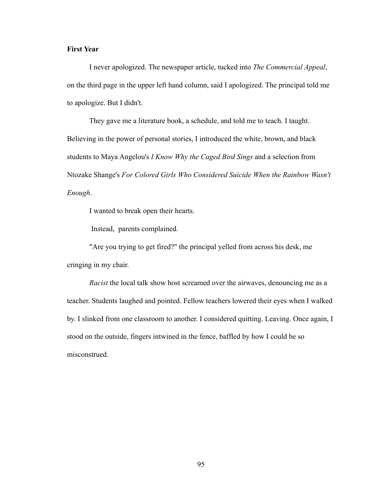# **First Year**

I never apologized. The newspaper article, tucked into *The Commercial Appeal*, on the third page in the upper left hand column, said I apologized. The principal told me to apologize. But I didn't.

 They gave me a literature book, a schedule, and told me to teach. I taught. Believing in the power of personal stories, I introduced the white, brown, and black students to Maya Angelou's *I Know Why the Caged Bird Sings* and a selection from Ntozake Shange's *For Colored Girls Who Considered Suicide When the Rainbow Wasn't Enough*.

I wanted to break open their hearts.

Instead, parents complained.

 "Are you trying to get fired?" the principal yelled from across his desk, me cringing in my chair.

*Racist* the local talk show host screamed over the airwaves, denouncing me as a teacher. Students laughed and pointed. Fellow teachers lowered their eyes when I walked by. I slinked from one classroom to another. I considered quitting. Leaving. Once again, I stood on the outside, fingers intwined in the fence, baffled by how I could be so misconstrued.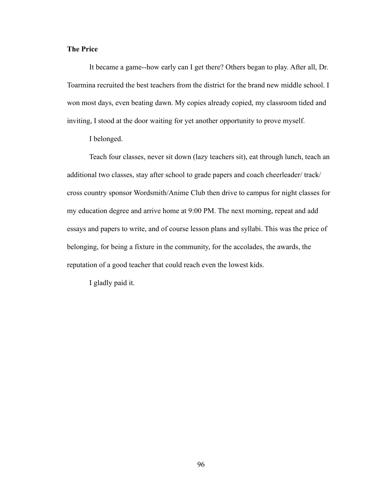# **The Price**

It became a game--how early can I get there? Others began to play. After all, Dr. Toarmina recruited the best teachers from the district for the brand new middle school. I won most days, even beating dawn. My copies already copied, my classroom tided and inviting, I stood at the door waiting for yet another opportunity to prove myself.

I belonged.

 Teach four classes, never sit down (lazy teachers sit), eat through lunch, teach an additional two classes, stay after school to grade papers and coach cheerleader/ track/ cross country sponsor Wordsmith/Anime Club then drive to campus for night classes for my education degree and arrive home at 9:00 PM. The next morning, repeat and add essays and papers to write, and of course lesson plans and syllabi. This was the price of belonging, for being a fixture in the community, for the accolades, the awards, the reputation of a good teacher that could reach even the lowest kids.

I gladly paid it.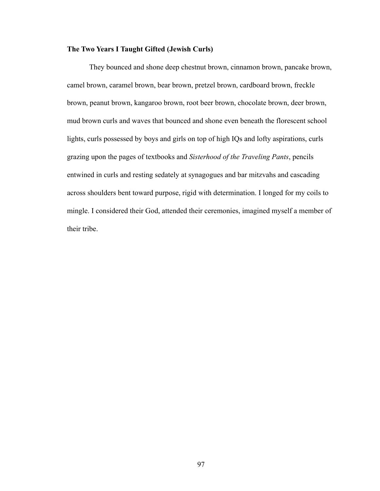# **The Two Years I Taught Gifted (Jewish Curls)**

They bounced and shone deep chestnut brown, cinnamon brown, pancake brown, camel brown, caramel brown, bear brown, pretzel brown, cardboard brown, freckle brown, peanut brown, kangaroo brown, root beer brown, chocolate brown, deer brown, mud brown curls and waves that bounced and shone even beneath the florescent school lights, curls possessed by boys and girls on top of high IQs and lofty aspirations, curls grazing upon the pages of textbooks and *Sisterhood of the Traveling Pants*, pencils entwined in curls and resting sedately at synagogues and bar mitzvahs and cascading across shoulders bent toward purpose, rigid with determination. I longed for my coils to mingle. I considered their God, attended their ceremonies, imagined myself a member of their tribe.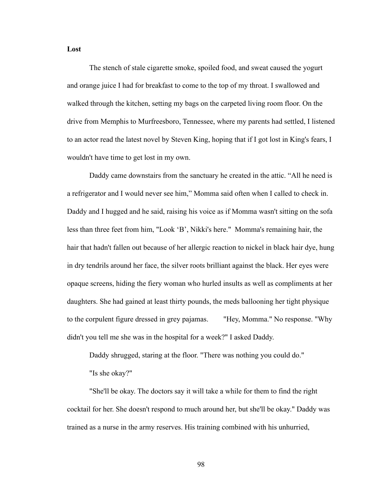**Lost**

The stench of stale cigarette smoke, spoiled food, and sweat caused the yogurt and orange juice I had for breakfast to come to the top of my throat. I swallowed and walked through the kitchen, setting my bags on the carpeted living room floor. On the drive from Memphis to Murfreesboro, Tennessee, where my parents had settled, I listened to an actor read the latest novel by Steven King, hoping that if I got lost in King's fears, I wouldn't have time to get lost in my own.

 Daddy came downstairs from the sanctuary he created in the attic. "All he need is a refrigerator and I would never see him," Momma said often when I called to check in. Daddy and I hugged and he said, raising his voice as if Momma wasn't sitting on the sofa less than three feet from him, "Look 'B', Nikki's here." Momma's remaining hair, the hair that hadn't fallen out because of her allergic reaction to nickel in black hair dye, hung in dry tendrils around her face, the silver roots brilliant against the black. Her eyes were opaque screens, hiding the fiery woman who hurled insults as well as compliments at her daughters. She had gained at least thirty pounds, the meds ballooning her tight physique to the corpulent figure dressed in grey pajamas. "Hey, Momma." No response. "Why didn't you tell me she was in the hospital for a week?" I asked Daddy.

Daddy shrugged, staring at the floor. "There was nothing you could do."

"Is she okay?"

 "She'll be okay. The doctors say it will take a while for them to find the right cocktail for her. She doesn't respond to much around her, but she'll be okay." Daddy was trained as a nurse in the army reserves. His training combined with his unhurried,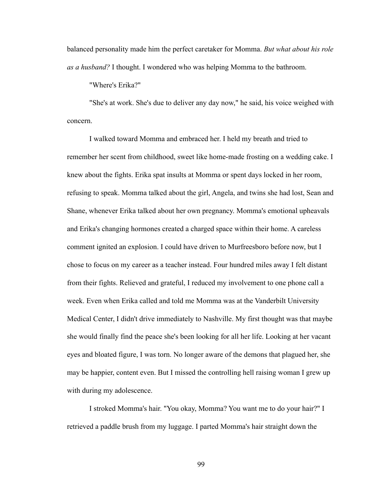balanced personality made him the perfect caretaker for Momma. *But what about his role as a husband?* I thought. I wondered who was helping Momma to the bathroom.

"Where's Erika?"

 "She's at work. She's due to deliver any day now," he said, his voice weighed with concern.

I walked toward Momma and embraced her. I held my breath and tried to remember her scent from childhood, sweet like home-made frosting on a wedding cake. I knew about the fights. Erika spat insults at Momma or spent days locked in her room, refusing to speak. Momma talked about the girl, Angela, and twins she had lost, Sean and Shane, whenever Erika talked about her own pregnancy. Momma's emotional upheavals and Erika's changing hormones created a charged space within their home. A careless comment ignited an explosion. I could have driven to Murfreesboro before now, but I chose to focus on my career as a teacher instead. Four hundred miles away I felt distant from their fights. Relieved and grateful, I reduced my involvement to one phone call a week. Even when Erika called and told me Momma was at the Vanderbilt University Medical Center, I didn't drive immediately to Nashville. My first thought was that maybe she would finally find the peace she's been looking for all her life. Looking at her vacant eyes and bloated figure, I was torn. No longer aware of the demons that plagued her, she may be happier, content even. But I missed the controlling hell raising woman I grew up with during my adolescence.

 I stroked Momma's hair. "You okay, Momma? You want me to do your hair?" I retrieved a paddle brush from my luggage. I parted Momma's hair straight down the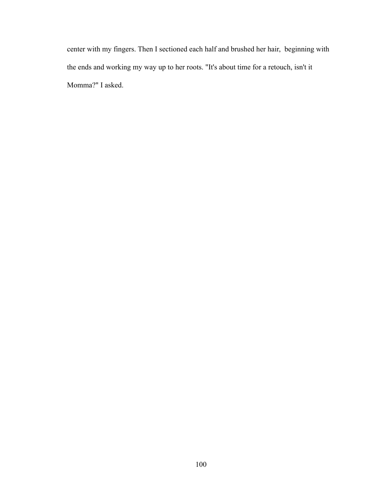center with my fingers. Then I sectioned each half and brushed her hair, beginning with the ends and working my way up to her roots. "It's about time for a retouch, isn't it Momma?" I asked.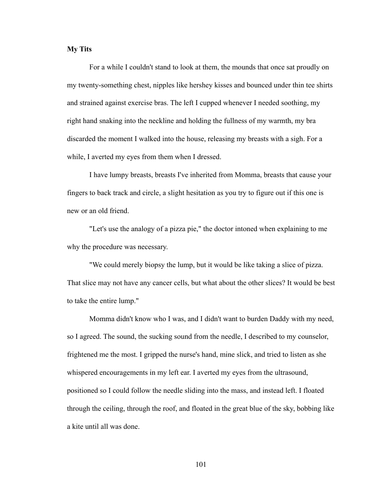#### **My Tits**

For a while I couldn't stand to look at them, the mounds that once sat proudly on my twenty-something chest, nipples like hershey kisses and bounced under thin tee shirts and strained against exercise bras. The left I cupped whenever I needed soothing, my right hand snaking into the neckline and holding the fullness of my warmth, my bra discarded the moment I walked into the house, releasing my breasts with a sigh. For a while, I averted my eyes from them when I dressed.

 I have lumpy breasts, breasts I've inherited from Momma, breasts that cause your fingers to back track and circle, a slight hesitation as you try to figure out if this one is new or an old friend.

 "Let's use the analogy of a pizza pie," the doctor intoned when explaining to me why the procedure was necessary.

 "We could merely biopsy the lump, but it would be like taking a slice of pizza. That slice may not have any cancer cells, but what about the other slices? It would be best to take the entire lump."

 Momma didn't know who I was, and I didn't want to burden Daddy with my need, so I agreed. The sound, the sucking sound from the needle, I described to my counselor, frightened me the most. I gripped the nurse's hand, mine slick, and tried to listen as she whispered encouragements in my left ear. I averted my eyes from the ultrasound, positioned so I could follow the needle sliding into the mass, and instead left. I floated through the ceiling, through the roof, and floated in the great blue of the sky, bobbing like a kite until all was done.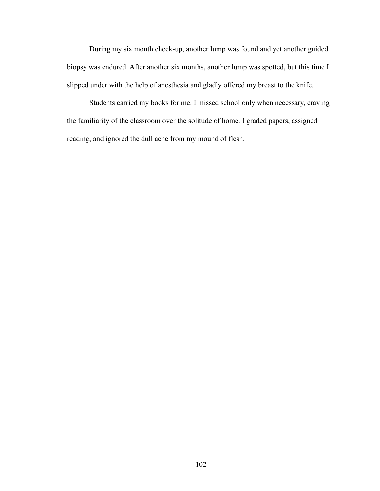During my six month check-up, another lump was found and yet another guided biopsy was endured. After another six months, another lump was spotted, but this time I slipped under with the help of anesthesia and gladly offered my breast to the knife.

 Students carried my books for me. I missed school only when necessary, craving the familiarity of the classroom over the solitude of home. I graded papers, assigned reading, and ignored the dull ache from my mound of flesh.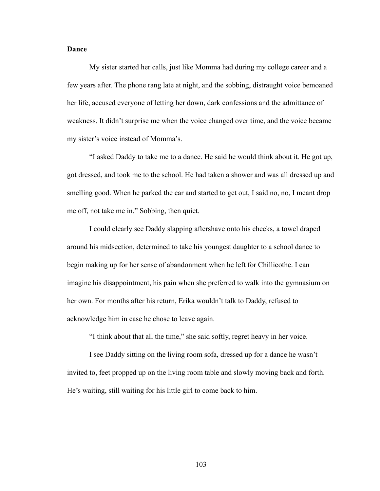#### **Dance**

My sister started her calls, just like Momma had during my college career and a few years after. The phone rang late at night, and the sobbing, distraught voice bemoaned her life, accused everyone of letting her down, dark confessions and the admittance of weakness. It didn't surprise me when the voice changed over time, and the voice became my sister's voice instead of Momma's.

 "I asked Daddy to take me to a dance. He said he would think about it. He got up, got dressed, and took me to the school. He had taken a shower and was all dressed up and smelling good. When he parked the car and started to get out, I said no, no, I meant drop me off, not take me in." Sobbing, then quiet.

 I could clearly see Daddy slapping aftershave onto his cheeks, a towel draped around his midsection, determined to take his youngest daughter to a school dance to begin making up for her sense of abandonment when he left for Chillicothe. I can imagine his disappointment, his pain when she preferred to walk into the gymnasium on her own. For months after his return, Erika wouldn't talk to Daddy, refused to acknowledge him in case he chose to leave again.

"I think about that all the time," she said softly, regret heavy in her voice.

 I see Daddy sitting on the living room sofa, dressed up for a dance he wasn't invited to, feet propped up on the living room table and slowly moving back and forth. He's waiting, still waiting for his little girl to come back to him.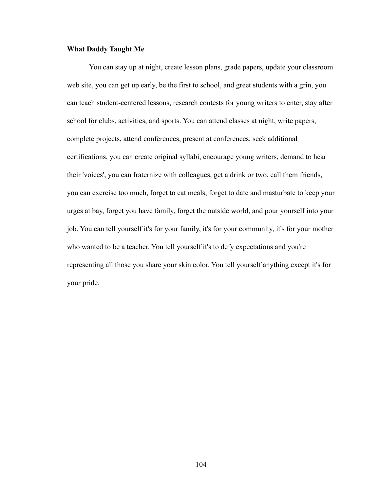#### **What Daddy Taught Me**

You can stay up at night, create lesson plans, grade papers, update your classroom web site, you can get up early, be the first to school, and greet students with a grin, you can teach student-centered lessons, research contests for young writers to enter, stay after school for clubs, activities, and sports. You can attend classes at night, write papers, complete projects, attend conferences, present at conferences, seek additional certifications, you can create original syllabi, encourage young writers, demand to hear their 'voices', you can fraternize with colleagues, get a drink or two, call them friends, you can exercise too much, forget to eat meals, forget to date and masturbate to keep your urges at bay, forget you have family, forget the outside world, and pour yourself into your job. You can tell yourself it's for your family, it's for your community, it's for your mother who wanted to be a teacher. You tell yourself it's to defy expectations and you're representing all those you share your skin color. You tell yourself anything except it's for your pride.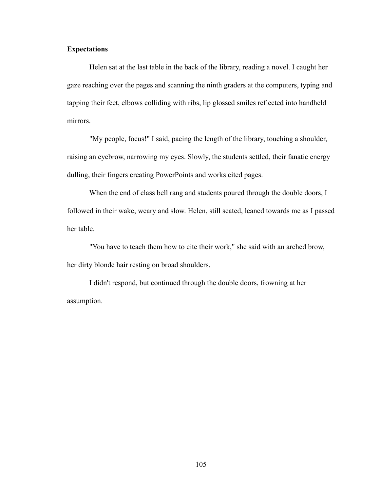### **Expectations**

Helen sat at the last table in the back of the library, reading a novel. I caught her gaze reaching over the pages and scanning the ninth graders at the computers, typing and tapping their feet, elbows colliding with ribs, lip glossed smiles reflected into handheld mirrors.

 "My people, focus!" I said, pacing the length of the library, touching a shoulder, raising an eyebrow, narrowing my eyes. Slowly, the students settled, their fanatic energy dulling, their fingers creating PowerPoints and works cited pages.

 When the end of class bell rang and students poured through the double doors, I followed in their wake, weary and slow. Helen, still seated, leaned towards me as I passed her table.

 "You have to teach them how to cite their work," she said with an arched brow, her dirty blonde hair resting on broad shoulders.

 I didn't respond, but continued through the double doors, frowning at her assumption.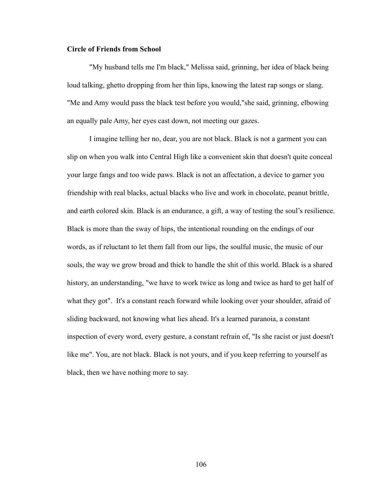#### **Circle of Friends from School**

"My husband tells me I'm black," Melissa said, grinning, her idea of black being loud talking, ghetto dropping from her thin lips, knowing the latest rap songs or slang. "Me and Amy would pass the black test before you would,"she said, grinning, elbowing an equally pale Amy, her eyes cast down, not meeting our gazes.

 I imagine telling her no, dear, you are not black. Black is not a garment you can slip on when you walk into Central High like a convenient skin that doesn't quite conceal your large fangs and too wide paws. Black is not an affectation, a device to garner you friendship with real blacks, actual blacks who live and work in chocolate, peanut brittle, and earth colored skin. Black is an endurance, a gift, a way of testing the soul's resilience. Black is more than the sway of hips, the intentional rounding on the endings of our words, as if reluctant to let them fall from our lips, the soulful music, the music of our souls, the way we grow broad and thick to handle the shit of this world. Black is a shared history, an understanding, "we have to work twice as long and twice as hard to get half of what they got". It's a constant reach forward while looking over your shoulder, afraid of sliding backward, not knowing what lies ahead. It's a learned paranoia, a constant inspection of every word, every gesture, a constant refrain of, "Is she racist or just doesn't like me". You, are not black. Black is not yours, and if you keep referring to yourself as black, then we have nothing more to say.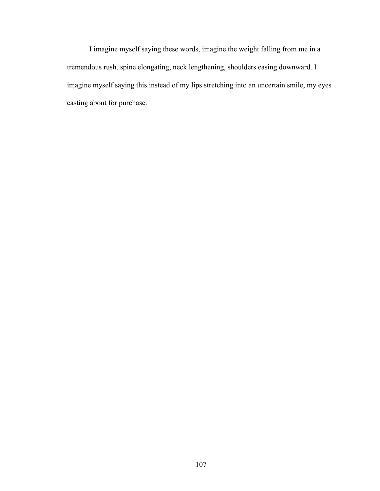I imagine myself saying these words, imagine the weight falling from me in a tremendous rush, spine elongating, neck lengthening, shoulders easing downward. I imagine myself saying this instead of my lips stretching into an uncertain smile, my eyes casting about for purchase.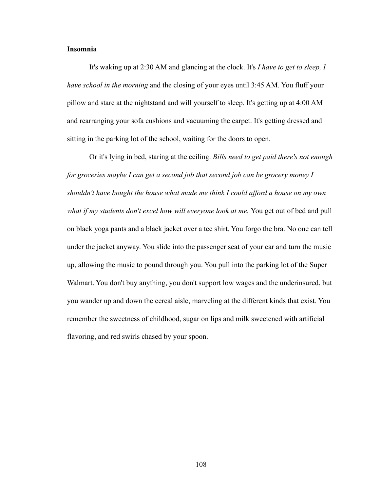## **Insomnia**

It's waking up at 2:30 AM and glancing at the clock. It's *I have to get to sleep, I have school in the morning* and the closing of your eyes until 3:45 AM. You fluff your pillow and stare at the nightstand and will yourself to sleep. It's getting up at 4:00 AM and rearranging your sofa cushions and vacuuming the carpet. It's getting dressed and sitting in the parking lot of the school, waiting for the doors to open.

 Or it's lying in bed, staring at the ceiling. *Bills need to get paid there's not enough for groceries maybe I can get a second job that second job can be grocery money I shouldn't have bought the house what made me think I could afford a house on my own*  what if my students don't excel how will everyone look at me. You get out of bed and pull on black yoga pants and a black jacket over a tee shirt. You forgo the bra. No one can tell under the jacket anyway. You slide into the passenger seat of your car and turn the music up, allowing the music to pound through you. You pull into the parking lot of the Super Walmart. You don't buy anything, you don't support low wages and the underinsured, but you wander up and down the cereal aisle, marveling at the different kinds that exist. You remember the sweetness of childhood, sugar on lips and milk sweetened with artificial flavoring, and red swirls chased by your spoon.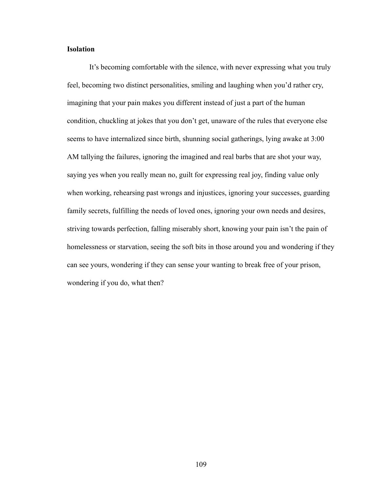## **Isolation**

 It's becoming comfortable with the silence, with never expressing what you truly feel, becoming two distinct personalities, smiling and laughing when you'd rather cry, imagining that your pain makes you different instead of just a part of the human condition, chuckling at jokes that you don't get, unaware of the rules that everyone else seems to have internalized since birth, shunning social gatherings, lying awake at 3:00 AM tallying the failures, ignoring the imagined and real barbs that are shot your way, saying yes when you really mean no, guilt for expressing real joy, finding value only when working, rehearsing past wrongs and injustices, ignoring your successes, guarding family secrets, fulfilling the needs of loved ones, ignoring your own needs and desires, striving towards perfection, falling miserably short, knowing your pain isn't the pain of homelessness or starvation, seeing the soft bits in those around you and wondering if they can see yours, wondering if they can sense your wanting to break free of your prison, wondering if you do, what then?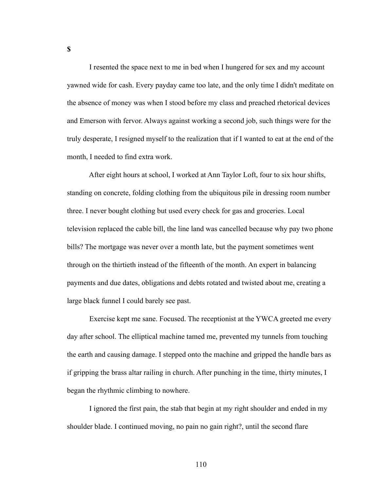I resented the space next to me in bed when I hungered for sex and my account yawned wide for cash. Every payday came too late, and the only time I didn't meditate on the absence of money was when I stood before my class and preached rhetorical devices and Emerson with fervor. Always against working a second job, such things were for the truly desperate, I resigned myself to the realization that if I wanted to eat at the end of the month, I needed to find extra work.

 After eight hours at school, I worked at Ann Taylor Loft, four to six hour shifts, standing on concrete, folding clothing from the ubiquitous pile in dressing room number three. I never bought clothing but used every check for gas and groceries. Local television replaced the cable bill, the line land was cancelled because why pay two phone bills? The mortgage was never over a month late, but the payment sometimes went through on the thirtieth instead of the fifteenth of the month. An expert in balancing payments and due dates, obligations and debts rotated and twisted about me, creating a large black funnel I could barely see past.

 Exercise kept me sane. Focused. The receptionist at the YWCA greeted me every day after school. The elliptical machine tamed me, prevented my tunnels from touching the earth and causing damage. I stepped onto the machine and gripped the handle bars as if gripping the brass altar railing in church. After punching in the time, thirty minutes, I began the rhythmic climbing to nowhere.

 I ignored the first pain, the stab that begin at my right shoulder and ended in my shoulder blade. I continued moving, no pain no gain right?, until the second flare

**\$**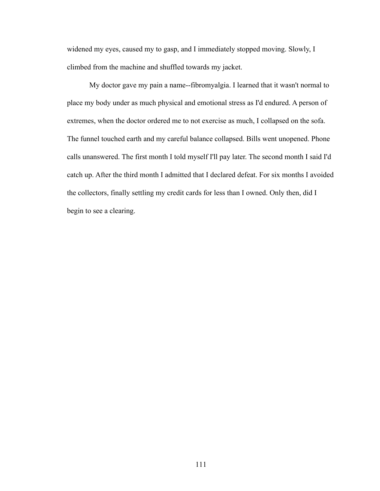widened my eyes, caused my to gasp, and I immediately stopped moving. Slowly, I climbed from the machine and shuffled towards my jacket.

 My doctor gave my pain a name--fibromyalgia. I learned that it wasn't normal to place my body under as much physical and emotional stress as I'd endured. A person of extremes, when the doctor ordered me to not exercise as much, I collapsed on the sofa. The funnel touched earth and my careful balance collapsed. Bills went unopened. Phone calls unanswered. The first month I told myself I'll pay later. The second month I said I'd catch up. After the third month I admitted that I declared defeat. For six months I avoided the collectors, finally settling my credit cards for less than I owned. Only then, did I begin to see a clearing.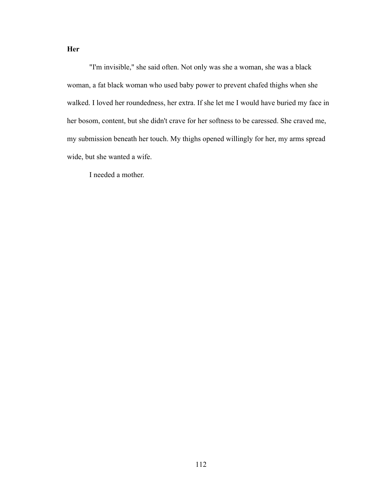**Her**

"I'm invisible," she said often. Not only was she a woman, she was a black woman, a fat black woman who used baby power to prevent chafed thighs when she walked. I loved her roundedness, her extra. If she let me I would have buried my face in her bosom, content, but she didn't crave for her softness to be caressed. She craved me, my submission beneath her touch. My thighs opened willingly for her, my arms spread wide, but she wanted a wife.

I needed a mother.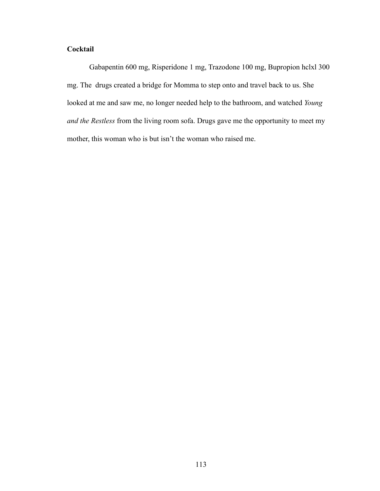# **Cocktail**

Gabapentin 600 mg, Risperidone 1 mg, Trazodone 100 mg, Bupropion hclxl 300 mg. The drugs created a bridge for Momma to step onto and travel back to us. She looked at me and saw me, no longer needed help to the bathroom, and watched *Young and the Restless* from the living room sofa. Drugs gave me the opportunity to meet my mother, this woman who is but isn't the woman who raised me.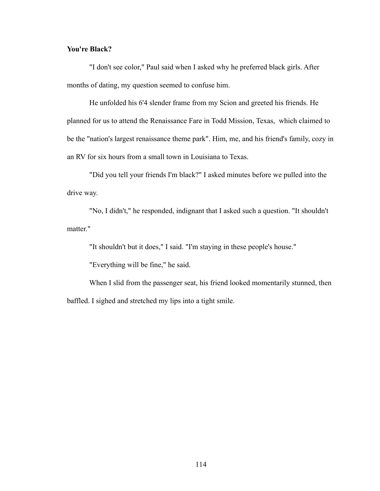## **You're Black?**

"I don't see color," Paul said when I asked why he preferred black girls. After months of dating, my question seemed to confuse him.

 He unfolded his 6'4 slender frame from my Scion and greeted his friends. He planned for us to attend the Renaissance Fare in Todd Mission, Texas, which claimed to be the "nation's largest renaissance theme park". Him, me, and his friend's family, cozy in an RV for six hours from a small town in Louisiana to Texas.

 "Did you tell your friends I'm black?" I asked minutes before we pulled into the drive way.

 "No, I didn't," he responded, indignant that I asked such a question. "It shouldn't matter."

"It shouldn't but it does," I said. "I'm staying in these people's house."

"Everything will be fine," he said.

 When I slid from the passenger seat, his friend looked momentarily stunned, then baffled. I sighed and stretched my lips into a tight smile.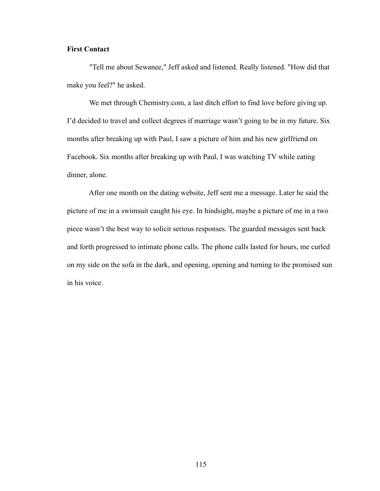# **First Contact**

"Tell me about Sewanee," Jeff asked and listened. Really listened. "How did that make you feel?" he asked.

 We met through Chemistry.com, a last ditch effort to find love before giving up. I'd decided to travel and collect degrees if marriage wasn't going to be in my future. Six months after breaking up with Paul, I saw a picture of him and his new girlfriend on Facebook. Six months after breaking up with Paul, I was watching TV while eating dinner, alone.

 After one month on the dating website, Jeff sent me a message. Later he said the picture of me in a swimsuit caught his eye. In hindsight, maybe a picture of me in a two piece wasn't the best way to solicit serious responses. The guarded messages sent back and forth progressed to intimate phone calls. The phone calls lasted for hours, me curled on my side on the sofa in the dark, and opening, opening and turning to the promised sun in his voice.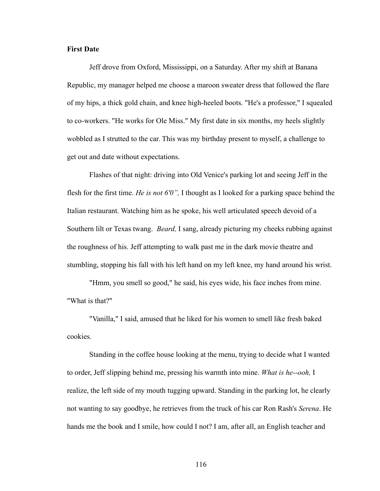#### **First Date**

Jeff drove from Oxford, Mississippi, on a Saturday. After my shift at Banana Republic, my manager helped me choose a maroon sweater dress that followed the flare of my hips, a thick gold chain, and knee high-heeled boots. "He's a professor," I squealed to co-workers. "He works for Ole Miss." My first date in six months, my heels slightly wobbled as I strutted to the car. This was my birthday present to myself, a challenge to get out and date without expectations.

 Flashes of that night: driving into Old Venice's parking lot and seeing Jeff in the flesh for the first time. *He is not 6'0",* I thought as I looked for a parking space behind the Italian restaurant. Watching him as he spoke, his well articulated speech devoid of a Southern lilt or Texas twang. *Beard,* I sang, already picturing my cheeks rubbing against the roughness of his. Jeff attempting to walk past me in the dark movie theatre and stumbling, stopping his fall with his left hand on my left knee, my hand around his wrist.

 "Hmm, you smell so good," he said, his eyes wide, his face inches from mine. "What is that?"

 "Vanilla," I said, amused that he liked for his women to smell like fresh baked cookies.

 Standing in the coffee house looking at the menu, trying to decide what I wanted to order, Jeff slipping behind me, pressing his warmth into mine. *What is he--ooh,* I realize, the left side of my mouth tugging upward. Standing in the parking lot, he clearly not wanting to say goodbye, he retrieves from the truck of his car Ron Rash's *Serena*. He hands me the book and I smile, how could I not? I am, after all, an English teacher and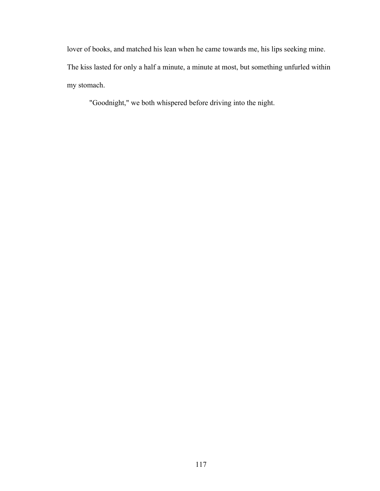lover of books, and matched his lean when he came towards me, his lips seeking mine. The kiss lasted for only a half a minute, a minute at most, but something unfurled within my stomach.

"Goodnight," we both whispered before driving into the night.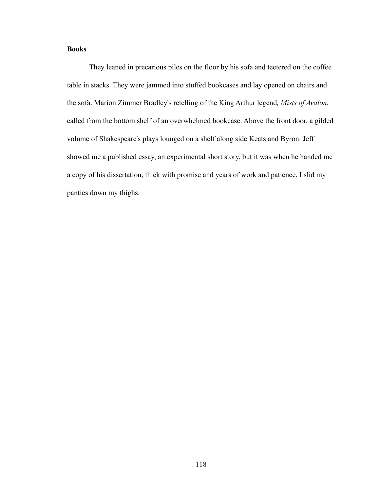# **Books**

They leaned in precarious piles on the floor by his sofa and teetered on the coffee table in stacks. They were jammed into stuffed bookcases and lay opened on chairs and the sofa. Marion Zimmer Bradley's retelling of the King Arthur legend*, Mists of Avalon*, called from the bottom shelf of an overwhelmed bookcase. Above the front door, a gilded volume of Shakespeare's plays lounged on a shelf along side Keats and Byron. Jeff showed me a published essay, an experimental short story, but it was when he handed me a copy of his dissertation, thick with promise and years of work and patience, I slid my panties down my thighs.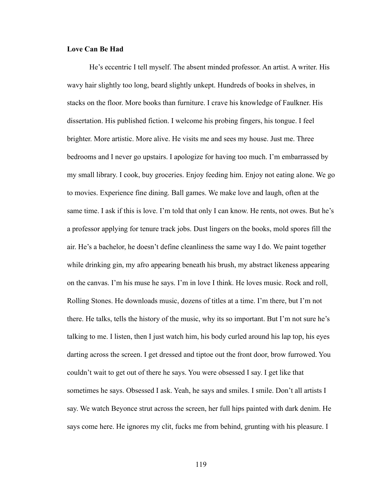#### **Love Can Be Had**

 He's eccentric I tell myself. The absent minded professor. An artist. A writer. His wavy hair slightly too long, beard slightly unkept. Hundreds of books in shelves, in stacks on the floor. More books than furniture. I crave his knowledge of Faulkner. His dissertation. His published fiction. I welcome his probing fingers, his tongue. I feel brighter. More artistic. More alive. He visits me and sees my house. Just me. Three bedrooms and I never go upstairs. I apologize for having too much. I'm embarrassed by my small library. I cook, buy groceries. Enjoy feeding him. Enjoy not eating alone. We go to movies. Experience fine dining. Ball games. We make love and laugh, often at the same time. I ask if this is love. I'm told that only I can know. He rents, not owes. But he's a professor applying for tenure track jobs. Dust lingers on the books, mold spores fill the air. He's a bachelor, he doesn't define cleanliness the same way I do. We paint together while drinking gin, my afro appearing beneath his brush, my abstract likeness appearing on the canvas. I'm his muse he says. I'm in love I think. He loves music. Rock and roll, Rolling Stones. He downloads music, dozens of titles at a time. I'm there, but I'm not there. He talks, tells the history of the music, why its so important. But I'm not sure he's talking to me. I listen, then I just watch him, his body curled around his lap top, his eyes darting across the screen. I get dressed and tiptoe out the front door, brow furrowed. You couldn't wait to get out of there he says. You were obsessed I say. I get like that sometimes he says. Obsessed I ask. Yeah, he says and smiles. I smile. Don't all artists I say. We watch Beyonce strut across the screen, her full hips painted with dark denim. He says come here. He ignores my clit, fucks me from behind, grunting with his pleasure. I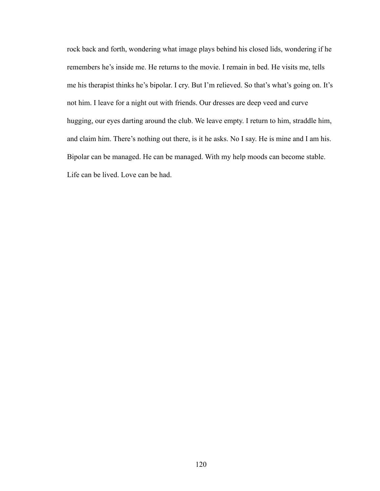rock back and forth, wondering what image plays behind his closed lids, wondering if he remembers he's inside me. He returns to the movie. I remain in bed. He visits me, tells me his therapist thinks he's bipolar. I cry. But I'm relieved. So that's what's going on. It's not him. I leave for a night out with friends. Our dresses are deep veed and curve hugging, our eyes darting around the club. We leave empty. I return to him, straddle him, and claim him. There's nothing out there, is it he asks. No I say. He is mine and I am his. Bipolar can be managed. He can be managed. With my help moods can become stable. Life can be lived. Love can be had.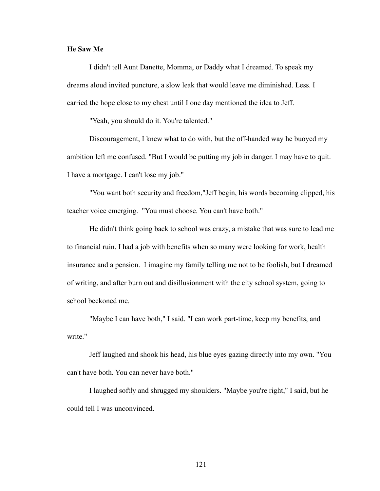#### **He Saw Me**

I didn't tell Aunt Danette, Momma, or Daddy what I dreamed. To speak my dreams aloud invited puncture, a slow leak that would leave me diminished. Less. I carried the hope close to my chest until I one day mentioned the idea to Jeff.

"Yeah, you should do it. You're talented."

 Discouragement, I knew what to do with, but the off-handed way he buoyed my ambition left me confused. "But I would be putting my job in danger. I may have to quit. I have a mortgage. I can't lose my job."

 "You want both security and freedom,"Jeff begin, his words becoming clipped, his teacher voice emerging. "You must choose. You can't have both."

 He didn't think going back to school was crazy, a mistake that was sure to lead me to financial ruin. I had a job with benefits when so many were looking for work, health insurance and a pension. I imagine my family telling me not to be foolish, but I dreamed of writing, and after burn out and disillusionment with the city school system, going to school beckoned me.

 "Maybe I can have both," I said. "I can work part-time, keep my benefits, and write."

 Jeff laughed and shook his head, his blue eyes gazing directly into my own. "You can't have both. You can never have both."

 I laughed softly and shrugged my shoulders. "Maybe you're right," I said, but he could tell I was unconvinced.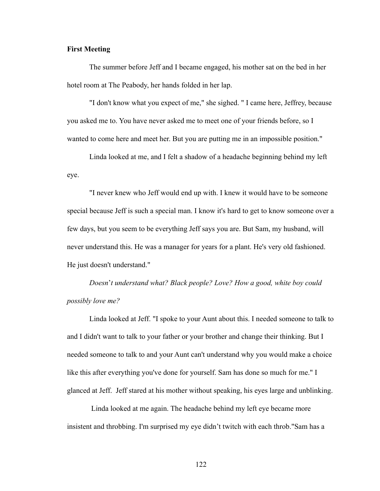#### **First Meeting**

 The summer before Jeff and I became engaged, his mother sat on the bed in her hotel room at The Peabody, her hands folded in her lap.

 "I don't know what you expect of me," she sighed. " I came here, Jeffrey, because you asked me to. You have never asked me to meet one of your friends before, so I wanted to come here and meet her. But you are putting me in an impossible position."

 Linda looked at me, and I felt a shadow of a headache beginning behind my left eye.

 "I never knew who Jeff would end up with. I knew it would have to be someone special because Jeff is such a special man. I know it's hard to get to know someone over a few days, but you seem to be everything Jeff says you are. But Sam, my husband, will never understand this. He was a manager for years for a plant. He's very old fashioned. He just doesn't understand."

*Doesn*'*t understand what? Black people? Love? How a good, white boy could possibly love me?*

Linda looked at Jeff. "I spoke to your Aunt about this. I needed someone to talk to and I didn't want to talk to your father or your brother and change their thinking. But I needed someone to talk to and your Aunt can't understand why you would make a choice like this after everything you've done for yourself. Sam has done so much for me." I glanced at Jeff. Jeff stared at his mother without speaking, his eyes large and unblinking.

 Linda looked at me again. The headache behind my left eye became more insistent and throbbing. I'm surprised my eye didn't twitch with each throb."Sam has a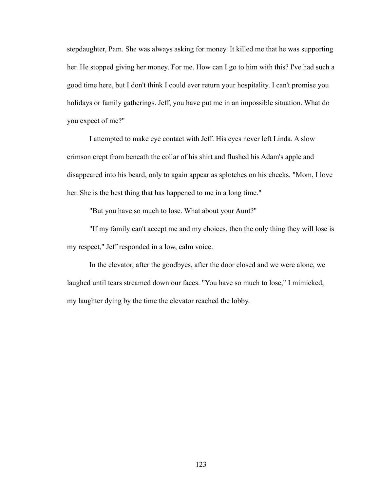stepdaughter, Pam. She was always asking for money. It killed me that he was supporting her. He stopped giving her money. For me. How can I go to him with this? I've had such a good time here, but I don't think I could ever return your hospitality. I can't promise you holidays or family gatherings. Jeff, you have put me in an impossible situation. What do you expect of me?"

 I attempted to make eye contact with Jeff. His eyes never left Linda. A slow crimson crept from beneath the collar of his shirt and flushed his Adam's apple and disappeared into his beard, only to again appear as splotches on his cheeks. "Mom, I love her. She is the best thing that has happened to me in a long time."

"But you have so much to lose. What about your Aunt?"

 "If my family can't accept me and my choices, then the only thing they will lose is my respect," Jeff responded in a low, calm voice.

 In the elevator, after the goodbyes, after the door closed and we were alone, we laughed until tears streamed down our faces. "You have so much to lose," I mimicked, my laughter dying by the time the elevator reached the lobby.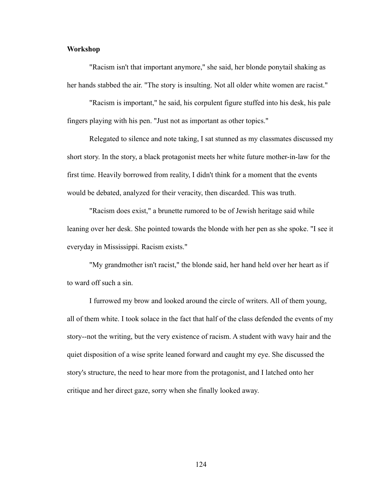#### **Workshop**

"Racism isn't that important anymore," she said, her blonde ponytail shaking as her hands stabbed the air. "The story is insulting. Not all older white women are racist."

 "Racism is important," he said, his corpulent figure stuffed into his desk, his pale fingers playing with his pen. "Just not as important as other topics."

 Relegated to silence and note taking, I sat stunned as my classmates discussed my short story. In the story, a black protagonist meets her white future mother-in-law for the first time. Heavily borrowed from reality, I didn't think for a moment that the events would be debated, analyzed for their veracity, then discarded. This was truth.

 "Racism does exist," a brunette rumored to be of Jewish heritage said while leaning over her desk. She pointed towards the blonde with her pen as she spoke. "I see it everyday in Mississippi. Racism exists."

 "My grandmother isn't racist," the blonde said, her hand held over her heart as if to ward off such a sin.

 I furrowed my brow and looked around the circle of writers. All of them young, all of them white. I took solace in the fact that half of the class defended the events of my story--not the writing, but the very existence of racism. A student with wavy hair and the quiet disposition of a wise sprite leaned forward and caught my eye. She discussed the story's structure, the need to hear more from the protagonist, and I latched onto her critique and her direct gaze, sorry when she finally looked away.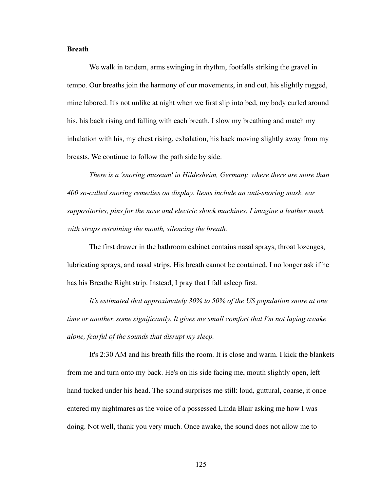#### **Breath**

We walk in tandem, arms swinging in rhythm, footfalls striking the gravel in tempo. Our breaths join the harmony of our movements, in and out, his slightly rugged, mine labored. It's not unlike at night when we first slip into bed, my body curled around his, his back rising and falling with each breath. I slow my breathing and match my inhalation with his, my chest rising, exhalation, his back moving slightly away from my breasts. We continue to follow the path side by side.

*There is a 'snoring museum' in Hildesheim, Germany, where there are more than 400 so-called snoring remedies on display. Items include an anti-snoring mask, ear suppositories, pins for the nose and electric shock machines. I imagine a leather mask with straps retraining the mouth, silencing the breath.*

 The first drawer in the bathroom cabinet contains nasal sprays, throat lozenges, lubricating sprays, and nasal strips. His breath cannot be contained. I no longer ask if he has his Breathe Right strip. Instead, I pray that I fall asleep first.

*It's estimated that approximately 30% to 50% of the US population snore at one time or another, some significantly. It gives me small comfort that I'm not laying awake alone, fearful of the sounds that disrupt my sleep.*

It's 2:30 AM and his breath fills the room. It is close and warm. I kick the blankets from me and turn onto my back. He's on his side facing me, mouth slightly open, left hand tucked under his head. The sound surprises me still: loud, guttural, coarse, it once entered my nightmares as the voice of a possessed Linda Blair asking me how I was doing. Not well, thank you very much. Once awake, the sound does not allow me to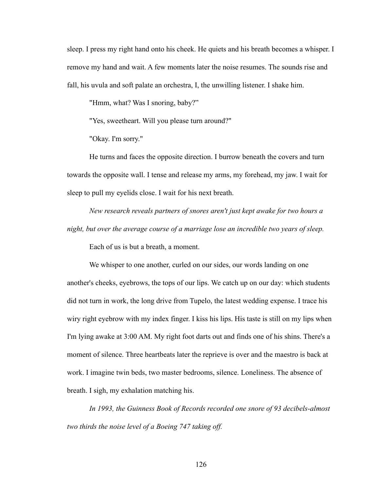sleep. I press my right hand onto his cheek. He quiets and his breath becomes a whisper. I remove my hand and wait. A few moments later the noise resumes. The sounds rise and fall, his uvula and soft palate an orchestra, I, the unwilling listener. I shake him.

"Hmm, what? Was I snoring, baby?"

"Yes, sweetheart. Will you please turn around?"

"Okay. I'm sorry."

 He turns and faces the opposite direction. I burrow beneath the covers and turn towards the opposite wall. I tense and release my arms, my forehead, my jaw. I wait for sleep to pull my eyelids close. I wait for his next breath.

*New research reveals partners of snores aren't just kept awake for two hours a night, but over the average course of a marriage lose an incredible two years of sleep.*

Each of us is but a breath, a moment.

 We whisper to one another, curled on our sides, our words landing on one another's cheeks, eyebrows, the tops of our lips. We catch up on our day: which students did not turn in work, the long drive from Tupelo, the latest wedding expense. I trace his wiry right eyebrow with my index finger. I kiss his lips. His taste is still on my lips when I'm lying awake at 3:00 AM. My right foot darts out and finds one of his shins. There's a moment of silence. Three heartbeats later the reprieve is over and the maestro is back at work. I imagine twin beds, two master bedrooms, silence. Loneliness. The absence of breath. I sigh, my exhalation matching his.

*In 1993, the Guinness Book of Records recorded one snore of 93 decibels-almost two thirds the noise level of a Boeing 747 taking off.*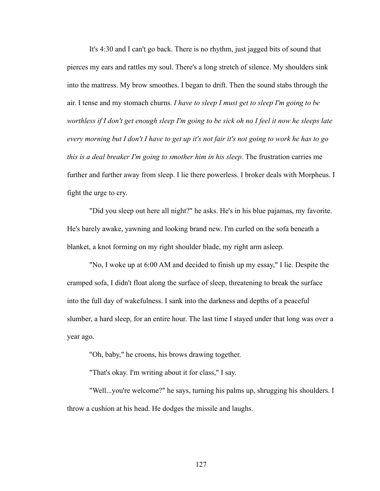It's 4:30 and I can't go back. There is no rhythm, just jagged bits of sound that pierces my ears and rattles my soul. There's a long stretch of silence. My shoulders sink into the mattress. My brow smoothes. I began to drift. Then the sound stabs through the air. I tense and my stomach churns. *I have to sleep I must get to sleep I'm going to be worthless if I don't get enough sleep I'm going to be sick oh no I feel it now he sleeps late every morning but I don't I have to get up it's not fair it's not going to work he has to go this is a deal breaker I'm going to smother him in his sleep.* The frustration carries me further and further away from sleep. I lie there powerless. I broker deals with Morpheus. I fight the urge to cry.

 "Did you sleep out here all night?" he asks. He's in his blue pajamas, my favorite. He's barely awake, yawning and looking brand new. I'm curled on the sofa beneath a blanket, a knot forming on my right shoulder blade, my right arm asleep.

 "No, I woke up at 6:00 AM and decided to finish up my essay," I lie. Despite the cramped sofa, I didn't float along the surface of sleep, threatening to break the surface into the full day of wakefulness. I sank into the darkness and depths of a peaceful slumber, a hard sleep, for an entire hour. The last time I stayed under that long was over a year ago.

"Oh, baby," he croons, his brows drawing together.

"That's okay. I'm writing about it for class," I say.

 "Well...you're welcome?" he says, turning his palms up, shrugging his shoulders. I throw a cushion at his head. He dodges the missile and laughs.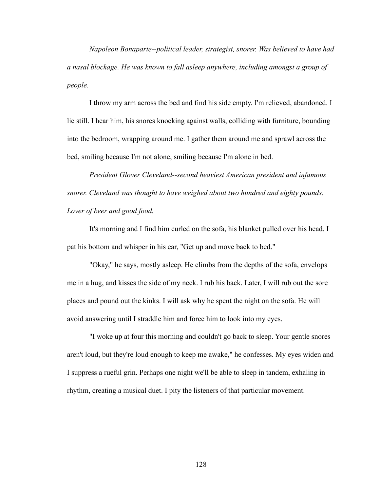*Napoleon Bonaparte--political leader, strategist, snorer. Was believed to have had a nasal blockage. He was known to fall asleep anywhere, including amongst a group of people.*

I throw my arm across the bed and find his side empty. I'm relieved, abandoned. I lie still. I hear him, his snores knocking against walls, colliding with furniture, bounding into the bedroom, wrapping around me. I gather them around me and sprawl across the bed, smiling because I'm not alone, smiling because I'm alone in bed.

*President Glover Cleveland--second heaviest American president and infamous snorer. Cleveland was thought to have weighed about two hundred and eighty pounds. Lover of beer and good food.*

It's morning and I find him curled on the sofa, his blanket pulled over his head. I pat his bottom and whisper in his ear, "Get up and move back to bed."

 "Okay," he says, mostly asleep. He climbs from the depths of the sofa, envelops me in a hug, and kisses the side of my neck. I rub his back. Later, I will rub out the sore places and pound out the kinks. I will ask why he spent the night on the sofa. He will avoid answering until I straddle him and force him to look into my eyes.

 "I woke up at four this morning and couldn't go back to sleep. Your gentle snores aren't loud, but they're loud enough to keep me awake," he confesses. My eyes widen and I suppress a rueful grin. Perhaps one night we'll be able to sleep in tandem, exhaling in rhythm, creating a musical duet. I pity the listeners of that particular movement.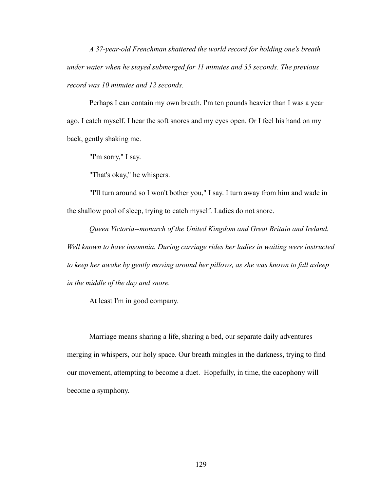*A 37-year-old Frenchman shattered the world record for holding one's breath under water when he stayed submerged for 11 minutes and 35 seconds. The previous record was 10 minutes and 12 seconds.*

Perhaps I can contain my own breath. I'm ten pounds heavier than I was a year ago. I catch myself. I hear the soft snores and my eyes open. Or I feel his hand on my back, gently shaking me.

"I'm sorry," I say.

"That's okay," he whispers.

 "I'll turn around so I won't bother you," I say. I turn away from him and wade in the shallow pool of sleep, trying to catch myself. Ladies do not snore.

*Queen Victoria--monarch of the United Kingdom and Great Britain and Ireland. Well known to have insomnia. During carriage rides her ladies in waiting were instructed to keep her awake by gently moving around her pillows, as she was known to fall asleep in the middle of the day and snore.*

At least I'm in good company.

 Marriage means sharing a life, sharing a bed, our separate daily adventures merging in whispers, our holy space. Our breath mingles in the darkness, trying to find our movement, attempting to become a duet. Hopefully, in time, the cacophony will become a symphony.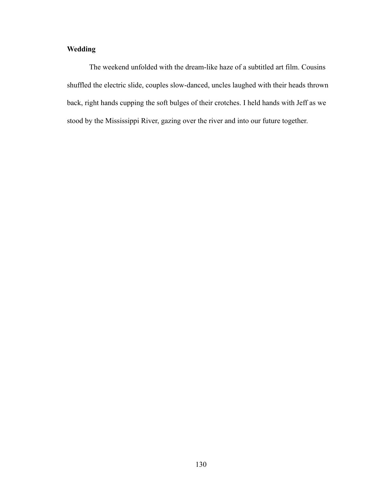# **Wedding**

The weekend unfolded with the dream-like haze of a subtitled art film. Cousins shuffled the electric slide, couples slow-danced, uncles laughed with their heads thrown back, right hands cupping the soft bulges of their crotches. I held hands with Jeff as we stood by the Mississippi River, gazing over the river and into our future together.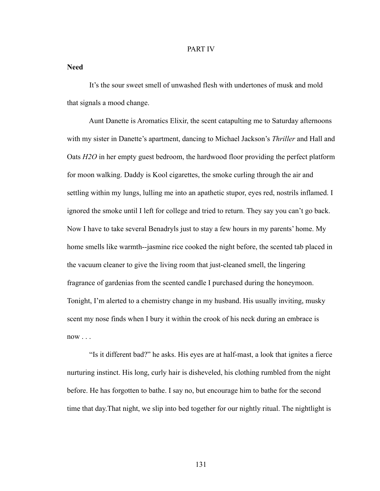#### PART IV

**Need**

 It's the sour sweet smell of unwashed flesh with undertones of musk and mold that signals a mood change.

 Aunt Danette is Aromatics Elixir, the scent catapulting me to Saturday afternoons with my sister in Danette's apartment, dancing to Michael Jackson's *Thriller* and Hall and Oats *H2O* in her empty guest bedroom, the hardwood floor providing the perfect platform for moon walking. Daddy is Kool cigarettes, the smoke curling through the air and settling within my lungs, lulling me into an apathetic stupor, eyes red, nostrils inflamed. I ignored the smoke until I left for college and tried to return. They say you can't go back. Now I have to take several Benadryls just to stay a few hours in my parents' home. My home smells like warmth--jasmine rice cooked the night before, the scented tab placed in the vacuum cleaner to give the living room that just-cleaned smell, the lingering fragrance of gardenias from the scented candle I purchased during the honeymoon. Tonight, I'm alerted to a chemistry change in my husband. His usually inviting, musky scent my nose finds when I bury it within the crook of his neck during an embrace is  $now \dots$ 

 "Is it different bad?" he asks. His eyes are at half-mast, a look that ignites a fierce nurturing instinct. His long, curly hair is disheveled, his clothing rumbled from the night before. He has forgotten to bathe. I say no, but encourage him to bathe for the second time that day.That night, we slip into bed together for our nightly ritual. The nightlight is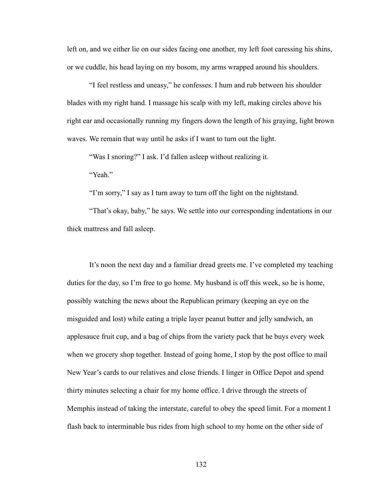left on, and we either lie on our sides facing one another, my left foot caressing his shins, or we cuddle, his head laying on my bosom, my arms wrapped around his shoulders.

 "I feel restless and uneasy," he confesses. I hum and rub between his shoulder blades with my right hand. I massage his scalp with my left, making circles above his right ear and occasionally running my fingers down the length of his graying, light brown waves. We remain that way until he asks if I want to turn out the light.

"Was I snoring?" I ask. I'd fallen asleep without realizing it.

"Yeah."

"I'm sorry," I say as I turn away to turn off the light on the nightstand.

 "That's okay, baby," he says. We settle into our corresponding indentations in our thick mattress and fall asleep.

 It's noon the next day and a familiar dread greets me. I've completed my teaching duties for the day, so I'm free to go home. My husband is off this week, so he is home, possibly watching the news about the Republican primary (keeping an eye on the misguided and lost) while eating a triple layer peanut butter and jelly sandwich, an applesauce fruit cup, and a bag of chips from the variety pack that he buys every week when we grocery shop together. Instead of going home, I stop by the post office to mail New Year's cards to our relatives and close friends. I linger in Office Depot and spend thirty minutes selecting a chair for my home office. I drive through the streets of Memphis instead of taking the interstate, careful to obey the speed limit. For a moment I flash back to interminable bus rides from high school to my home on the other side of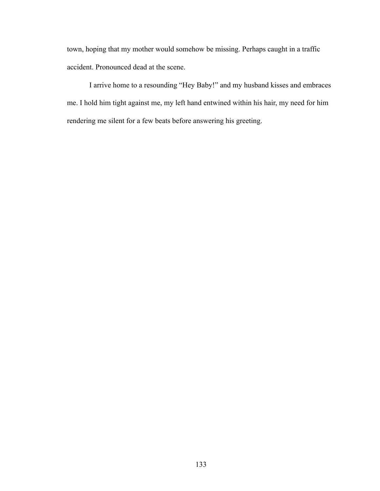town, hoping that my mother would somehow be missing. Perhaps caught in a traffic accident. Pronounced dead at the scene.

 I arrive home to a resounding "Hey Baby!" and my husband kisses and embraces me. I hold him tight against me, my left hand entwined within his hair, my need for him rendering me silent for a few beats before answering his greeting.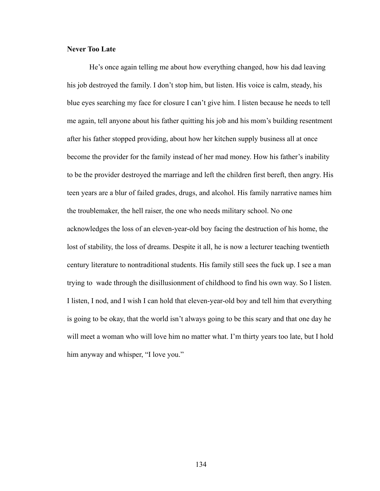### **Never Too Late**

 He's once again telling me about how everything changed, how his dad leaving his job destroyed the family. I don't stop him, but listen. His voice is calm, steady, his blue eyes searching my face for closure I can't give him. I listen because he needs to tell me again, tell anyone about his father quitting his job and his mom's building resentment after his father stopped providing, about how her kitchen supply business all at once become the provider for the family instead of her mad money. How his father's inability to be the provider destroyed the marriage and left the children first bereft, then angry. His teen years are a blur of failed grades, drugs, and alcohol. His family narrative names him the troublemaker, the hell raiser, the one who needs military school. No one acknowledges the loss of an eleven-year-old boy facing the destruction of his home, the lost of stability, the loss of dreams. Despite it all, he is now a lecturer teaching twentieth century literature to nontraditional students. His family still sees the fuck up. I see a man trying to wade through the disillusionment of childhood to find his own way. So I listen. I listen, I nod, and I wish I can hold that eleven-year-old boy and tell him that everything is going to be okay, that the world isn't always going to be this scary and that one day he will meet a woman who will love him no matter what. I'm thirty years too late, but I hold him anyway and whisper, "I love you."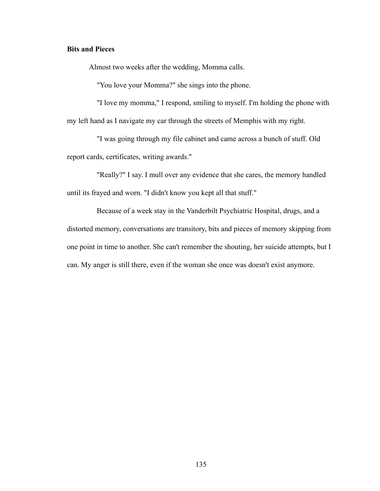## **Bits and Pieces**

Almost two weeks after the wedding, Momma calls.

"You love your Momma?" she sings into the phone.

"I love my momma," I respond, smiling to myself. I'm holding the phone with my left hand as I navigate my car through the streets of Memphis with my right.

"I was going through my file cabinet and came across a bunch of stuff. Old report cards, certificates, writing awards."

"Really?" I say. I mull over any evidence that she cares, the memory handled until its frayed and worn. "I didn't know you kept all that stuff."

Because of a week stay in the Vanderbilt Psychiatric Hospital, drugs, and a distorted memory, conversations are transitory, bits and pieces of memory skipping from one point in time to another. She can't remember the shouting, her suicide attempts, but I can. My anger is still there, even if the woman she once was doesn't exist anymore.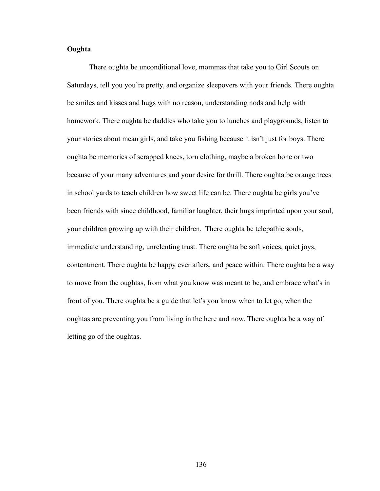## **Oughta**

 There oughta be unconditional love, mommas that take you to Girl Scouts on Saturdays, tell you you're pretty, and organize sleepovers with your friends. There oughta be smiles and kisses and hugs with no reason, understanding nods and help with homework. There oughta be daddies who take you to lunches and playgrounds, listen to your stories about mean girls, and take you fishing because it isn't just for boys. There oughta be memories of scrapped knees, torn clothing, maybe a broken bone or two because of your many adventures and your desire for thrill. There oughta be orange trees in school yards to teach children how sweet life can be. There oughta be girls you've been friends with since childhood, familiar laughter, their hugs imprinted upon your soul, your children growing up with their children. There oughta be telepathic souls, immediate understanding, unrelenting trust. There oughta be soft voices, quiet joys, contentment. There oughta be happy ever afters, and peace within. There oughta be a way to move from the oughtas, from what you know was meant to be, and embrace what's in front of you. There oughta be a guide that let's you know when to let go, when the oughtas are preventing you from living in the here and now. There oughta be a way of letting go of the oughtas.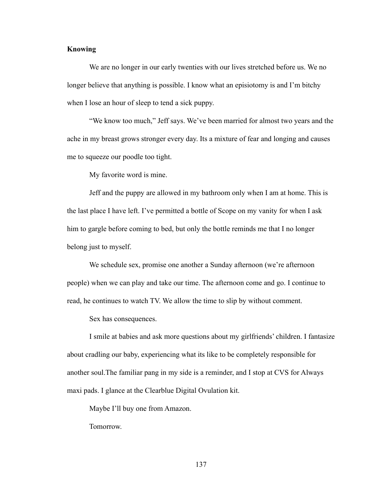## **Knowing**

 We are no longer in our early twenties with our lives stretched before us. We no longer believe that anything is possible. I know what an episiotomy is and I'm bitchy when I lose an hour of sleep to tend a sick puppy.

 "We know too much," Jeff says. We've been married for almost two years and the ache in my breast grows stronger every day. Its a mixture of fear and longing and causes me to squeeze our poodle too tight.

My favorite word is mine.

 Jeff and the puppy are allowed in my bathroom only when I am at home. This is the last place I have left. I've permitted a bottle of Scope on my vanity for when I ask him to gargle before coming to bed, but only the bottle reminds me that I no longer belong just to myself.

 We schedule sex, promise one another a Sunday afternoon (we're afternoon people) when we can play and take our time. The afternoon come and go. I continue to read, he continues to watch TV. We allow the time to slip by without comment.

Sex has consequences.

 I smile at babies and ask more questions about my girlfriends' children. I fantasize about cradling our baby, experiencing what its like to be completely responsible for another soul.The familiar pang in my side is a reminder, and I stop at CVS for Always maxi pads. I glance at the Clearblue Digital Ovulation kit.

Maybe I'll buy one from Amazon.

Tomorrow.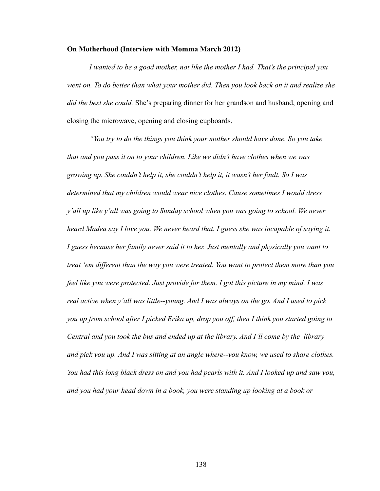#### **On Motherhood (Interview with Momma March 2012)**

*I wanted to be a good mother, not like the mother I had. That's the principal you went on. To do better than what your mother did. Then you look back on it and realize she did the best she could.* She's preparing dinner for her grandson and husband, opening and closing the microwave, opening and closing cupboards.

 *"You try to do the things you think your mother should have done. So you take that and you pass it on to your children. Like we didn't have clothes when we was growing up. She couldn't help it, she couldn't help it, it wasn't her fault. So I was determined that my children would wear nice clothes. Cause sometimes I would dress y'all up like y'all was going to Sunday school when you was going to school. We never heard Madea say I love you. We never heard that. I guess she was incapable of saying it. I guess because her family never said it to her. Just mentally and physically you want to treat 'em different than the way you were treated. You want to protect them more than you feel like you were protected. Just provide for them. I got this picture in my mind. I was real active when y'all was little--young. And I was always on the go. And I used to pick you up from school after I picked Erika up, drop you off, then I think you started going to Central and you took the bus and ended up at the library. And I'll come by the library and pick you up. And I was sitting at an angle where--you know, we used to share clothes. You had this long black dress on and you had pearls with it. And I looked up and saw you, and you had your head down in a book, you were standing up looking at a book or*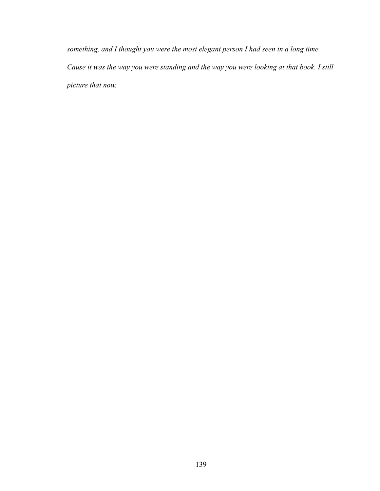*something, and I thought you were the most elegant person I had seen in a long time. Cause it was the way you were standing and the way you were looking at that book. I still picture that now.*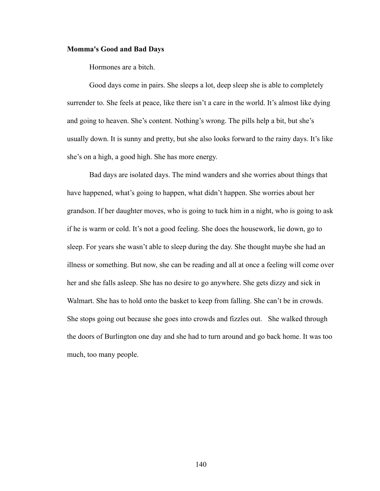#### **Momma's Good and Bad Days**

Hormones are a bitch.

 Good days come in pairs. She sleeps a lot, deep sleep she is able to completely surrender to. She feels at peace, like there isn't a care in the world. It's almost like dying and going to heaven. She's content. Nothing's wrong. The pills help a bit, but she's usually down. It is sunny and pretty, but she also looks forward to the rainy days. It's like she's on a high, a good high. She has more energy.

 Bad days are isolated days. The mind wanders and she worries about things that have happened, what's going to happen, what didn't happen. She worries about her grandson. If her daughter moves, who is going to tuck him in a night, who is going to ask if he is warm or cold. It's not a good feeling. She does the housework, lie down, go to sleep. For years she wasn't able to sleep during the day. She thought maybe she had an illness or something. But now, she can be reading and all at once a feeling will come over her and she falls asleep. She has no desire to go anywhere. She gets dizzy and sick in Walmart. She has to hold onto the basket to keep from falling. She can't be in crowds. She stops going out because she goes into crowds and fizzles out. She walked through the doors of Burlington one day and she had to turn around and go back home. It was too much, too many people.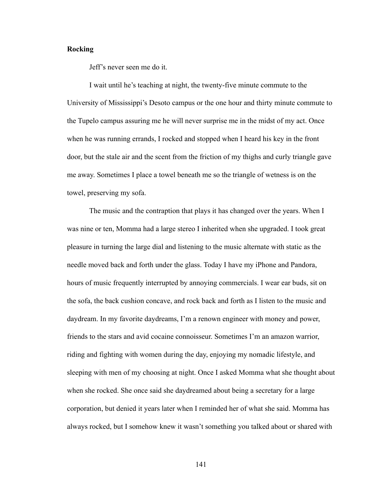## **Rocking**

Jeff's never seen me do it.

 I wait until he's teaching at night, the twenty-five minute commute to the University of Mississippi's Desoto campus or the one hour and thirty minute commute to the Tupelo campus assuring me he will never surprise me in the midst of my act. Once when he was running errands, I rocked and stopped when I heard his key in the front door, but the stale air and the scent from the friction of my thighs and curly triangle gave me away. Sometimes I place a towel beneath me so the triangle of wetness is on the towel, preserving my sofa.

 The music and the contraption that plays it has changed over the years. When I was nine or ten, Momma had a large stereo I inherited when she upgraded. I took great pleasure in turning the large dial and listening to the music alternate with static as the needle moved back and forth under the glass. Today I have my iPhone and Pandora, hours of music frequently interrupted by annoying commercials. I wear ear buds, sit on the sofa, the back cushion concave, and rock back and forth as I listen to the music and daydream. In my favorite daydreams, I'm a renown engineer with money and power, friends to the stars and avid cocaine connoisseur. Sometimes I'm an amazon warrior, riding and fighting with women during the day, enjoying my nomadic lifestyle, and sleeping with men of my choosing at night. Once I asked Momma what she thought about when she rocked. She once said she daydreamed about being a secretary for a large corporation, but denied it years later when I reminded her of what she said. Momma has always rocked, but I somehow knew it wasn't something you talked about or shared with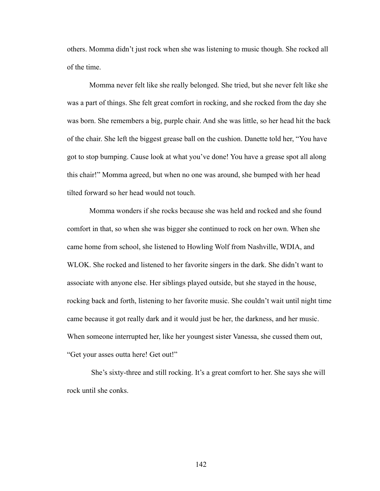others. Momma didn't just rock when she was listening to music though. She rocked all of the time.

 Momma never felt like she really belonged. She tried, but she never felt like she was a part of things. She felt great comfort in rocking, and she rocked from the day she was born. She remembers a big, purple chair. And she was little, so her head hit the back of the chair. She left the biggest grease ball on the cushion. Danette told her, "You have got to stop bumping. Cause look at what you've done! You have a grease spot all along this chair!" Momma agreed, but when no one was around, she bumped with her head tilted forward so her head would not touch.

 Momma wonders if she rocks because she was held and rocked and she found comfort in that, so when she was bigger she continued to rock on her own. When she came home from school, she listened to Howling Wolf from Nashville, WDIA, and WLOK. She rocked and listened to her favorite singers in the dark. She didn't want to associate with anyone else. Her siblings played outside, but she stayed in the house, rocking back and forth, listening to her favorite music. She couldn't wait until night time came because it got really dark and it would just be her, the darkness, and her music. When someone interrupted her, like her youngest sister Vanessa, she cussed them out, "Get your asses outta here! Get out!"

 She's sixty-three and still rocking. It's a great comfort to her. She says she will rock until she conks.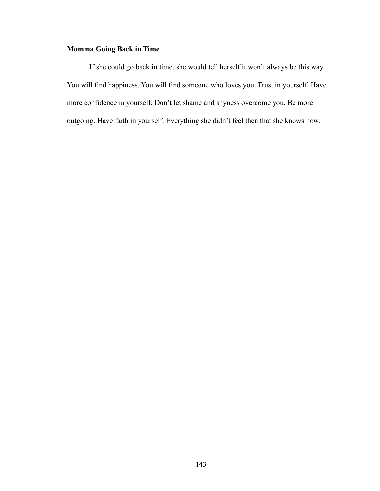# **Momma Going Back in Time**

If she could go back in time, she would tell herself it won't always be this way. You will find happiness. You will find someone who loves you. Trust in yourself. Have more confidence in yourself. Don't let shame and shyness overcome you. Be more outgoing. Have faith in yourself. Everything she didn't feel then that she knows now.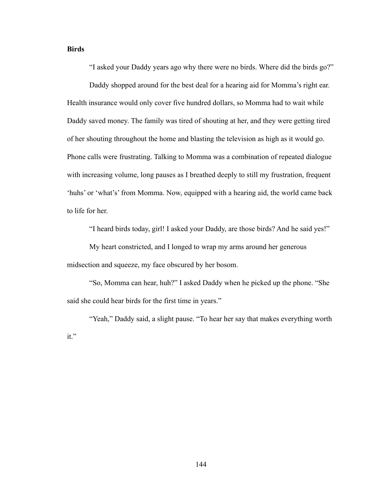## **Birds**

"I asked your Daddy years ago why there were no birds. Where did the birds go?"

 Daddy shopped around for the best deal for a hearing aid for Momma's right ear. Health insurance would only cover five hundred dollars, so Momma had to wait while Daddy saved money. The family was tired of shouting at her, and they were getting tired of her shouting throughout the home and blasting the television as high as it would go. Phone calls were frustrating. Talking to Momma was a combination of repeated dialogue with increasing volume, long pauses as I breathed deeply to still my frustration, frequent 'huhs' or 'what's' from Momma. Now, equipped with a hearing aid, the world came back to life for her.

"I heard birds today, girl! I asked your Daddy, are those birds? And he said yes!"

 My heart constricted, and I longed to wrap my arms around her generous midsection and squeeze, my face obscured by her bosom.

 "So, Momma can hear, huh?" I asked Daddy when he picked up the phone. "She said she could hear birds for the first time in years."

"Yeah," Daddy said, a slight pause. "To hear her say that makes everything worth it."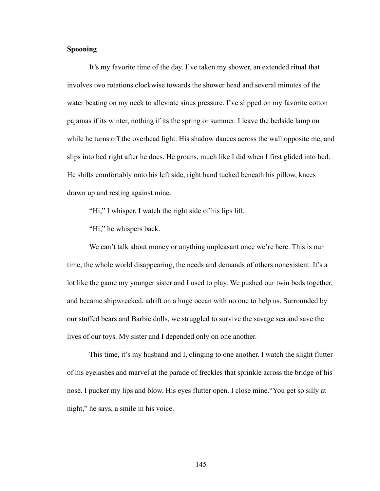## **Spooning**

 It's my favorite time of the day. I've taken my shower, an extended ritual that involves two rotations clockwise towards the shower head and several minutes of the water beating on my neck to alleviate sinus pressure. I've slipped on my favorite cotton pajamas if its winter, nothing if its the spring or summer. I leave the bedside lamp on while he turns off the overhead light. His shadow dances across the wall opposite me, and slips into bed right after he does. He groans, much like I did when I first glided into bed. He shifts comfortably onto his left side, right hand tucked beneath his pillow, knees drawn up and resting against mine.

"Hi," I whisper. I watch the right side of his lips lift.

"Hi," he whispers back.

We can't talk about money or anything unpleasant once we're here. This is our time, the whole world disappearing, the needs and demands of others nonexistent. It's a lot like the game my younger sister and I used to play. We pushed our twin beds together, and became shipwrecked, adrift on a huge ocean with no one to help us. Surrounded by our stuffed bears and Barbie dolls, we struggled to survive the savage sea and save the lives of our toys. My sister and I depended only on one another.

 This time, it's my husband and I, clinging to one another. I watch the slight flutter of his eyelashes and marvel at the parade of freckles that sprinkle across the bridge of his nose. I pucker my lips and blow. His eyes flutter open. I close mine."You get so silly at night," he says, a smile in his voice.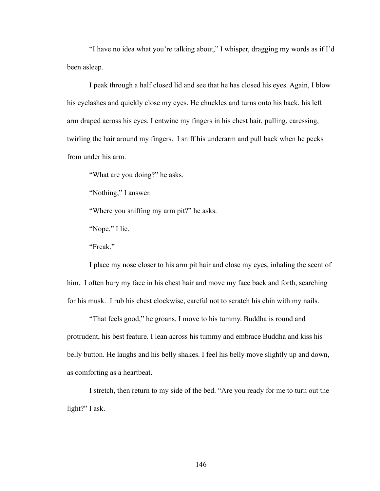"I have no idea what you're talking about," I whisper, dragging my words as if I'd been asleep.

 I peak through a half closed lid and see that he has closed his eyes. Again, I blow his eyelashes and quickly close my eyes. He chuckles and turns onto his back, his left arm draped across his eyes. I entwine my fingers in his chest hair, pulling, caressing, twirling the hair around my fingers. I sniff his underarm and pull back when he peeks from under his arm.

"What are you doing?" he asks.

"Nothing," I answer.

"Where you sniffing my arm pit?" he asks.

"Nope," I lie.

"Freak."

 I place my nose closer to his arm pit hair and close my eyes, inhaling the scent of him. I often bury my face in his chest hair and move my face back and forth, searching for his musk. I rub his chest clockwise, careful not to scratch his chin with my nails.

 "That feels good," he groans. I move to his tummy. Buddha is round and protrudent, his best feature. I lean across his tummy and embrace Buddha and kiss his belly button. He laughs and his belly shakes. I feel his belly move slightly up and down, as comforting as a heartbeat.

 I stretch, then return to my side of the bed. "Are you ready for me to turn out the light?" I ask.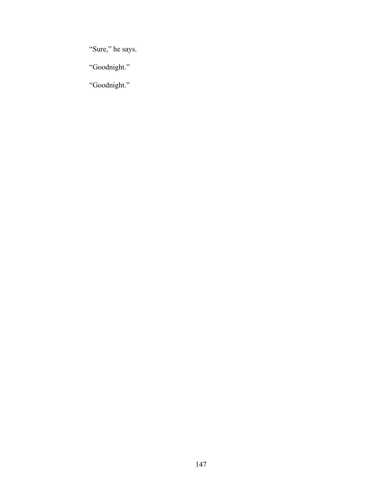"Sure," he says.

"Goodnight."

"Goodnight."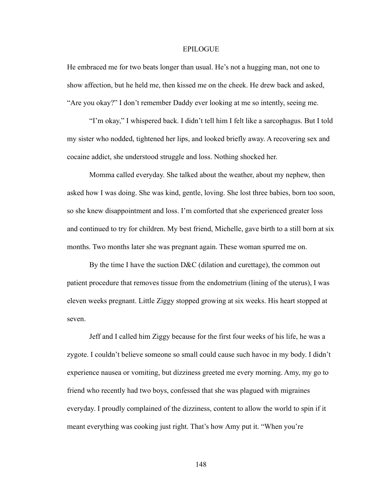#### **EPILOGUE**

He embraced me for two beats longer than usual. He's not a hugging man, not one to show affection, but he held me, then kissed me on the cheek. He drew back and asked, "Are you okay?" I don't remember Daddy ever looking at me so intently, seeing me.

 "I'm okay," I whispered back. I didn't tell him I felt like a sarcophagus. But I told my sister who nodded, tightened her lips, and looked briefly away. A recovering sex and cocaine addict, she understood struggle and loss. Nothing shocked her.

 Momma called everyday. She talked about the weather, about my nephew, then asked how I was doing. She was kind, gentle, loving. She lost three babies, born too soon, so she knew disappointment and loss. I'm comforted that she experienced greater loss and continued to try for children. My best friend, Michelle, gave birth to a still born at six months. Two months later she was pregnant again. These woman spurred me on.

 By the time I have the suction D&C (dilation and curettage), the common out patient procedure that removes tissue from the endometrium (lining of the uterus), I was eleven weeks pregnant. Little Ziggy stopped growing at six weeks. His heart stopped at seven.

 Jeff and I called him Ziggy because for the first four weeks of his life, he was a zygote. I couldn't believe someone so small could cause such havoc in my body. I didn't experience nausea or vomiting, but dizziness greeted me every morning. Amy, my go to friend who recently had two boys, confessed that she was plagued with migraines everyday. I proudly complained of the dizziness, content to allow the world to spin if it meant everything was cooking just right. That's how Amy put it. "When you're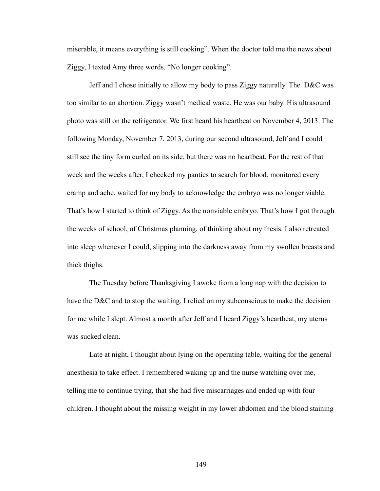miserable, it means everything is still cooking". When the doctor told me the news about Ziggy, I texted Amy three words. "No longer cooking".

 Jeff and I chose initially to allow my body to pass Ziggy naturally. The D&C was too similar to an abortion. Ziggy wasn't medical waste. He was our baby. His ultrasound photo was still on the refrigerator. We first heard his heartbeat on November 4, 2013. The following Monday, November 7, 2013, during our second ultrasound, Jeff and I could still see the tiny form curled on its side, but there was no heartbeat. For the rest of that week and the weeks after, I checked my panties to search for blood, monitored every cramp and ache, waited for my body to acknowledge the embryo was no longer viable. That's how I started to think of Ziggy. As the nonviable embryo. That's how I got through the weeks of school, of Christmas planning, of thinking about my thesis. I also retreated into sleep whenever I could, slipping into the darkness away from my swollen breasts and thick thighs.

 The Tuesday before Thanksgiving I awoke from a long nap with the decision to have the D&C and to stop the waiting. I relied on my subconscious to make the decision for me while I slept. Almost a month after Jeff and I heard Ziggy's heartbeat, my uterus was sucked clean.

 Late at night, I thought about lying on the operating table, waiting for the general anesthesia to take effect. I remembered waking up and the nurse watching over me, telling me to continue trying, that she had five miscarriages and ended up with four children. I thought about the missing weight in my lower abdomen and the blood staining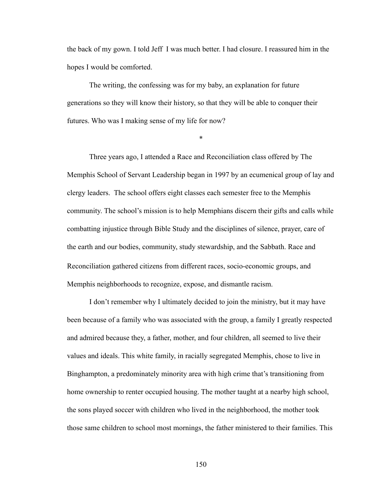the back of my gown. I told Jeff I was much better. I had closure. I reassured him in the hopes I would be comforted.

The writing, the confessing was for my baby, an explanation for future generations so they will know their history, so that they will be able to conquer their futures. Who was I making sense of my life for now?

\*

Three years ago, I attended a Race and Reconciliation class offered by The Memphis School of Servant Leadership began in 1997 by an ecumenical group of lay and clergy leaders. The school offers eight classes each semester free to the Memphis community. The school's mission is to help Memphians discern their gifts and calls while combatting injustice through Bible Study and the disciplines of silence, prayer, care of the earth and our bodies, community, study stewardship, and the Sabbath. Race and Reconciliation gathered citizens from different races, socio-economic groups, and Memphis neighborhoods to recognize, expose, and dismantle racism.

 I don't remember why I ultimately decided to join the ministry, but it may have been because of a family who was associated with the group, a family I greatly respected and admired because they, a father, mother, and four children, all seemed to live their values and ideals. This white family, in racially segregated Memphis, chose to live in Binghampton, a predominately minority area with high crime that's transitioning from home ownership to renter occupied housing. The mother taught at a nearby high school, the sons played soccer with children who lived in the neighborhood, the mother took those same children to school most mornings, the father ministered to their families. This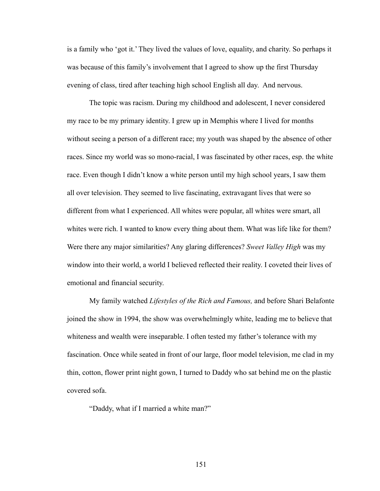is a family who 'got it.' They lived the values of love, equality, and charity. So perhaps it was because of this family's involvement that I agreed to show up the first Thursday evening of class, tired after teaching high school English all day. And nervous.

 The topic was racism. During my childhood and adolescent, I never considered my race to be my primary identity. I grew up in Memphis where I lived for months without seeing a person of a different race; my youth was shaped by the absence of other races. Since my world was so mono-racial, I was fascinated by other races, esp. the white race. Even though I didn't know a white person until my high school years, I saw them all over television. They seemed to live fascinating, extravagant lives that were so different from what I experienced. All whites were popular, all whites were smart, all whites were rich. I wanted to know every thing about them. What was life like for them? Were there any major similarities? Any glaring differences? *Sweet Valley High* was my window into their world, a world I believed reflected their reality. I coveted their lives of emotional and financial security.

 My family watched *Lifestyles of the Rich and Famous,* and before Shari Belafonte joined the show in 1994, the show was overwhelmingly white, leading me to believe that whiteness and wealth were inseparable. I often tested my father's tolerance with my fascination. Once while seated in front of our large, floor model television, me clad in my thin, cotton, flower print night gown, I turned to Daddy who sat behind me on the plastic covered sofa.

"Daddy, what if I married a white man?"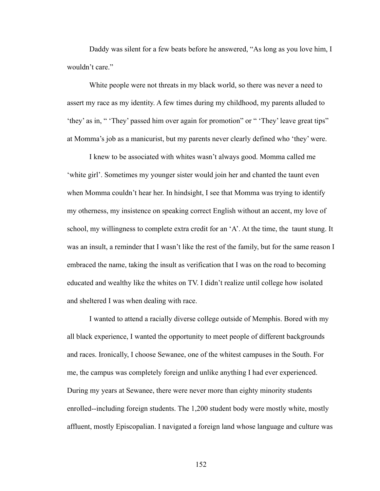Daddy was silent for a few beats before he answered, "As long as you love him, I wouldn't care."

 White people were not threats in my black world, so there was never a need to assert my race as my identity. A few times during my childhood, my parents alluded to 'they' as in, " 'They' passed him over again for promotion" or " 'They' leave great tips" at Momma's job as a manicurist, but my parents never clearly defined who 'they' were.

 I knew to be associated with whites wasn't always good. Momma called me 'white girl'. Sometimes my younger sister would join her and chanted the taunt even when Momma couldn't hear her. In hindsight, I see that Momma was trying to identify my otherness, my insistence on speaking correct English without an accent, my love of school, my willingness to complete extra credit for an 'A'. At the time, the taunt stung. It was an insult, a reminder that I wasn't like the rest of the family, but for the same reason I embraced the name, taking the insult as verification that I was on the road to becoming educated and wealthy like the whites on TV. I didn't realize until college how isolated and sheltered I was when dealing with race.

 I wanted to attend a racially diverse college outside of Memphis. Bored with my all black experience, I wanted the opportunity to meet people of different backgrounds and races. Ironically, I choose Sewanee, one of the whitest campuses in the South. For me, the campus was completely foreign and unlike anything I had ever experienced. During my years at Sewanee, there were never more than eighty minority students enrolled--including foreign students. The 1,200 student body were mostly white, mostly affluent, mostly Episcopalian. I navigated a foreign land whose language and culture was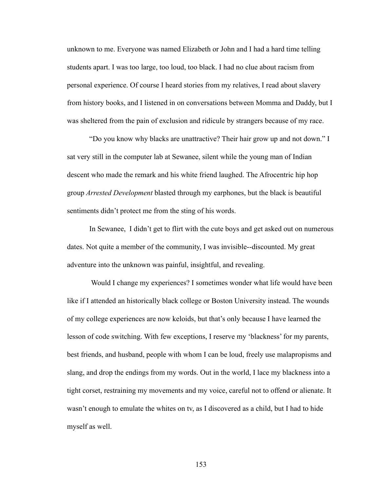unknown to me. Everyone was named Elizabeth or John and I had a hard time telling students apart. I was too large, too loud, too black. I had no clue about racism from personal experience. Of course I heard stories from my relatives, I read about slavery from history books, and I listened in on conversations between Momma and Daddy, but I was sheltered from the pain of exclusion and ridicule by strangers because of my race.

 "Do you know why blacks are unattractive? Their hair grow up and not down." I sat very still in the computer lab at Sewanee, silent while the young man of Indian descent who made the remark and his white friend laughed. The Afrocentric hip hop group *Arrested Development* blasted through my earphones, but the black is beautiful sentiments didn't protect me from the sting of his words.

 In Sewanee, I didn't get to flirt with the cute boys and get asked out on numerous dates. Not quite a member of the community, I was invisible--discounted. My great adventure into the unknown was painful, insightful, and revealing.

 Would I change my experiences? I sometimes wonder what life would have been like if I attended an historically black college or Boston University instead. The wounds of my college experiences are now keloids, but that's only because I have learned the lesson of code switching. With few exceptions, I reserve my 'blackness' for my parents, best friends, and husband, people with whom I can be loud, freely use malapropisms and slang, and drop the endings from my words. Out in the world, I lace my blackness into a tight corset, restraining my movements and my voice, careful not to offend or alienate. It wasn't enough to emulate the whites on tv, as I discovered as a child, but I had to hide myself as well.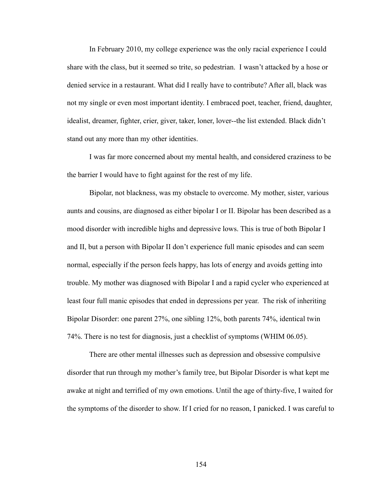In February 2010, my college experience was the only racial experience I could share with the class, but it seemed so trite, so pedestrian. I wasn't attacked by a hose or denied service in a restaurant. What did I really have to contribute? After all, black was not my single or even most important identity. I embraced poet, teacher, friend, daughter, idealist, dreamer, fighter, crier, giver, taker, loner, lover--the list extended. Black didn't stand out any more than my other identities.

 I was far more concerned about my mental health, and considered craziness to be the barrier I would have to fight against for the rest of my life.

 Bipolar, not blackness, was my obstacle to overcome. My mother, sister, various aunts and cousins, are diagnosed as either bipolar I or II. Bipolar has been described as a mood disorder with incredible highs and depressive lows. This is true of both Bipolar I and II, but a person with Bipolar II don't experience full manic episodes and can seem normal, especially if the person feels happy, has lots of energy and avoids getting into trouble. My mother was diagnosed with Bipolar I and a rapid cycler who experienced at least four full manic episodes that ended in depressions per year. The risk of inheriting Bipolar Disorder: one parent 27%, one sibling 12%, both parents 74%, identical twin 74%. There is no test for diagnosis, just a checklist of symptoms (WHIM 06.05).

 There are other mental illnesses such as depression and obsessive compulsive disorder that run through my mother's family tree, but Bipolar Disorder is what kept me awake at night and terrified of my own emotions. Until the age of thirty-five, I waited for the symptoms of the disorder to show. If I cried for no reason, I panicked. I was careful to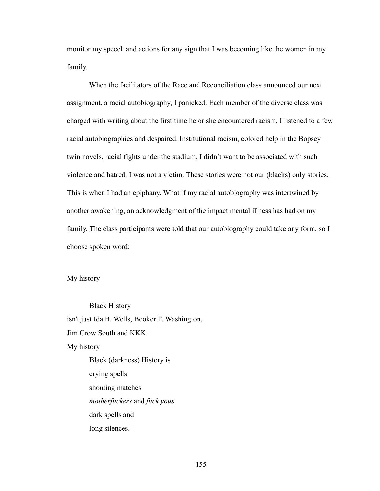monitor my speech and actions for any sign that I was becoming like the women in my family.

 When the facilitators of the Race and Reconciliation class announced our next assignment, a racial autobiography, I panicked. Each member of the diverse class was charged with writing about the first time he or she encountered racism. I listened to a few racial autobiographies and despaired. Institutional racism, colored help in the Bopsey twin novels, racial fights under the stadium, I didn't want to be associated with such violence and hatred. I was not a victim. These stories were not our (blacks) only stories. This is when I had an epiphany. What if my racial autobiography was intertwined by another awakening, an acknowledgment of the impact mental illness has had on my family. The class participants were told that our autobiography could take any form, so I choose spoken word:

My history

 Black History isn't just Ida B. Wells, Booker T. Washington, Jim Crow South and KKK. My history Black (darkness) History is crying spells shouting matches *motherfuckers* and *fuck yous* dark spells and

long silences.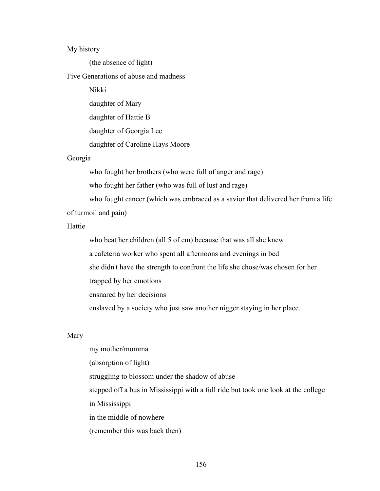## My history

(the absence of light)

# Five Generations of abuse and madness

Nikki

daughter of Mary

daughter of Hattie B

daughter of Georgia Lee

daughter of Caroline Hays Moore

## Georgia

who fought her brothers (who were full of anger and rage)

who fought her father (who was full of lust and rage)

 who fought cancer (which was embraced as a savior that delivered her from a life of turmoil and pain)

## Hattie

 who beat her children (all 5 of em) because that was all she knew a cafeteria worker who spent all afternoons and evenings in bed she didn't have the strength to confront the life she chose/was chosen for her trapped by her emotions

ensnared by her decisions

enslaved by a society who just saw another nigger staying in her place.

#### Mary

 my mother/momma (absorption of light) struggling to blossom under the shadow of abuse stepped off a bus in Mississippi with a full ride but took one look at the college in Mississippi in the middle of nowhere (remember this was back then)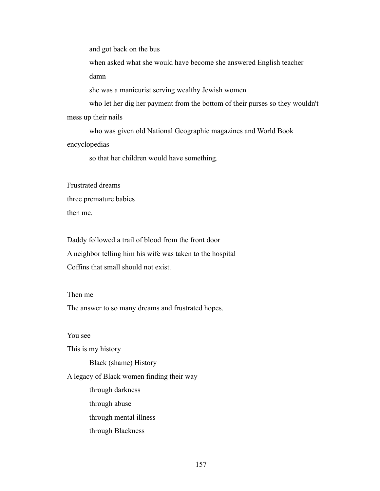and got back on the bus

 when asked what she would have become she answered English teacher damn

she was a manicurist serving wealthy Jewish women

 who let her dig her payment from the bottom of their purses so they wouldn't mess up their nails

 who was given old National Geographic magazines and World Book encyclopedias

so that her children would have something.

Frustrated dreams three premature babies then me.

Daddy followed a trail of blood from the front door A neighbor telling him his wife was taken to the hospital Coffins that small should not exist.

## Then me

The answer to so many dreams and frustrated hopes.

You see

This is my history

Black (shame) History

A legacy of Black women finding their way

 through darkness through abuse through mental illness through Blackness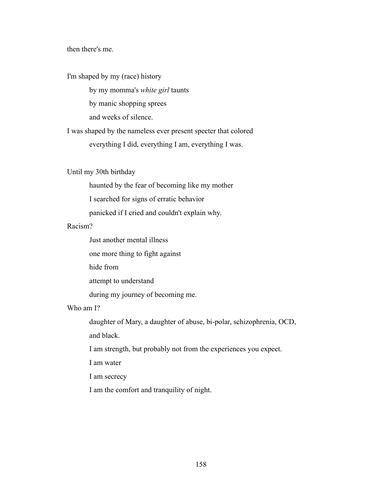then there's me.

I'm shaped by my (race) history

by my momma's *white girl* taunts

by manic shopping sprees

and weeks of silence.

I was shaped by the nameless ever present specter that colored everything I did, everything I am, everything I was.

Until my 30th birthday

haunted by the fear of becoming like my mother

I searched for signs of erratic behavior

panicked if I cried and couldn't explain why.

# Racism?

Just another mental illness

one more thing to fight against

hide from

attempt to understand

during my journey of becoming me.

# Who am I?

daughter of Mary, a daughter of abuse, bi-polar, schizophrenia, OCD,

and black.

I am strength, but probably not from the experiences you expect.

I am water

I am secrecy

I am the comfort and tranquility of night.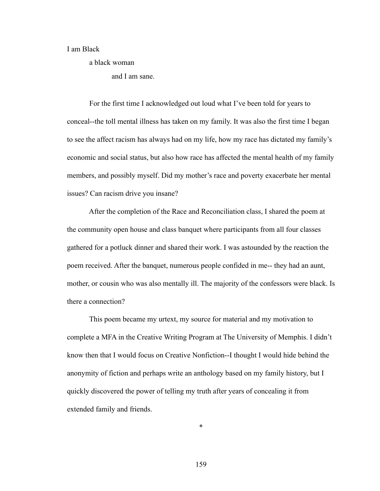## I am Black

a black woman

and I am sane.

 For the first time I acknowledged out loud what I've been told for years to conceal--the toll mental illness has taken on my family. It was also the first time I began to see the affect racism has always had on my life, how my race has dictated my family's economic and social status, but also how race has affected the mental health of my family members, and possibly myself. Did my mother's race and poverty exacerbate her mental issues? Can racism drive you insane?

 After the completion of the Race and Reconciliation class, I shared the poem at the community open house and class banquet where participants from all four classes gathered for a potluck dinner and shared their work. I was astounded by the reaction the poem received. After the banquet, numerous people confided in me-- they had an aunt, mother, or cousin who was also mentally ill. The majority of the confessors were black. Is there a connection?

 This poem became my urtext, my source for material and my motivation to complete a MFA in the Creative Writing Program at The University of Memphis. I didn't know then that I would focus on Creative Nonfiction--I thought I would hide behind the anonymity of fiction and perhaps write an anthology based on my family history, but I quickly discovered the power of telling my truth after years of concealing it from extended family and friends.

159

\*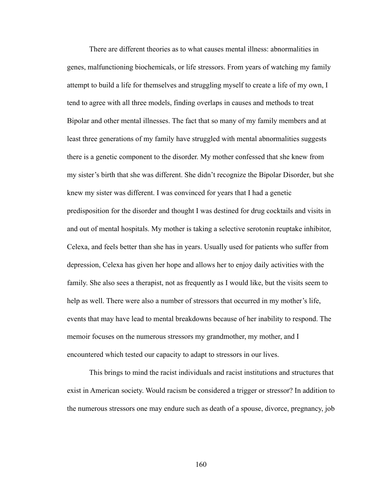There are different theories as to what causes mental illness: abnormalities in genes, malfunctioning biochemicals, or life stressors. From years of watching my family attempt to build a life for themselves and struggling myself to create a life of my own, I tend to agree with all three models, finding overlaps in causes and methods to treat Bipolar and other mental illnesses. The fact that so many of my family members and at least three generations of my family have struggled with mental abnormalities suggests there is a genetic component to the disorder. My mother confessed that she knew from my sister's birth that she was different. She didn't recognize the Bipolar Disorder, but she knew my sister was different. I was convinced for years that I had a genetic predisposition for the disorder and thought I was destined for drug cocktails and visits in and out of mental hospitals. My mother is taking a selective serotonin reuptake inhibitor, Celexa, and feels better than she has in years. Usually used for patients who suffer from depression, Celexa has given her hope and allows her to enjoy daily activities with the family. She also sees a therapist, not as frequently as I would like, but the visits seem to help as well. There were also a number of stressors that occurred in my mother's life, events that may have lead to mental breakdowns because of her inability to respond. The memoir focuses on the numerous stressors my grandmother, my mother, and I encountered which tested our capacity to adapt to stressors in our lives.

 This brings to mind the racist individuals and racist institutions and structures that exist in American society. Would racism be considered a trigger or stressor? In addition to the numerous stressors one may endure such as death of a spouse, divorce, pregnancy, job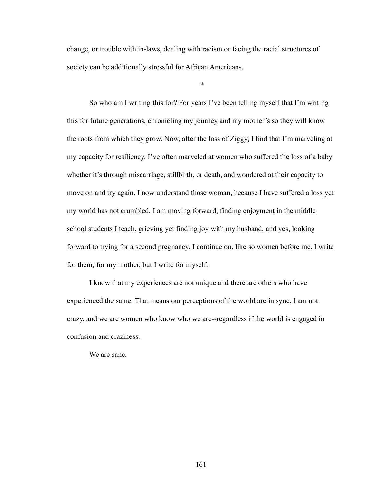change, or trouble with in-laws, dealing with racism or facing the racial structures of society can be additionally stressful for African Americans.

 $*$ 

So who am I writing this for? For years I've been telling myself that I'm writing this for future generations, chronicling my journey and my mother's so they will know the roots from which they grow. Now, after the loss of Ziggy, I find that I'm marveling at my capacity for resiliency. I've often marveled at women who suffered the loss of a baby whether it's through miscarriage, stillbirth, or death, and wondered at their capacity to move on and try again. I now understand those woman, because I have suffered a loss yet my world has not crumbled. I am moving forward, finding enjoyment in the middle school students I teach, grieving yet finding joy with my husband, and yes, looking forward to trying for a second pregnancy. I continue on, like so women before me. I write for them, for my mother, but I write for myself.

 I know that my experiences are not unique and there are others who have experienced the same. That means our perceptions of the world are in sync, I am not crazy, and we are women who know who we are--regardless if the world is engaged in confusion and craziness.

We are sane.